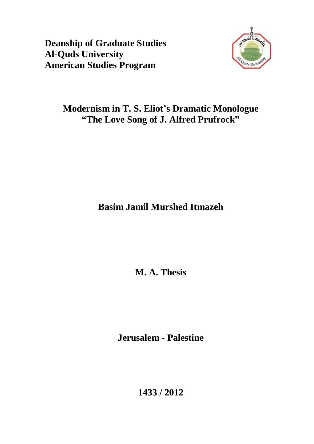**Deanship of Graduate Studies Al-Quds University American Studies Program** 



# **Modernism in T. S. Eliot's Dramatic Monologue "The Love Song of J. Alfred Prufrock"**

**Basim Jamil Murshed Itmazeh** 

**M. A. Thesis** 

**Jerusalem - Palestine** 

**1433 / 2012**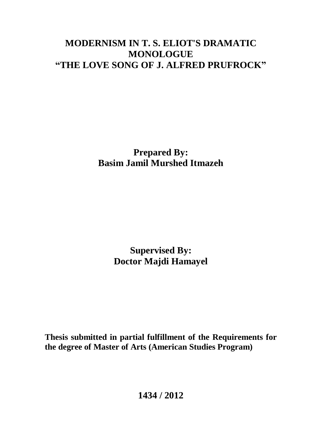# **MODERNISM IN T. S. ELIOT'S DRAMATIC MONOLOGUE "THE LOVE SONG OF J. ALFRED PRUFROCK"**

**Prepared By: Basim Jamil Murshed Itmazeh** 

> **Supervised By: Doctor Majdi Hamayel**

**Thesis submitted in partial fulfillment of the Requirements for the degree of Master of Arts (American Studies Program)** 

**1434 / 2012**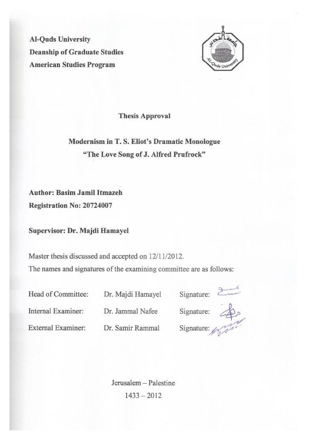**Al-Quds University Deanship of Graduate Studies American Studies Program** 



**Thesis Approval** 

Modernism in T. S. Eliot's Dramatic Monologue "The Love Song of J. Alfred Prufrock"

**Author: Basim Jamil Itmazeh** 

Registration No: 20724007

Supervisor: Dr. Majdi Hamayel

Master thesis discussed and accepted on 12/11/2012. The names and signatures of the examining committee are as follows:

Dr. Majdi Hamayel

| Head of Committee: |  |
|--------------------|--|
| Internal Examiner: |  |

External Examiner:

Dr. Jammal Nafee

Dr. Samir Rammal





Jerusalem - Palestine  $1433 - 2012$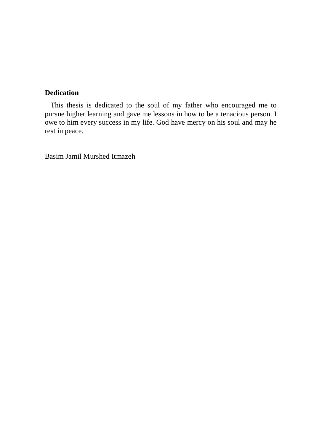# **Dedication**

 This thesis is dedicated to the soul of my father who encouraged me to pursue higher learning and gave me lessons in how to be a tenacious person. I owe to him every success in my life. God have mercy on his soul and may he rest in peace.

Basim Jamil Murshed Itmazeh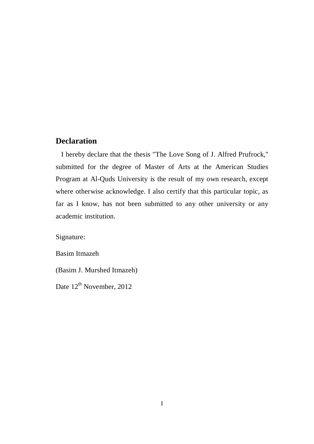## **Declaration**

 I hereby declare that the thesis "The Love Song of J. Alfred Prufrock," submitted for the degree of Master of Arts at the American Studies Program at Al-Quds University is the result of my own research, except where otherwise acknowledge. I also certify that this particular topic, as far as I know, has not been submitted to any other university or any academic institution.

Signature:

Basim Itmazeh

(Basim J. Murshed Itmazeh)

Date 12<sup>th</sup> November, 2012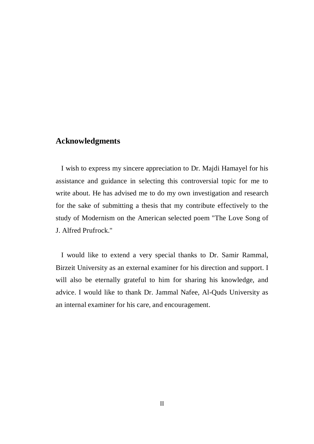## **Acknowledgments**

 I wish to express my sincere appreciation to Dr. Majdi Hamayel for his assistance and guidance in selecting this controversial topic for me to write about. He has advised me to do my own investigation and research for the sake of submitting a thesis that my contribute effectively to the study of Modernism on the American selected poem "The Love Song of J. Alfred Prufrock."

 I would like to extend a very special thanks to Dr. Samir Rammal, Birzeit University as an external examiner for his direction and support. I will also be eternally grateful to him for sharing his knowledge, and advice. I would like to thank Dr. Jammal Nafee, Al-Quds University as an internal examiner for his care, and encouragement.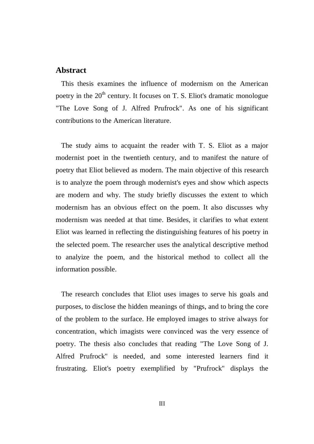## **Abstract**

 This thesis examines the influence of modernism on the American poetry in the  $20<sup>th</sup>$  century. It focuses on T. S. Eliot's dramatic monologue "The Love Song of J. Alfred Prufrock". As one of his significant contributions to the American literature.

 The study aims to acquaint the reader with T. S. Eliot as a major modernist poet in the twentieth century, and to manifest the nature of poetry that Eliot believed as modern. The main objective of this research is to analyze the poem through modernist's eyes and show which aspects are modern and why. The study briefly discusses the extent to which modernism has an obvious effect on the poem. It also discusses why modernism was needed at that time. Besides, it clarifies to what extent Eliot was learned in reflecting the distinguishing features of his poetry in the selected poem. The researcher uses the analytical descriptive method to analyize the poem, and the historical method to collect all the information possible.

 The research concludes that Eliot uses images to serve his goals and purposes, to disclose the hidden meanings of things, and to bring the core of the problem to the surface. He employed images to strive always for concentration, which imagists were convinced was the very essence of poetry. The thesis also concludes that reading "The Love Song of J. Alfred Prufrock" is needed, and some interested learners find it frustrating. Eliot's poetry exemplified by "Prufrock" displays the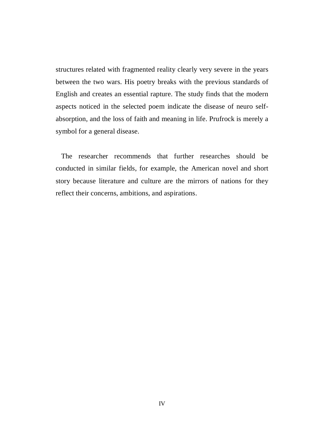structures related with fragmented reality clearly very severe in the years between the two wars. His poetry breaks with the previous standards of English and creates an essential rapture. The study finds that the modern aspects noticed in the selected poem indicate the disease of neuro selfabsorption, and the loss of faith and meaning in life. Prufrock is merely a symbol for a general disease.

 The researcher recommends that further researches should be conducted in similar fields, for example, the American novel and short story because literature and culture are the mirrors of nations for they reflect their concerns, ambitions, and aspirations.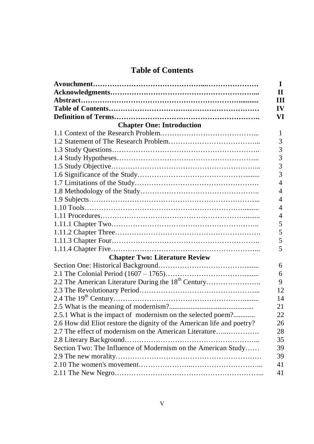# **Table of Contents**

|                                                                        | $\mathbf I$   |
|------------------------------------------------------------------------|---------------|
|                                                                        | $\mathbf{H}$  |
|                                                                        | III           |
|                                                                        | $\mathbf{IV}$ |
|                                                                        | VI            |
| <b>Chapter One: Introduction</b>                                       |               |
|                                                                        | 1             |
|                                                                        | 3             |
|                                                                        | 3             |
|                                                                        | 3             |
|                                                                        | 3             |
|                                                                        | 3             |
|                                                                        | 4             |
|                                                                        | 4             |
|                                                                        | 4             |
| $1.10 \text{ Tools} \dots 1.10 \text{ Tools}$                          | 4             |
|                                                                        | 4             |
|                                                                        | 5             |
|                                                                        | 5             |
|                                                                        | 5             |
|                                                                        | 5             |
| <b>Chapter Two: Literature Review</b>                                  |               |
|                                                                        | 6             |
|                                                                        | 6             |
| 2.2 The American Literature During the 18 <sup>th</sup> Century        | 9             |
|                                                                        | 12            |
|                                                                        | 14            |
|                                                                        | 21            |
| 2.5.1 What is the impact of modernism on the selected poem?            | 22            |
| 2.6 How did Eliot restore the dignity of the American life and poetry? | 26            |
| 2.7 The effect of modernism on the American Literature                 | 28            |
|                                                                        | 35            |
| Section Two: The Influence of Modernism on the American Study          | 39            |
|                                                                        | 39            |
|                                                                        | 41            |
|                                                                        | 41            |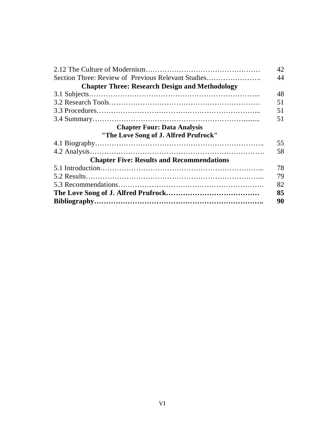|                                                       | 42 |
|-------------------------------------------------------|----|
| Section Three: Review of Previous Relevant Studies    | 44 |
| <b>Chapter Three: Research Design and Methodology</b> |    |
|                                                       | 48 |
|                                                       | 51 |
|                                                       | 51 |
|                                                       | 51 |
| <b>Chapter Four: Data Analysis</b>                    |    |
| "The Love Song of J. Alfred Prufrock"                 |    |
|                                                       | 55 |
|                                                       | 58 |
| <b>Chapter Five: Results and Recommendations</b>      |    |
|                                                       | 78 |
|                                                       | 79 |
|                                                       | 82 |
|                                                       | 85 |
|                                                       | 90 |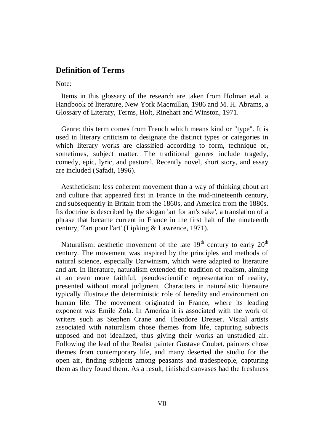## **Definition of Terms**

Note:

 Items in this glossary of the research are taken from Holman etal. a Handbook of literature, New York Macmillan, 1986 and M. H. Abrams, a Glossary of Literary, Terms, Holt, Rinehart and Winston, 1971.

Genre: this term comes from French which means kind or "type". It is used in literary criticism to designate the distinct types or categories in which literary works are classified according to form, technique or, sometimes, subject matter. The traditional genres include tragedy, comedy, epic, lyric, and pastoral. Recently novel, short story, and essay are included (Safadi, 1996).

Aestheticism: less coherent movement than a way of thinking about art and culture that appeared first in France in the mid-nineteenth century, and subsequently in Britain from the 1860s, and America from the 1880s. Its doctrine is described by the slogan 'art for art's sake', a translation of a phrase that became current in France in the first halt of the nineteenth century, 'l'art pour l'art' (Lipking & Lawrence, 1971).

Naturalism: aesthetic movement of the late  $19<sup>th</sup>$  century to early  $20<sup>th</sup>$ century. The movement was inspired by the principles and methods of natural science, especially Darwinism, which were adapted to literature and art. In literature, naturalism extended the tradition of realism, aiming at an even more faithful, pseudoscientific representation of reality, presented without moral judgment. Characters in naturalistic literature typically illustrate the deterministic role of heredity and environment on human life. The movement originated in France, where its leading exponent was Emile Zola. In America it is associated with the work of writers such as Stephen Crane and Theodore Dreiser. Visual artists associated with naturalism chose themes from life, capturing subjects unposed and not idealized, thus giving their works an unstudied air. Following the lead of the Realist painter Gustave Coubet, painters chose themes from contemporary life, and many deserted the studio for the open air, finding subjects among peasants and tradespeople, capturing them as they found them. As a result, finished canvases had the freshness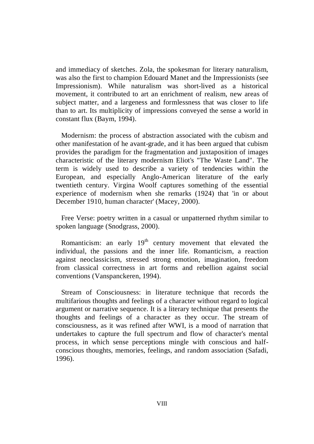and immediacy of sketches. Zola, the spokesman for literary naturalism, was also the first to champion Edouard Manet and the Impressionists (see Impressionism). While naturalism was short-lived as a historical movement, it contributed to art an enrichment of realism, new areas of subject matter, and a largeness and formlessness that was closer to life than to art. Its multiplicity of impressions conveyed the sense a world in constant flux (Baym, 1994).

Modernism: the process of abstraction associated with the cubism and other manifestation of he avant-grade, and it has been argued that cubism provides the paradigm for the fragmentation and juxtaposition of images characteristic of the literary modernism Eliot's "The Waste Land". The term is widely used to describe a variety of tendencies within the European, and especially Anglo-American literature of the early twentieth century. Virgina Woolf captures something of the essential experience of modernism when she remarks (1924) that 'in or about December 1910, human character' (Macey, 2000).

Free Verse: poetry written in a casual or unpatterned rhythm similar to spoken language (Snodgrass, 2000).

Romanticism: an early  $19<sup>th</sup>$  century movement that elevated the individual, the passions and the inner life. Romanticism, a reaction against neoclassicism, stressed strong emotion, imagination, freedom from classical correctness in art forms and rebellion against social conventions (Vanspanckeren, 1994).

Stream of Consciousness: in literature technique that records the multifarious thoughts and feelings of a character without regard to logical argument or narrative sequence. It is a literary technique that presents the thoughts and feelings of a character as they occur. The stream of consciousness, as it was refined after WWI, is a mood of narration that undertakes to capture the full spectrum and flow of character's mental process, in which sense perceptions mingle with conscious and halfconscious thoughts, memories, feelings, and random association (Safadi, 1996).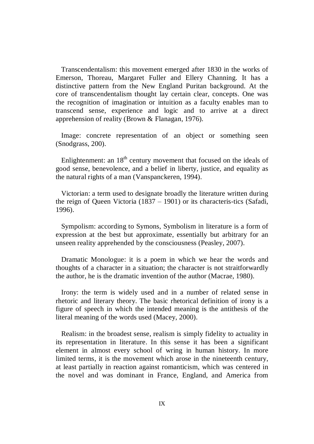Transcendentalism: this movement emerged after 1830 in the works of Emerson, Thoreau, Margaret Fuller and Ellery Channing. It has a distinctive pattern from the New England Puritan background. At the core of transcendentalism thought lay certain clear, concepts. One was the recognition of imagination or intuition as a faculty enables man to transcend sense, experience and logic and to arrive at a direct apprehension of reality (Brown & Flanagan, 1976).

 Image: concrete representation of an object or something seen (Snodgrass, 200).

Enlightenment: an  $18<sup>th</sup>$  century movement that focused on the ideals of good sense, benevolence, and a belief in liberty, justice, and equality as the natural rights of a man (Vanspanckeren, 1994).

Victorian: a term used to designate broadly the literature written during the reign of Queen Victoria (1837 – 1901) or its characteris-tics (Safadi, 1996).

Sympolism: according to Symons, Symbolism in literature is a form of expression at the best but approximate, essentially but arbitrary for an unseen reality apprehended by the consciousness (Peasley, 2007).

Dramatic Monologue: it is a poem in which we hear the words and thoughts of a character in a situation; the character is not straitforwardly the author, he is the dramatic invention of the author (Macrae, 1980).

 Irony: the term is widely used and in a number of related sense in rhetoric and literary theory. The basic rhetorical definition of irony is a figure of speech in which the intended meaning is the antithesis of the literal meaning of the words used (Macey, 2000).

Realism: in the broadest sense, realism is simply fidelity to actuality in its representation in literature. In this sense it has been a significant element in almost every school of wring in human history. In more limited terms, it is the movement which arose in the nineteenth century, at least partially in reaction against romanticism, which was centered in the novel and was dominant in France, England, and America from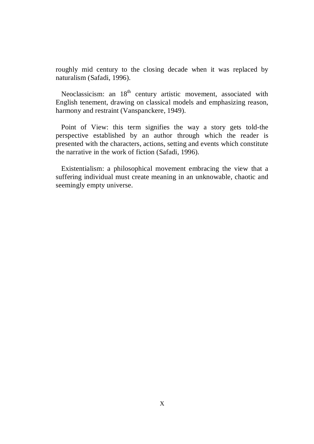roughly mid century to the closing decade when it was replaced by naturalism (Safadi, 1996).

Neoclassicism: an 18<sup>th</sup> century artistic movement, associated with English tenement, drawing on classical models and emphasizing reason, harmony and restraint (Vanspanckere, 1949).

 Point of View: this term signifies the way a story gets told-the perspective established by an author through which the reader is presented with the characters, actions, setting and events which constitute the narrative in the work of fiction (Safadi, 1996).

Existentialism: a philosophical movement embracing the view that a suffering individual must create meaning in an unknowable, chaotic and seemingly empty universe.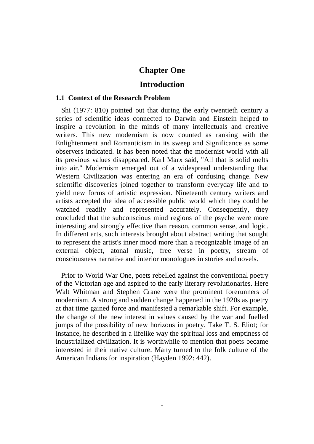## **Chapter One**

## **Introduction**

#### **1.1 Context of the Research Problem**

Shi (1977: 810) pointed out that during the early twentieth century a series of scientific ideas connected to Darwin and Einstein helped to inspire a revolution in the minds of many intellectuals and creative writers. This new modernism is now counted as ranking with the Enlightenment and Romanticism in its sweep and Significance as some observers indicated. It has been noted that the modernist world with all its previous values disappeared. Karl Marx said, "All that is solid melts into air." Modernism emerged out of a widespread understanding that Western Civilization was entering an era of confusing change. New scientific discoveries joined together to transform everyday life and to yield new forms of artistic expression. Nineteenth century writers and artists accepted the idea of accessible public world which they could be watched readily and represented accurately. Consequently, they concluded that the subconscious mind regions of the psyche were more interesting and strongly effective than reason, common sense, and logic. In different arts, such interests brought about abstract writing that sought to represent the artist's inner mood more than a recognizable image of an external object, atonal music, free verse in poetry, stream of consciousness narrative and interior monologues in stories and novels.

 Prior to World War One, poets rebelled against the conventional poetry of the Victorian age and aspired to the early literary revolutionaries. Here Walt Whitman and Stephen Crane were the prominent forerunners of modernism. A strong and sudden change happened in the 1920s as poetry at that time gained force and manifested a remarkable shift. For example, the change of the new interest in values caused by the war and fuelled jumps of the possibility of new horizons in poetry. Take T. S. Eliot; for instance, he described in a lifelike way the spiritual loss and emptiness of industrialized civilization. It is worthwhile to mention that poets became interested in their native culture. Many turned to the folk culture of the American Indians for inspiration (Hayden 1992: 442).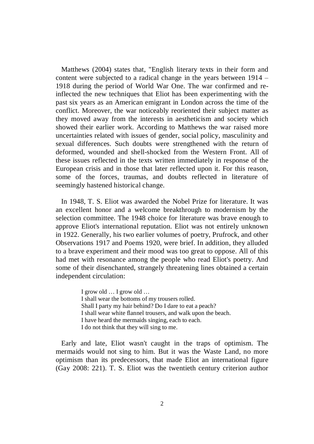Matthews (2004) states that, "English literary texts in their form and content were subjected to a radical change in the years between 1914 – 1918 during the period of World War One. The war confirmed and reinflected the new techniques that Eliot has been experimenting with the past six years as an American emigrant in London across the time of the conflict. Moreover, the war noticeably reoriented their subject matter as they moved away from the interests in aestheticism and society which showed their earlier work. According to Matthews the war raised more uncertainties related with issues of gender, social policy, masculinity and sexual differences. Such doubts were strengthened with the return of deformed, wounded and shell-shocked from the Western Front. All of these issues reflected in the texts written immediately in response of the European crisis and in those that later reflected upon it. For this reason, some of the forces, traumas, and doubts reflected in literature of seemingly hastened historical change.

 In 1948, T. S. Eliot was awarded the Nobel Prize for literature. It was an excellent honor and a welcome breakthrough to modernism by the selection committee. The 1948 choice for literature was brave enough to approve Eliot's international reputation. Eliot was not entirely unknown in 1922. Generally, his two earlier volumes of poetry, Prufrock, and other Observations 1917 and Poems 1920, were brief. In addition, they alluded to a brave experiment and their mood was too great to oppose. All of this had met with resonance among the people who read Eliot's poetry. And some of their disenchanted, strangely threatening lines obtained a certain independent circulation:

> I grow old … I grow old … I shall wear the bottoms of my trousers rolled. Shall I party my hair behind? Do I dare to eat a peach? I shall wear white flannel trousers, and walk upon the beach. I have heard the mermaids singing, each to each. I do not think that they will sing to me.

Early and late, Eliot wasn't caught in the traps of optimism. The mermaids would not sing to him. But it was the Waste Land, no more optimism than its predecessors, that made Eliot an international figure (Gay 2008: 221). T. S. Eliot was the twentieth century criterion author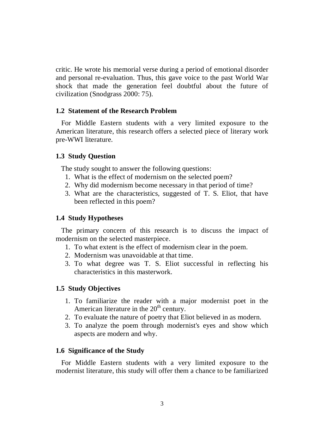critic. He wrote his memorial verse during a period of emotional disorder and personal re-evaluation. Thus, this gave voice to the past World War shock that made the generation feel doubtful about the future of civilization (Snodgrass 2000: 75).

### **1.2 Statement of the Research Problem**

For Middle Eastern students with a very limited exposure to the American literature, this research offers a selected piece of literary work pre-WWI literature.

### **1.3 Study Question**

The study sought to answer the following questions:

- 1. What is the effect of modernism on the selected poem?
- 2. Why did modernism become necessary in that period of time?
- 3. What are the characteristics, suggested of T. S. Eliot, that have been reflected in this poem?

### **1.4 Study Hypotheses**

 The primary concern of this research is to discuss the impact of modernism on the selected masterpiece.

- 1. To what extent is the effect of modernism clear in the poem.
- 2. Modernism was unavoidable at that time.
- 3. To what degree was T. S. Eliot successful in reflecting his characteristics in this masterwork.

### **1.5 Study Objectives**

- 1. To familiarize the reader with a major modernist poet in the American literature in the  $20<sup>th</sup>$  century.
- 2. To evaluate the nature of poetry that Eliot believed in as modern.
- 3. To analyze the poem through modernist's eyes and show which aspects are modern and why.

### **1.6 Significance of the Study**

For Middle Eastern students with a very limited exposure to the modernist literature, this study will offer them a chance to be familiarized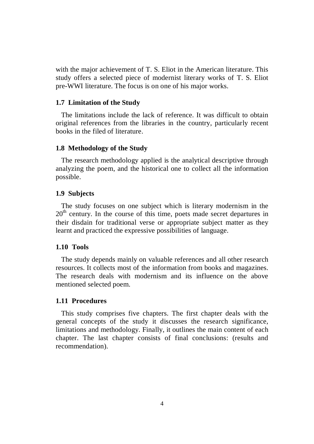with the major achievement of T. S. Eliot in the American literature. This study offers a selected piece of modernist literary works of T. S. Eliot pre-WWI literature. The focus is on one of his major works.

## **1.7 Limitation of the Study**

 The limitations include the lack of reference. It was difficult to obtain original references from the libraries in the country, particularly recent books in the filed of literature.

## **1.8 Methodology of the Study**

 The research methodology applied is the analytical descriptive through analyzing the poem, and the historical one to collect all the information possible.

## **1.9 Subjects**

 The study focuses on one subject which is literary modernism in the 20<sup>th</sup> century. In the course of this time, poets made secret departures in their disdain for traditional verse or appropriate subject matter as they learnt and practiced the expressive possibilities of language.

## **1.10 Tools**

 The study depends mainly on valuable references and all other research resources. It collects most of the information from books and magazines. The research deals with modernism and its influence on the above mentioned selected poem.

## **1.11 Procedures**

 This study comprises five chapters. The first chapter deals with the general concepts of the study it discusses the research significance, limitations and methodology. Finally, it outlines the main content of each chapter. The last chapter consists of final conclusions: (results and recommendation).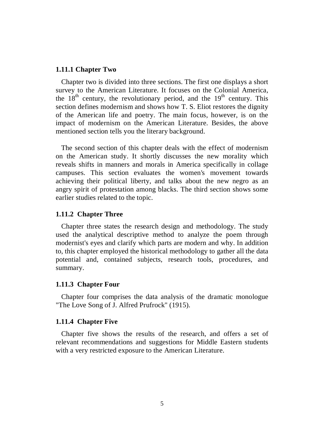#### **1.11.1 Chapter Two**

Chapter two is divided into three sections. The first one displays a short survey to the American Literature. It focuses on the Colonial America, the  $18<sup>th</sup>$  century, the revolutionary period, and the  $19<sup>th</sup>$  century. This section defines modernism and shows how T. S. Eliot restores the dignity of the American life and poetry. The main focus, however, is on the impact of modernism on the American Literature. Besides, the above mentioned section tells you the literary background.

 The second section of this chapter deals with the effect of modernism on the American study. It shortly discusses the new morality which reveals shifts in manners and morals in America specifically in collage campuses. This section evaluates the women's movement towards achieving their political liberty, and talks about the new negro as an angry spirit of protestation among blacks. The third section shows some earlier studies related to the topic.

#### **1.11.2 Chapter Three**

Chapter three states the research design and methodology. The study used the analytical descriptive method to analyze the poem through modernist's eyes and clarify which parts are modern and why. In addition to, this chapter employed the historical methodology to gather all the data potential and, contained subjects, research tools, procedures, and summary.

#### **1.11.3 Chapter Four**

Chapter four comprises the data analysis of the dramatic monologue "The Love Song of J. Alfred Prufrock" (1915).

#### **1.11.4 Chapter Five**

Chapter five shows the results of the research, and offers a set of relevant recommendations and suggestions for Middle Eastern students with a very restricted exposure to the American Literature.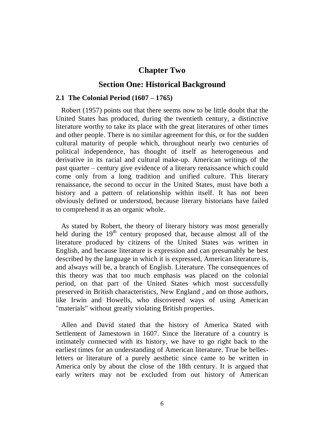## **Chapter Two**

## **Section One: Historical Background**

### **2.1 The Colonial Period (1607 – 1765)**

Robert (1957) points out that there seems now to be little doubt that the United States has produced, during the twentieth century, a distinctive literature worthy to take its place with the great literatures of other times and other people. There is no similar agreement for this, or for the sudden cultural maturity of people which, throughout nearly two centuries of political independence, has thought of itself as heterogeneous and derivative in its racial and cultural make-up. American writings of the past quarter – century give evidence of a literary renaissance which could come only from a long tradition and unified culture. This literary renaissance, the second to occur in the United States, must have both a history and a pattern of relationship within itself. It has not been obviously defined or understood, because literary historians have failed to comprehend it as an organic whole.

As stated by Robert, the theory of literary history was most generally held during the  $19<sup>th</sup>$  century proposed that, because almost all of the literature produced by citizens of the United States was written in English, and because literature is expression and can presumably be best described by the language in which it is expressed, American literature is, and always will be, a branch of English. Literature. The consequences of this theory was that too much emphasis was placed on the colonial period, on that part of the United States which most successfully preserved in British characteristics, New England , and on those authors, like Irwin and Howells, who discovered ways of using American "materials" without greatly violating British properties.

Allen and David stated that the history of America Stated with Settlement of Jamestown in 1607. Since the literature of a country is intimately connected with its history, we have to go right back to the earliest times for an understanding of American literature. True be bellesletters or literature of a purely aesthetic since came to be written in America only by about the close of the 18th century. It is argued that early writers may not be excluded from out history of American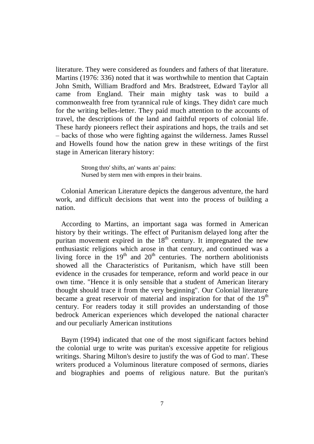literature. They were considered as founders and fathers of that literature. Martins (1976: 336) noted that it was worthwhile to mention that Captain John Smith, William Bradford and Mrs. Bradstreet, Edward Taylor all came from England. Their main mighty task was to build a commonwealth free from tyrannical rule of kings. They didn't care much for the writing belles-letter. They paid much attention to the accounts of travel, the descriptions of the land and faithful reports of colonial life. These hardy pioneers reflect their aspirations and hops, the trails and set – backs of those who were fighting against the wilderness. James Russel and Howells found how the nation grew in these writings of the first stage in American literary history:

> Strong thro' shifts, an' wants an' pains: Nursed by stern men with empres in their brains.

Colonial American Literature depicts the dangerous adventure, the hard work, and difficult decisions that went into the process of building a nation.

According to Martins, an important saga was formed in American history by their writings. The effect of Puritanism delayed long after the puritan movement expired in the  $18<sup>th</sup>$  century. It impregnated the new enthusiastic religions which arose in that century, and continued was a living force in the  $19<sup>th</sup>$  and  $20<sup>th</sup>$  centuries. The northern abolitionists showed all the Characteristics of Puritanism, which have still been evidence in the crusades for temperance, reform and world peace in our own time. "Hence it is only sensible that a student of American literary thought should trace it from the very beginning". Our Colonial literature became a great reservoir of material and inspiration for that of the  $19<sup>th</sup>$ century. For readers today it still provides an understanding of those bedrock American experiences which developed the national character and our peculiarly American institutions

Baym (1994) indicated that one of the most significant factors behind the colonial urge to write was puritan's excessive appetite for religious writings. Sharing Milton's desire to justify the was of God to man'. These writers produced a Voluminous literature composed of sermons, diaries and biographies and poems of religious nature. But the puritan's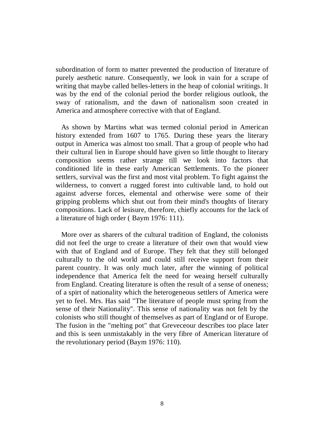subordination of form to matter prevented the production of literature of purely aesthetic nature. Consequently, we look in vain for a scrape of writing that maybe called belles-letters in the heap of colonial writings. It was by the end of the colonial period the border religious outlook, the sway of rationalism, and the dawn of nationalism soon created in America and atmosphere corrective with that of England.

As shown by Martins what was termed colonial period in American history extended from 1607 to 1765. During these years the literary output in America was almost too small. That a group of people who had their cultural lien in Europe should have given so little thought to literary composition seems rather strange till we look into factors that conditioned life in these early American Settlements. To the pioneer settlers, survival was the first and most vital problem. To fight against the wilderness, to convert a rugged forest into cultivable land, to hold out against adverse forces, elemental and otherwise were some of their gripping problems which shut out from their mind's thoughts of literary compositions. Lack of lesisure, therefore, chiefly accounts for the lack of a literature of high order ( Baym 1976: 111).

More over as sharers of the cultural tradition of England, the colonists did not feel the urge to create a literature of their own that would view with that of England and of Europe. They felt that they still belonged culturally to the old world and could still receive support from their parent country. It was only much later, after the winning of political independence that America felt the need for weaing herself culturally from England. Creating literature is often the result of a sense of oneness; of a spirt of nationality which the heterogeneous settlers of America were yet to feel. Mrs. Has said "The literature of people must spring from the sense of their Nationality". This sense of nationality was not felt by the colonists who still thought of themselves as part of England or of Europe. The fusion in the "melting pot" that Greveceour describes too place later and this is seen unmistakably in the very fibre of American literature of the revolutionary period (Baym 1976: 110).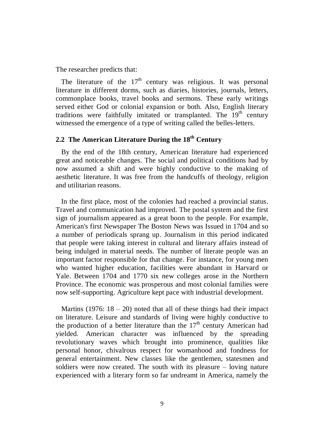The researcher predicts that:

The literature of the  $17<sup>th</sup>$  century was religious. It was personal literature in different dorms, such as diaries, histories, journals, letters, commonplace books, travel books and sermons. These early writings served either God or colonial expansion or both. Also, English literary traditions were faithfully imitated or transplanted. The  $19<sup>th</sup>$  century witnessed the emergence of a type of writing called the belles-letters.

# **2.2 The American Literature During the 18th Century**

By the end of the 18th century, American literature had experienced great and noticeable changes. The social and political conditions had by now assumed a shift and were highly conductive to the making of aesthetic literature. It was free from the handcuffs of theology, religion and utilitarian reasons.

 In the first place, most of the colonies had reached a provincial status. Travel and communication had improved. The postal system and the first sign of journalism appeared as a great boon to the people. For example, American's first Newspaper The Boston News was Issued in 1704 and so a number of periodicals sprang up. Journalism in this period indicated that people were taking interest in cultural and literary affairs instead of being indulged in material needs. The number of literate people was an important factor responsible for that change. For instance, for young men who wanted higher education, facilities were abundant in Harvard or Yale. Between 1704 and 1770 six new colleges arose in the Northern Province. The economic was prosperous and most colonial families were now self-supporting. Agriculture kept pace with industrial development.

Martins (1976:  $18 - 20$ ) noted that all of these things had their impact on literature. Leisure and standards of living were highly conductive to the production of a better literature than the  $17<sup>th</sup>$  century American had yielded. American character was influenced by the spreading revolutionary waves which brought into prominence, qualities like personal honor, chivalrous respect for womanhood and fondness for general entertainment. New classes like the gentlemen, statesmen and soldiers were now created. The south with its pleasure – loving nature experienced with a literary form so far undreamt in America, namely the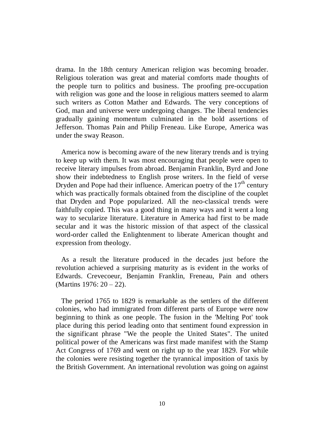drama. In the 18th century American religion was becoming broader. Religious toleration was great and material comforts made thoughts of the people turn to politics and business. The proofing pre-occupation with religion was gone and the loose in religious matters seemed to alarm such writers as Cotton Mather and Edwards. The very conceptions of God, man and universe were undergoing changes. The liberal tendencies gradually gaining momentum culminated in the bold assertions of Jefferson. Thomas Pain and Philip Freneau. Like Europe, America was under the sway Reason.

America now is becoming aware of the new literary trends and is trying to keep up with them. It was most encouraging that people were open to receive literary impulses from abroad. Benjamin Franklin, Byrd and Jone show their indebtedness to English prose writers. In the field of verse Dryden and Pope had their influence. American poetry of the  $17<sup>th</sup>$  century which was practically formals obtained from the discipline of the couplet that Dryden and Pope popularized. All the neo-classical trends were faithfully copied. This was a good thing in many ways and it went a long way to secularize literature. Literature in America had first to be made secular and it was the historic mission of that aspect of the classical word-order called the Enlightenment to liberate American thought and expression from theology.

As a result the literature produced in the decades just before the revolution achieved a surprising maturity as is evident in the works of Edwards. Crevecoeur, Benjamin Franklin, Freneau, Pain and others (Martins 1976: 20 – 22).

 The period 1765 to 1829 is remarkable as the settlers of the different colonies, who had immigrated from different parts of Europe were now beginning to think as one people. The fusion in the 'Melting Pot' took place during this period leading onto that sentiment found expression in the significant phrase "We the people the United States". The united political power of the Americans was first made manifest with the Stamp Act Congress of 1769 and went on right up to the year 1829. For while the colonies were resisting together the tyrannical imposition of taxis by the British Government. An international revolution was going on against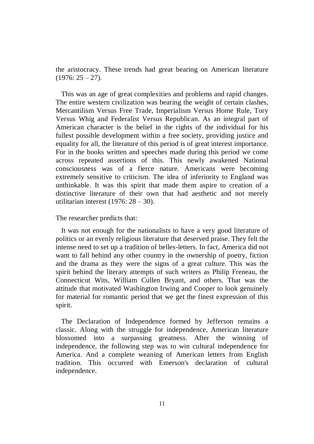the aristocracy. These trends had great bearing on American literature  $(1976: 25 - 27).$ 

 This was an age of great complexities and problems and rapid changes. The entire western civilization was bearing the weight of certain clashes, Mercantilism Versus Free Trade, Imperialism Versus Home Rule, Tory Versus Whig and Federalist Versus Republican. As an integral part of American character is the belief in the rights of the individual for his fullest possible development within a free society, providing justice and equality for all, the literature of this period is of great interest importance. For in the books written and speeches made during this period we come across repeated assertions of this. This newly awakened National consciousness was of a fierce nature. Americans were becoming extremely sensitive to criticism. The idea of inferiority to England was unthinkable. It was this spirit that made them aspire to creation of a distinctive literature of their own that had aesthetic and not merely utilitarian interest (1976:  $28 - 30$ ).

The researcher predicts that:

 It was not enough for the nationalists to have a very good literature of politics or an evenly religious literature that deserved praise. They felt the intense need to set up a tradition of belles-letters. In fact, America did not want to fall behind any other country in the ownership of poetry, fiction and the drama as they were the signs of a great culture. This was the spirit behind the literary attempts of such writers as Philip Freneau, the Connecticut Wits, William Cullen Bryant, and others. That was the attitude that motivated Washington Irwing and Cooper to look genuinely for material for romantic period that we get the finest expression of this spirit.

 The Declaration of Independence formed by Jefferson remains a classic. Along with the struggle for independence, American literature blossomed into a surpassing greatness. After the winning of independence, the following step was to win cultural independence for America. And a complete weaning of American letters from English tradition. This occurred with Emerson's declaration of cultural independence.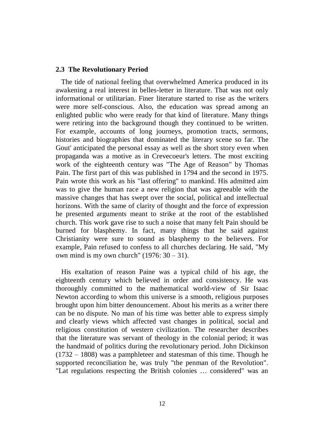#### **2.3 The Revolutionary Period**

 The tide of national feeling that overwhelmed America produced in its awakening a real interest in belles-letter in literature. That was not only informational or utilitarian. Finer literature started to rise as the writers were more self-conscious. Also, the education was spread among an enlighted public who were ready for that kind of literature. Many things were retiring into the background though they continued to be written. For example, accounts of long journeys, promotion tracts, sermons, histories and biographies that dominated the literary scene so far. The Gout' anticipated the personal essay as well as the short story even when propaganda was a motive as in Crevecoeur's letters. The most exciting work of the eighteenth century was "The Age of Reason" by Thomas Pain. The first part of this was published in 1794 and the second in 1975. Pain wrote this work as his "last offering" to mankind. His admitted aim was to give the human race a new religion that was agreeable with the massive changes that has swept over the social, political and intellectual horizons. With the same of clarity of thought and the force of expression he presented arguments meant to strike at the root of the established church. This work gave rise to such a noise that many felt Pain should be burned for blasphemy. In fact, many things that he said against Christianity were sure to sound as blasphemy to the believers. For example, Pain refused to confess to all churches declaring. He said, "My own mind is my own church"  $(1976: 30 - 31)$ .

His exaltation of reason Paine was a typical child of his age, the eighteenth century which believed in order and consistency. He was thoroughly committed to the mathematical world-view of Sir Isaac Newton according to whom this universe is a smooth, religious purposes brought upon him bitter denouncement. About his merits as a writer there can be no dispute. No man of his time was better able to express simply and clearly views which affected vast changes in political, social and religious constitution of western civilization. The researcher describes that the literature was servant of theology in the colonial period; it was the handmaid of politics during the revolutionary period. John Dickinson (1732 – 1808) was a pamphleteer and statesman of this time. Though he supported reconciliation he, was truly "the penman of the Revolution". "Lat regulations respecting the British colonies … considered" was an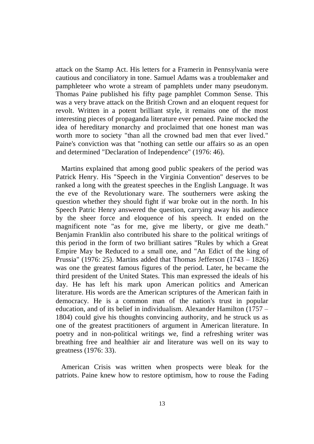attack on the Stamp Act. His letters for a Framerin in Pennsylvania were cautious and conciliatory in tone. Samuel Adams was a troublemaker and pamphleteer who wrote a stream of pamphlets under many pseudonym. Thomas Paine published his fifty page pamphlet Common Sense. This was a very brave attack on the British Crown and an eloquent request for revolt. Written in a potent brilliant style, it remains one of the most interesting pieces of propaganda literature ever penned. Paine mocked the idea of hereditary monarchy and proclaimed that one honest man was worth more to society "than all the crowned bad men that ever lived." Paine's conviction was that "nothing can settle our affairs so as an open and determined "Declaration of Independence" (1976: 46).

Martins explained that among good public speakers of the period was Patrick Henry. His "Speech in the Virginia Convention" deserves to be ranked a long with the greatest speeches in the English Language. It was the eve of the Revolutionary ware. The southerners were asking the question whether they should fight if war broke out in the north. In his Speech Patric Henry answered the question, carrying away his audience by the sheer force and eloquence of his speech. It ended on the magnificent note "as for me, give me liberty, or give me death." Benjamin Franklin also contributed his share to the political writings of this period in the form of two brilliant satires "Rules by which a Great Empire May be Reduced to a small one, and "An Edict of the king of Prussia" (1976: 25). Martins added that Thomas Jefferson (1743 – 1826) was one the greatest famous figures of the period. Later, he became the third president of the United States. This man expressed the ideals of his day. He has left his mark upon American politics and American literature. His words are the American scriptures of the American faith in democracy. He is a common man of the nation's trust in popular education, and of its belief in individualism. Alexander Hamilton (1757 – 1804) could give his thoughts convincing authority, and he struck us as one of the greatest practitioners of argument in American literature. In poetry and in non-political writings we, find a refreshing writer was breathing free and healthier air and literature was well on its way to greatness (1976: 33).

American Crisis was written when prospects were bleak for the patriots. Paine knew how to restore optimism, how to rouse the Fading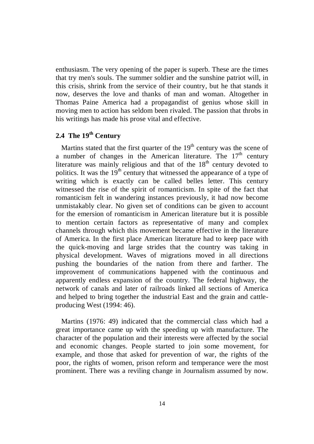enthusiasm. The very opening of the paper is superb. These are the times that try men's souls. The summer soldier and the sunshine patriot will, in this crisis, shrink from the service of their country, but he that stands it now, deserves the love and thanks of man and woman. Altogether in Thomas Paine America had a propagandist of genius whose skill in moving men to action has seldom been rivaled. The passion that throbs in his writings has made his prose vital and effective.

## **2.4 The 19th Century**

Martins stated that the first quarter of the  $19<sup>th</sup>$  century was the scene of a number of changes in the American literature. The  $17<sup>th</sup>$  century literature was mainly religious and that of the  $18<sup>th</sup>$  century devoted to politics. It was the  $19<sup>th</sup>$  century that witnessed the appearance of a type of writing which is exactly can be called belles letter. This century witnessed the rise of the spirit of romanticism. In spite of the fact that romanticism felt in wandering instances previously, it had now become unmistakably clear. No given set of conditions can be given to account for the emersion of romanticism in American literature but it is possible to mention certain factors as representative of many and complex channels through which this movement became effective in the literature of America. In the first place American literature had to keep pace with the quick-moving and large strides that the country was taking in physical development. Waves of migrations moved in all directions pushing the boundaries of the nation from there and farther. The improvement of communications happened with the continuous and apparently endless expansion of the country. The federal highway, the network of canals and later of railroads linked all sections of America and helped to bring together the industrial East and the grain and cattleproducing West (1994: 46).

Martins (1976: 49) indicated that the commercial class which had a great importance came up with the speeding up with manufacture. The character of the population and their interests were affected by the social and economic changes. People started to join some movement, for example, and those that asked for prevention of war, the rights of the poor, the rights of women, prison reform and temperance were the most prominent. There was a reviling change in Journalism assumed by now.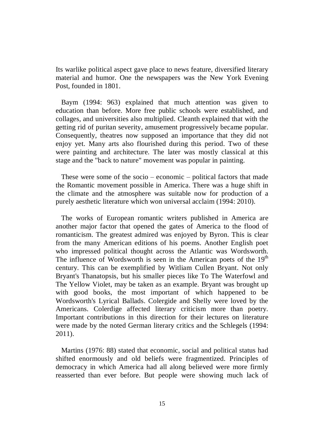Its warlike political aspect gave place to news feature, diversified literary material and humor. One the newspapers was the New York Evening Post, founded in 1801.

Baym (1994: 963) explained that much attention was given to education than before. More free public schools were established, and collages, and universities also multiplied. Cleanth explained that with the getting rid of puritan severity, amusement progressively became popular. Consequently, theatres now supposed an importance that they did not enjoy yet. Many arts also flourished during this period. Two of these were painting and architecture. The later was mostly classical at this stage and the "back to nature" movement was popular in painting.

 These were some of the socio – economic – political factors that made the Romantic movement possible in America. There was a huge shift in the climate and the atmosphere was suitable now for production of a purely aesthetic literature which won universal acclaim (1994: 2010).

 The works of European romantic writers published in America are another major factor that opened the gates of America to the flood of romanticism. The greatest admired was enjoyed by Byron. This is clear from the many American editions of his poems. Another English poet who impressed political thought across the Atlantic was Wordsworth. The influence of Wordsworth is seen in the American poets of the  $19<sup>th</sup>$ century. This can be exemplified by Witliam Cullen Bryant. Not only Bryant's Thanatopsis, but his smaller pieces like To The Waterfowl and The Yellow Violet, may be taken as an example. Bryant was brought up with good books, the most important of which happened to be Wordsworth's Lyrical Ballads. Colergide and Shelly were loved by the Americans. Colerdige affected literary criticism more than poetry. Important contributions in this direction for their lectures on literature were made by the noted German literary critics and the Schlegels (1994: 2011).

Martins (1976: 88) stated that economic, social and political status had shifted enormously and old beliefs were fragmentized. Principles of democracy in which America had all along believed were more firmly reasserted than ever before. But people were showing much lack of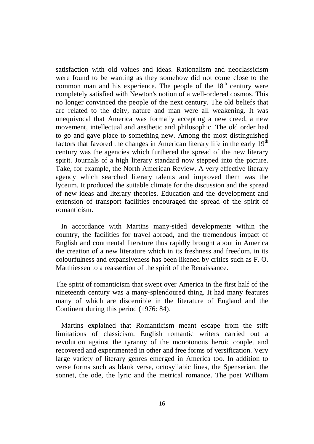satisfaction with old values and ideas. Rationalism and neoclassicism were found to be wanting as they somehow did not come close to the common man and his experience. The people of the  $18<sup>th</sup>$  century were completely satisfied with Newton's notion of a well-ordered cosmos. This no longer convinced the people of the next century. The old beliefs that are related to the deity, nature and man were all weakening. It was unequivocal that America was formally accepting a new creed, a new movement, intellectual and aesthetic and philosophic. The old order had to go and gave place to something new. Among the most distinguished factors that favored the changes in American literary life in the early  $19<sup>th</sup>$ century was the agencies which furthered the spread of the new literary spirit. Journals of a high literary standard now stepped into the picture. Take, for example, the North American Review. A very effective literary agency which searched literary talents and improved them was the lyceum. It produced the suitable climate for the discussion and the spread of new ideas and literary theories. Education and the development and extension of transport facilities encouraged the spread of the spirit of romanticism.

 In accordance with Martins many-sided developments within the country, the facilities for travel abroad, and the tremendous impact of English and continental literature thus rapidly brought about in America the creation of a new literature which in its freshness and freedom, in its colourfulness and expansiveness has been likened by critics such as F. O. Matthiessen to a reassertion of the spirit of the Renaissance.

The spirit of romanticism that swept over America in the first half of the nineteenth century was a many-splendoured thing. It had many features many of which are discernible in the literature of England and the Continent during this period (1976: 84).

Martins explained that Romanticism meant escape from the stiff limitations of classicism. English romantic writers carried out a revolution against the tyranny of the monotonous heroic couplet and recovered and experimented in other and free forms of versification. Very large variety of literary genres emerged in America too. In addition to verse forms such as blank verse, octosyllabic lines, the Spenserian, the sonnet, the ode, the lyric and the metrical romance. The poet William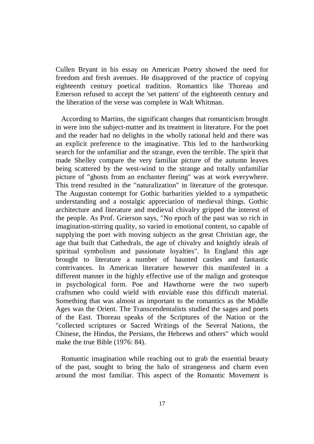Cullen Bryant in his essay on American Poetry showed the need for freedom and fresh avenues. He disapproved of the practice of copying eighteenth century poetical tradition. Romantics like Thoreau and Emerson refused to accept the 'set pattern' of the eighteenth century and the liberation of the verse was complete in Walt Whitman.

According to Martins, the significant changes that romanticism brought in were into the subject-matter and its treatment in literature. For the poet and the reader had no delights in the wholly rational held and there was an explicit preference to the imaginative. This led to the hardworking search for the unfamiliar and the strange, even the terrible. The spirit that made Shelley compare the very familiar picture of the autumn leaves being scattered by the west-wind to the strange and totally unfamiliar picture of "ghosts from an enchanter fleeing" was at work everywhere. This trend resulted in the "naturalization" in literature of the grotesque. The Augustan contempt for Gothic barbarities yielded to a sympathetic understanding and a nostalgic appreciation of medieval things. Gothic architecture and literature and medieval chivalry gripped the interest of the people. As Prof. Grierson says, "No epoch of the past was so rich in imagination-stirring quality, so varied in emotional content, so capable of supplying the poet with moving subjects as the great Christian age, the age that built that Cathedrals, the age of chivalry and knightly ideals of spiritual symbolism and passionate loyalties". In England this age brought to literature a number of haunted castles and fantastic contrivances. In American literature however this manifested in a different manner in the highly effective use of the malign and grotesque in psychological form. Poe and Hawthorne were the two superb craftsmen who could wield with enviable ease this difficult material. Something that was almost as important to the romantics as the Middle Ages was the Orient. The Transcendentalists studied the sages and poets of the East. Thoreau speaks of the Scriptures of the Nation or the "collected scriptures or Sacred Writings of the Several Nations, the Chinese, the Hindus, the Persians, the Hebrews and others" which would make the true Bible (1976: 84).

Romantic imagination while reaching out to grab the essential beauty of the past, sought to bring the halo of strangeness and charm even around the most familiar. This aspect of the Romantic Movement is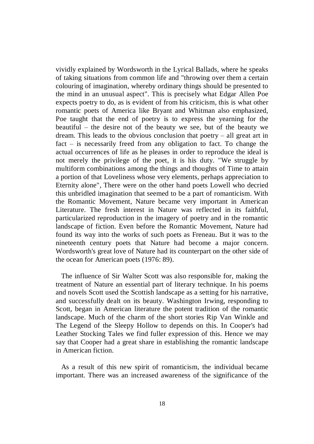vividly explained by Wordsworth in the Lyrical Ballads, where he speaks of taking situations from common life and "throwing over them a certain colouring of imagination, whereby ordinary things should be presented to the mind in an unusual aspect". This is precisely what Edgar Allen Poe expects poetry to do, as is evident of from his criticism, this is what other romantic poets of America like Bryant and Whitman also emphasized, Poe taught that the end of poetry is to express the yearning for the beautiful – the desire not of the beauty we see, but of the beauty we dream. This leads to the obvious conclusion that poetry – all great art in fact – is necessarily freed from any obligation to fact. To change the actual occurrences of life as he pleases in order to reproduce the ideal is not merely the privilege of the poet, it is his duty. "We struggle by multiform combinations among the things and thoughts of Time to attain a portion of that Loveliness whose very elements, perhaps appreciation to Eternity alone", There were on the other hand poets Lowell who decried this unbridled imagination that seemed to be a part of romanticism. With the Romantic Movement, Nature became very important in American Literature. The fresh interest in Nature was reflected in its faithful, particularized reproduction in the imagery of poetry and in the romantic landscape of fiction. Even before the Romantic Movement, Nature had found its way into the works of such poets as Freneau. But it was to the nineteenth century poets that Nature had become a major concern. Wordsworth's great love of Nature had its counterpart on the other side of the ocean for American poets (1976: 89).

 The influence of Sir Walter Scott was also responsible for, making the treatment of Nature an essential part of literary technique. In his poems and novels Scott used the Scottish landscape as a setting for his narrative, and successfully dealt on its beauty. Washington Irwing, responding to Scott, began in American literature the potent tradition of the romantic landscape. Much of the charm of the short stories Rip Van Winkle and The Legend of the Sleepy Hollow to depends on this. In Cooper's had Leather Stocking Tales we find fuller expression of this. Hence we may say that Cooper had a great share in establishing the romantic landscape in American fiction.

As a result of this new spirit of romanticism, the individual became important. There was an increased awareness of the significance of the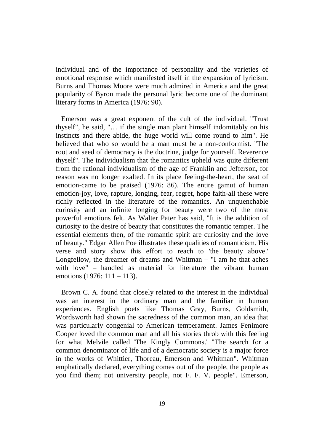individual and of the importance of personality and the varieties of emotional response which manifested itself in the expansion of lyricism. Burns and Thomas Moore were much admired in America and the great popularity of Byron made the personal lyric become one of the dominant literary forms in America (1976: 90).

Emerson was a great exponent of the cult of the individual. "Trust thyself", he said, "… if the single man plant himself indomitably on his instincts and there abide, the huge world will come round to him". He believed that who so would be a man must be a non-conformist. "The root and seed of democracy is the doctrine, judge for yourself. Reverence thyself". The individualism that the romantics upheld was quite different from the rational individualism of the age of Franklin and Jefferson, for reason was no longer exalted. In its place feeling-the-heart, the seat of emotion-came to be praised (1976: 86). The entire gamut of human emotion-joy, love, rapture, longing, fear, regret, hope faith-all these were richly reflected in the literature of the romantics. An unquenchable curiosity and an infinite longing for beauty were two of the most powerful emotions felt. As Walter Pater has said, "It is the addition of curiosity to the desire of beauty that constitutes the romantic temper. The essential elements then, of the romantic spirit are curiosity and the love of beauty." Edgar Allen Poe illustrates these qualities of romanticism. His verse and story show this effort to reach to 'the beauty above.' Longfellow, the dreamer of dreams and Whitman – "I am he that aches with love" – handled as material for literature the vibrant human emotions (1976: 111 – 113).

Brown C. A. found that closely related to the interest in the individual was an interest in the ordinary man and the familiar in human experiences. English poets like Thomas Gray, Burns, Goldsmith, Wordsworth had shown the sacredness of the common man, an idea that was particularly congenial to American temperament. James Fenimore Cooper loved the common man and all his stories throb with this feeling for what Melvile called 'The Kingly Commons.' "The search for a common denominator of life and of a democratic society is a major force in the works of Whittier, Thoreau, Emerson and Whitman". Whitman emphatically declared, everything comes out of the people, the people as you find them; not university people, not F. F. V. people". Emerson,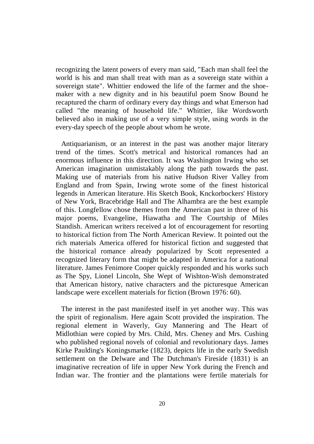recognizing the latent powers of every man said, "Each man shall feel the world is his and man shall treat with man as a sovereign state within a sovereign state". Whittier endowed the life of the farmer and the shoemaker with a new dignity and in his beautiful poem Snow Bound he recaptured the charm of ordinary every day things and what Emerson had called "the meaning of household life." Whittier, like Wordsworth believed also in making use of a very simple style, using words in the every-day speech of the people about whom he wrote.

Antiquarianism, or an interest in the past was another major literary trend of the times. Scott's metrical and historical romances had an enormous influence in this direction. It was Washington Irwing who set American imagination unmistakably along the path towards the past. Making use of materials from his native Hudson River Valley from England and from Spain, Irwing wrote some of the finest historical legends in American literature. His Sketch Book, Knckorbockers' History of New York, Bracebridge Hall and The Alhambra are the best example of this. Longfellow chose themes from the American past in three of his major poems, Evangeline, Hiawatha and The Courtship of Miles Standish. American writers received a lot of encouragement for resorting to historical fiction from The North American Review. It pointed out the rich materials America offered for historical fiction and suggested that the historical romance already popularized by Scott represented a recognized literary form that might be adapted in America for a national literature. James Fenimore Cooper quickly responded and his works such as The Spy, Lionel Lincoln, She Wept of Wishton-Wish demonstrated that American history, native characters and the picturesque American landscape were excellent materials for fiction (Brown 1976: 60).

 The interest in the past manifested itself in yet another way. This was the spirit of regionalism. Here again Scott provided the inspiration. The regional element in Waverly, Guy Mannering and The Heart of Midlothian were copied by Mrs. Child, Mrs. Cheney and Mrs. Cushing who published regional novels of colonial and revolutionary days. James Kirke Paulding's Koningsmarke (1823), depicts life in the early Swedish settlement on the Delware and The Dutchman's Fireside (1831) is an imaginative recreation of life in upper New York during the French and Indian war. The frontier and the plantations were fertile materials for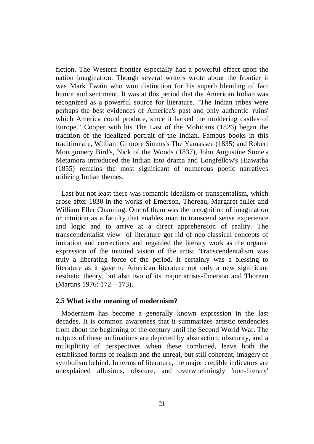fiction. The Western frontier especially had a powerful effect upon the nation imagination. Though several writers wrote about the frontier it was Mark Twain who won distinction for his superb blending of fact humor and sentiment. It was at this period that the American Indian was recognized as a powerful source for literature. "The Indian tribes were perhaps the best evidences of America's past and only authentic 'ruins' which America could produce, since it lacked the moldering castles of Europe." Cooper with his The Last of the Mohicans (1826) began the tradition of the idealized portrait of the Indian. Famous books in this tradition are, William Gilmore Simms's The Yamassee (1835) and Robert Montgomery Bird's, Nick of the Woods (1837), John Augustine Stone's Metamora introduced the Indian into drama and Longfellow's Hiawatha (1855) remains the most significant of numerous poetic narratives utilizing Indian themes.

Last but not least there was romantic idealism or transcentalism, which arose after 1830 in the works of Emerson, Thoreau, Margaret fuller and William Eller Channing. One of them was the recognition of imagination or intuition as a faculty that enables man to transcend sense experience and logic and to arrive at a direct apprehension of reality. The transcendentalist view of literature got rid of neo-classical concepts of imitation and corrections and regarded the literary work as the organic expression of the intuited vision of the artist. Transcendentalism was truly a liberating force of the period. It certainly was a blessing to literature as it gave to American literature not only a new significant aesthetic theory, but also two of its major artists-Emerson and Thoreau (Martins 1976: 172 – 173).

#### **2.5 What is the meaning of modernism?**

Modernism has become a generally known expression in the last decades. It is common awareness that it summarizes artistic tendencies from about the beginning of the century until the Second World War. The outputs of these inclinations are depicted by abstraction, obscurity, and a multiplicity of perspectives when these combined, leave both the established forms of realism and the unreal, but still coherent, imagery of symbolism behind. In terms of literature, the major credible indicators are unexplained allusions, obscure, and overwhelmingly 'non-literary'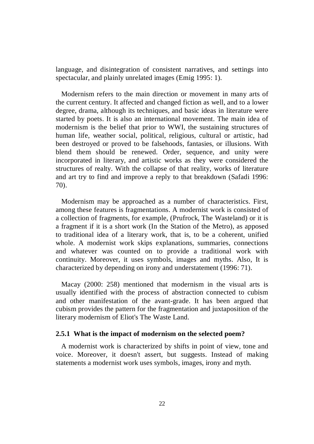language, and disintegration of consistent narratives, and settings into spectacular, and plainly unrelated images (Emig 1995: 1).

Modernism refers to the main direction or movement in many arts of the current century. It affected and changed fiction as well, and to a lower degree, drama, although its techniques, and basic ideas in literature were started by poets. It is also an international movement. The main idea of modernism is the belief that prior to WWI, the sustaining structures of human life, weather social, political, religious, cultural or artistic, had been destroyed or proved to be falsehoods, fantasies, or illusions. With blend them should be renewed. Order, sequence, and unity were incorporated in literary, and artistic works as they were considered the structures of realty. With the collapse of that reality, works of literature and art try to find and improve a reply to that breakdown (Safadi 1996: 70).

Modernism may be approached as a number of characteristics. First, among these features is fragmentations. A modernist work is consisted of a collection of fragments, for example, (Prufrock, The Wasteland) or it is a fragment if it is a short work (In the Station of the Metro), as apposed to traditional idea of a literary work, that is, to be a coherent, unified whole. A modernist work skips explanations, summaries, connections and whatever was counted on to provide a traditional work with continuity. Moreover, it uses symbols, images and myths. Also, It is characterized by depending on irony and understatement (1996: 71).

Macay (2000: 258) mentioned that modernism in the visual arts is usually identified with the process of abstraction connected to cubism and other manifestation of the avant-grade. It has been argued that cubism provides the pattern for the fragmentation and juxtaposition of the literary modernism of Eliot's The Waste Land.

#### **2.5.1 What is the impact of modernism on the selected poem?**

A modernist work is characterized by shifts in point of view, tone and voice. Moreover, it doesn't assert, but suggests. Instead of making statements a modernist work uses symbols, images, irony and myth.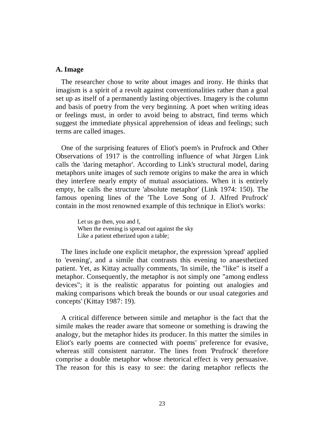#### **A. Image**

 The researcher chose to write about images and irony. He thinks that imagism is a spirit of a revolt against conventionalities rather than a goal set up as itself of a permanently lasting objectives. Imagery is the column and basis of poetry from the very beginning. A poet when writing ideas or feelings must, in order to avoid being to abstract, find terms which suggest the immediate physical apprehension of ideas and feelings; such terms are called images.

One of the surprising features of Eliot's poem's in Prufrock and Other Observations of 1917 is the controlling influence of what Jürgen Link calls the 'daring metaphor'. According to Link's structural model, daring metaphors unite images of such remote origins to make the area in which they interfere nearly empty of mutual associations. When it is entirely empty, he calls the structure 'absolute metaphor' (Link 1974: 150). The famous opening lines of the 'The Love Song of J. Alfred Prufrock' contain in the most renowned example of this technique in Eliot's works:

> Let us go then, you and I, When the evening is spread out against the sky Like a patient etherized upon a table;

 The lines include one explicit metaphor, the expression 'spread' applied to 'evening', and a simile that contrasts this evening to anaesthetized patient. Yet, as Kittay actually comments, 'In simile, the "like" is itself a metaphor. Consequently, the metaphor is not simply one "among endless devices"; it is the realistic apparatus for pointing out analogies and making comparisons which break the bounds or our usual categories and concepts' (Kittay 1987: 19).

A critical difference between simile and metaphor is the fact that the simile makes the reader aware that someone or something is drawing the analogy, but the metaphor hides its producer. In this matter the similes in Eliot's early poems are connected with poems' preference for evasive, whereas still consistent narrator. The lines from 'Prufrock' therefore comprise a double metaphor whose rhetorical effect is very persuasive. The reason for this is easy to see: the daring metaphor reflects the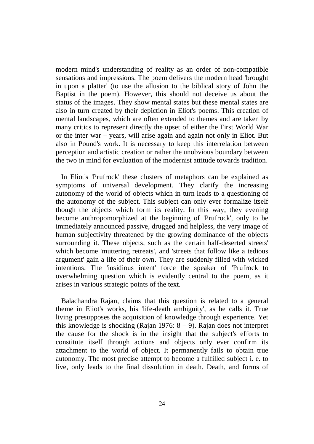modern mind's understanding of reality as an order of non-compatible sensations and impressions. The poem delivers the modern head 'brought in upon a platter' (to use the allusion to the biblical story of John the Baptist in the poem). However, this should not deceive us about the status of the images. They show mental states but these mental states are also in turn created by their depiction in Eliot's poems. This creation of mental landscapes, which are often extended to themes and are taken by many critics to represent directly the upset of either the First World War or the inter war – years, will arise again and again not only in Eliot. But also in Pound's work. It is necessary to keep this interrelation between perception and artistic creation or rather the unobvious boundary between the two in mind for evaluation of the modernist attitude towards tradition.

 In Eliot's 'Prufrock' these clusters of metaphors can be explained as symptoms of universal development. They clarify the increasing autonomy of the world of objects which in turn leads to a questioning of the autonomy of the subject. This subject can only ever formalize itself though the objects which form its reality. In this way, they evening become anthropomorphized at the beginning of 'Prufrock', only to be immediately announced passive, drugged and helpless, the very image of human subjectivity threatened by the growing dominance of the objects surrounding it. These objects, such as the certain half-deserted streets' which become 'muttering retreats', and 'streets that follow like a tedious argument' gain a life of their own. They are suddenly filled with wicked intentions. The 'insidious intent' force the speaker of 'Prufrock to overwhelming question which is evidently central to the poem, as it arises in various strategic points of the text.

Balachandra Rajan, claims that this question is related to a general theme in Eliot's works, his 'life-death ambiguity', as he calls it. True living presupposes the acquisition of knowledge through experience. Yet this knowledge is shocking (Rajan 1976:  $8 - 9$ ). Rajan does not interpret the cause for the shock is in the insight that the subject's efforts to constitute itself through actions and objects only ever confirm its attachment to the world of object. It permanently fails to obtain true autonomy. The most precise attempt to become a fulfilled subject i. e. to live, only leads to the final dissolution in death. Death, and forms of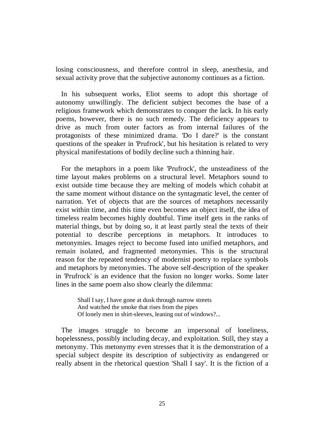losing consciousness, and therefore control in sleep, anesthesia, and sexual activity prove that the subjective autonomy continues as a fiction.

 In his subsequent works, Eliot seems to adopt this shortage of autonomy unwillingly. The deficient subject becomes the base of a religious framework which demonstrates to conquer the lack. In his early poems, however, there is no such remedy. The deficiency appears to drive as much from outer factors as from internal failures of the protagonists of these minimized drama. 'Do I dare?' is the constant questions of the speaker in 'Prufrock', but his hesitation is related to very physical manifestations of bodily decline such a thinning hair.

For the metaphors in a poem like 'Prufrock', the unsteadiness of the time layout makes problems on a structural level. Metaphors sound to exist outside time because they are melting of models which cohabit at the same moment without distance on the syntagmatic level, the center of narration. Yet of objects that are the sources of metaphors necessarily exist within time, and this time even becomes an object itself, the idea of timeless realm becomes highly doubtful. Time itself gets in the ranks of material things, but by doing so, it at least partly steal the texts of their potential to describe perceptions in metaphors. It introduces to metonymies. Images reject to become fused into unified metaphors, and remain isolated, and fragmented metonymies. This is the structural reason for the repeated tendency of modernist poetry to replace symbols and metaphors by metonymies. The above self-description of the speaker in 'Prufrock' is an evidence that the fusion no longer works. Some later lines in the same poem also show clearly the dilemma:

> Shall I say, I have gone at dusk through narrow streets And watched the smoke that rises from the pipes Of lonely men in shirt-sleeves, leaning out of windows?...

 The images struggle to become an impersonal of loneliness, hopelessness, possibly including decay, and exploitation. Still, they stay a metonymy. This metonymy even stresses that it is the demonstration of a special subject despite its description of subjectivity as endangered or really absent in the rhetorical question 'Shall I say'. It is the fiction of a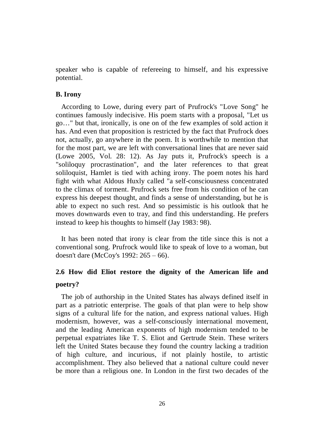speaker who is capable of refereeing to himself, and his expressive potential.

### **B. Irony**

According to Lowe, during every part of Prufrock's "Love Song" he continues famously indecisive. His poem starts with a proposal, "Let us go…" but that, ironically, is one on of the few examples of sold action it has. And even that proposition is restricted by the fact that Prufrock does not, actually, go anywhere in the poem. It is worthwhile to mention that for the most part, we are left with conversational lines that are never said (Lowe 2005, Vol. 28: 12). As Jay puts it, Prufrock's speech is a "soliloquy procrastination", and the later references to that great soliloquist, Hamlet is tied with aching irony. The poem notes his hard fight with what Aldous Huxly called "a self-consciousness concentrated to the climax of torment. Prufrock sets free from his condition of he can express his deepest thought, and finds a sense of understanding, but he is able to expect no such rest. And so pessimistic is his outlook that he moves downwards even to tray, and find this understanding. He prefers instead to keep his thoughts to himself (Jay 1983: 98).

 It has been noted that irony is clear from the title since this is not a conventional song. Prufrock would like to speak of love to a woman, but doesn't dare (McCoy's 1992: 265 – 66).

# **2.6 How did Eliot restore the dignity of the American life and poetry?**

 The job of authorship in the United States has always defined itself in part as a patriotic enterprise. The goals of that plan were to help show signs of a cultural life for the nation, and express national values. High modernism, however, was a self-consciously international movement, and the leading American exponents of high modernism tended to be perpetual expatriates like T. S. Eliot and Gertrude Stein. These writers left the United States because they found the country lacking a tradition of high culture, and incurious, if not plainly hostile, to artistic accomplishment. They also believed that a national culture could never be more than a religious one. In London in the first two decades of the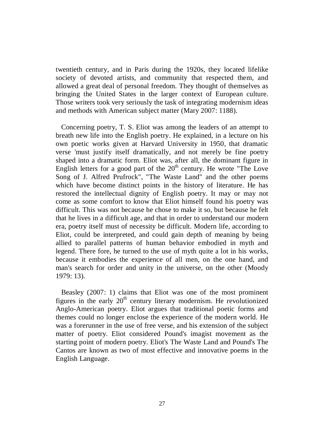twentieth century, and in Paris during the 1920s, they located lifelike society of devoted artists, and community that respected them, and allowed a great deal of personal freedom. They thought of themselves as bringing the United States in the larger context of European culture. Those writers took very seriously the task of integrating modernism ideas and methods with American subject matter (Mary 2007: 1188).

Concerning poetry, T. S. Eliot was among the leaders of an attempt to breath new life into the English poetry. He explained, in a lecture on his own poetic works given at Harvard University in 1950, that dramatic verse 'must justify itself dramatically, and not merely be fine poetry shaped into a dramatic form. Eliot was, after all, the dominant figure in English letters for a good part of the  $20<sup>th</sup>$  century. He wrote "The Love Song of J. Alfred Prufrock", "The Waste Land" and the other poems which have become distinct points in the history of literature. He has restored the intellectual dignity of English poetry. It may or may not come as some comfort to know that Eliot himself found his poetry was difficult. This was not because he chose to make it so, but because he felt that he lives in a difficult age, and that in order to understand our modern era, poetry itself must of necessity be difficult. Modern life, according to Eliot, could be interpreted, and could gain depth of meaning by being allied to parallel patterns of human behavior embodied in myth and legend. There fore, he turned to the use of myth quite a lot in his works, because it embodies the experience of all men, on the one hand, and man's search for order and unity in the universe, on the other (Moody 1979: 13).

Beasley (2007: 1) claims that Eliot was one of the most prominent figures in the early  $20<sup>th</sup>$  century literary modernism. He revolutionized Anglo-American poetry. Eliot argues that traditional poetic forms and themes could no longer enclose the experience of the modern world. He was a forerunner in the use of free verse, and his extension of the subject matter of poetry. Eliot considered Pound's imagist movement as the starting point of modern poetry. Eliot's The Waste Land and Pound's The Cantos are known as two of most effective and innovative poems in the English Language.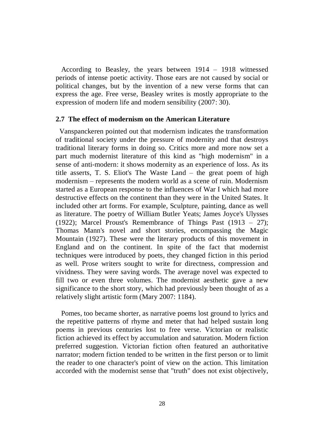According to Beasley, the years between 1914 – 1918 witnessed periods of intense poetic activity. Those ears are not caused by social or political changes, but by the invention of a new verse forms that can express the age. Free verse, Beasley writes is mostly appropriate to the expression of modern life and modern sensibility (2007: 30).

# **2.7 The effect of modernism on the American Literature**

Vanspanckeren pointed out that modernism indicates the transformation of traditional society under the pressure of modernity and that destroys traditional literary forms in doing so. Critics more and more now set a part much modernist literature of this kind as "high modernism" in a sense of anti-modern: it shows modernity as an experience of loss. As its title asserts, T. S. Eliot's The Waste Land – the great poem of high modernism – represents the modern world as a scene of ruin. Modernism started as a European response to the influences of War I which had more destructive effects on the continent than they were in the United States. It included other art forms. For example, Sculpture, painting, dance as well as literature. The poetry of William Butler Yeats; James Joyce's Ulysses (1922); Marcel Proust's Remembrance of Things Past (1913 – 27); Thomas Mann's novel and short stories, encompassing the Magic Mountain (1927). These were the literary products of this movement in England and on the continent. In spite of the fact that modernist techniques were introduced by poets, they changed fiction in this period as well. Prose writers sought to write for directness, compression and vividness. They were saving words. The average novel was expected to fill two or even three volumes. The modernist aesthetic gave a new significance to the short story, which had previously been thought of as a relatively slight artistic form (Mary 2007: 1184).

 Pomes, too became shorter, as narrative poems lost ground to lyrics and the repetitive patterns of rhyme and meter that had helped sustain long poems in previous centuries lost to free verse. Victorian or realistic fiction achieved its effect by accumulation and saturation. Modern fiction preferred suggestion. Victorian fiction often featured an authoritative narrator; modern fiction tended to be written in the first person or to limit the reader to one character's point of view on the action. This limitation accorded with the modernist sense that "truth" does not exist objectively,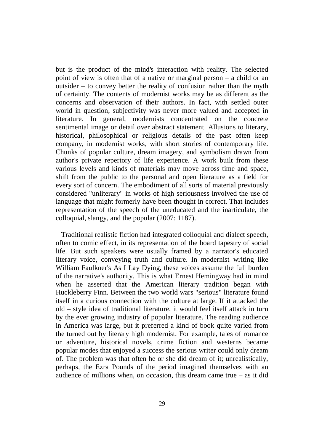but is the product of the mind's interaction with reality. The selected point of view is often that of a native or marginal person – a child or an outsider – to convey better the reality of confusion rather than the myth of certainty. The contents of modernist works may be as different as the concerns and observation of their authors. In fact, with settled outer world in question, subjectivity was never more valued and accepted in literature. In general, modernists concentrated on the concrete sentimental image or detail over abstract statement. Allusions to literary, historical, philosophical or religious details of the past often keep company, in modernist works, with short stories of contemporary life. Chunks of popular culture, dream imagery, and symbolism drawn from author's private repertory of life experience. A work built from these various levels and kinds of materials may move across time and space, shift from the public to the personal and open literature as a field for every sort of concern. The embodiment of all sorts of material previously considered "unliterary" in works of high seriousness involved the use of language that might formerly have been thought in correct. That includes representation of the speech of the uneducated and the inarticulate, the colloquial, slangy, and the popular (2007: 1187).

 Traditional realistic fiction had integrated colloquial and dialect speech, often to comic effect, in its representation of the board tapestry of social life. But such speakers were usually framed by a narrator's educated literary voice, conveying truth and culture. In modernist writing like William Faulkner's As I Lay Dying, these voices assume the full burden of the narrative's authority. This is what Ernest Hemingway had in mind when he asserted that the American literary tradition began with Huckleberry Finn. Between the two world wars "serious" literature found itself in a curious connection with the culture at large. If it attacked the old – style idea of traditional literature, it would feel itself attack in turn by the ever growing industry of popular literature. The reading audience in America was large, but it preferred a kind of book quite varied from the turned out by literary high modernist. For example, tales of romance or adventure, historical novels, crime fiction and westerns became popular modes that enjoyed a success the serious writer could only dream of. The problem was that often he or she did dream of it; unrealistically, perhaps, the Ezra Pounds of the period imagined themselves with an audience of millions when, on occasion, this dream came true  $-$  as it did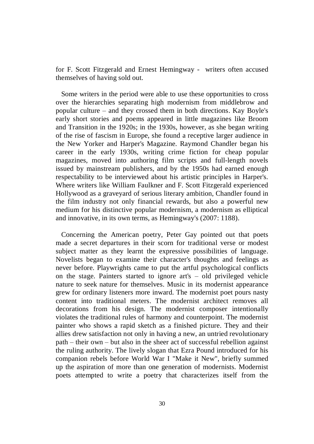for F. Scott Fitzgerald and Ernest Hemingway - writers often accused themselves of having sold out.

Some writers in the period were able to use these opportunities to cross over the hierarchies separating high modernism from middlebrow and popular culture – and they crossed them in both directions. Kay Boyle's early short stories and poems appeared in little magazines like Broom and Transition in the 1920s; in the 1930s, however, as she began writing of the rise of fascism in Europe, she found a receptive larger audience in the New Yorker and Harper's Magazine. Raymond Chandler began his career in the early 1930s, writing crime fiction for cheap popular magazines, moved into authoring film scripts and full-length novels issued by mainstream publishers, and by the 1950s had earned enough respectability to be interviewed about his artistic principles in Harper's. Where writers like William Faulkner and F. Scott Fitzgerald experienced Hollywood as a graveyard of serious literary ambition, Chandler found in the film industry not only financial rewards, but also a powerful new medium for his distinctive popular modernism, a modernism as elliptical and innovative, in its own terms, as Hemingway's (2007: 1188).

Concerning the American poetry, Peter Gay pointed out that poets made a secret departures in their scorn for traditional verse or modest subject matter as they learnt the expressive possibilities of language. Novelists began to examine their character's thoughts and feelings as never before. Playwrights came to put the artful psychological conflicts on the stage. Painters started to ignore art's – old privileged vehicle nature to seek nature for themselves. Music in its modernist appearance grew for ordinary listeners more inward. The modernist poet pours nasty content into traditional meters. The modernist architect removes all decorations from his design. The modernist composer intentionally violates the traditional rules of harmony and counterpoint. The modernist painter who shows a rapid sketch as a finished picture. They and their allies drew satisfaction not only in having a new, an untried revolutionary path – their own – but also in the sheer act of successful rebellion against the ruling authority. The lively slogan that Ezra Pound introduced for his companion rebels before World War I "Make it New", briefly summed up the aspiration of more than one generation of modernists. Modernist poets attempted to write a poetry that characterizes itself from the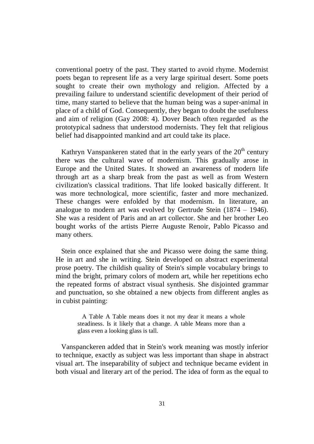conventional poetry of the past. They started to avoid rhyme. Modernist poets began to represent life as a very large spiritual desert. Some poets sought to create their own mythology and religion. Affected by a prevailing failure to understand scientific development of their period of time, many started to believe that the human being was a super-animal in place of a child of God. Consequently, they began to doubt the usefulness and aim of religion (Gay 2008: 4). Dover Beach often regarded as the prototypical sadness that understood modernists. They felt that religious belief had disappointed mankind and art could take its place.

Kathryn Vanspankeren stated that in the early years of the  $20<sup>th</sup>$  century there was the cultural wave of modernism. This gradually arose in Europe and the United States. It showed an awareness of modern life through art as a sharp break from the past as well as from Western civilization's classical traditions. That life looked basically different. It was more technological, more scientific, faster and more mechanized. These changes were enfolded by that modernism. In literature, an analogue to modern art was evolved by Gertrude Stein (1874 – 1946). She was a resident of Paris and an art collector. She and her brother Leo bought works of the artists Pierre Auguste Renoir, Pablo Picasso and many others.

Stein once explained that she and Picasso were doing the same thing. He in art and she in writing. Stein developed on abstract experimental prose poetry. The childish quality of Stein's simple vocabulary brings to mind the bright, primary colors of modern art, while her repetitions echo the repeated forms of abstract visual synthesis. She disjointed grammar and punctuation, so she obtained a new objects from different angles as in cubist painting:

> A Table A Table means does it not my dear it means a whole steadiness. Is it likely that a change. A table Means more than a glass even a looking glass is tall.

Vanspanckeren added that in Stein's work meaning was mostly inferior to technique, exactly as subject was less important than shape in abstract visual art. The inseparability of subject and technique became evident in both visual and literary art of the period. The idea of form as the equal to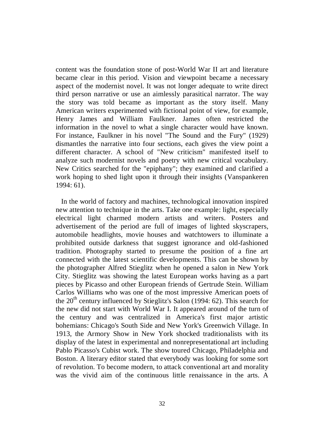content was the foundation stone of post-World War II art and literature became clear in this period. Vision and viewpoint became a necessary aspect of the modernist novel. It was not longer adequate to write direct third person narrative or use an aimlessly parasitical narrator. The way the story was told became as important as the story itself. Many American writers experimented with fictional point of view, for example, Henry James and William Faulkner. James often restricted the information in the novel to what a single character would have known. For instance, Faulkner in his novel "The Sound and the Fury" (1929) dismantles the narrative into four sections, each gives the view point a different character. A school of "New criticism" manifested itself to analyze such modernist novels and poetry with new critical vocabulary. New Critics searched for the "epiphany"; they examined and clarified a work hoping to shed light upon it through their insights (Vanspankeren 1994: 61).

 In the world of factory and machines, technological innovation inspired new attention to technique in the arts. Take one example: light, especially electrical light charmed modern artists and writers. Posters and advertisement of the period are full of images of lighted skyscrapers, automobile headlights, movie houses and watchtowers to illuminate a prohibited outside darkness that suggest ignorance and old-fashioned tradition. Photography started to presume the position of a fine art connected with the latest scientific developments. This can be shown by the photographer Alfred Stieglitz when he opened a salon in New York City. Stieglitz was showing the latest European works having as a part pieces by Picasso and other European friends of Gertrude Stein. William Carlos Williams who was one of the most impressive American poets of the  $20<sup>th</sup>$  century influenced by Stieglitz's Salon (1994: 62). This search for the new did not start with World War I. It appeared around of the turn of the century and was centralized in America's first major artistic bohemians: Chicago's South Side and New York's Greenwich Village. In 1913, the Armory Show in New York shocked traditionalists with its display of the latest in experimental and nonrepresentational art including Pablo Picasso's Cubist work. The show toured Chicago, Philadelphia and Boston. A literary editor stated that everybody was looking for some sort of revolution. To become modern, to attack conventional art and morality was the vivid aim of the continuous little renaissance in the arts. A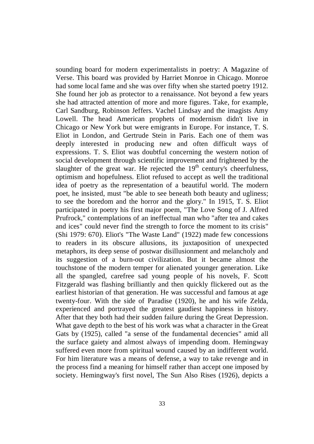sounding board for modern experimentalists in poetry: A Magazine of Verse. This board was provided by Harriet Monroe in Chicago. Monroe had some local fame and she was over fifty when she started poetry 1912. She found her job as protector to a renaissance. Not beyond a few years she had attracted attention of more and more figures. Take, for example, Carl Sandburg, Robinson Jeffers. Vachel Lindsay and the imagists Amy Lowell. The head American prophets of modernism didn't live in Chicago or New York but were emigrants in Europe. For instance, T. S. Eliot in London, and Gertrude Stein in Paris. Each one of them was deeply interested in producing new and often difficult ways of expressions. T. S. Eliot was doubtful concerning the western notion of social development through scientific improvement and frightened by the slaughter of the great war. He rejected the  $19<sup>th</sup>$  century's cheerfulness, optimism and hopefulness. Eliot refused to accept as well the traditional idea of poetry as the representation of a beautiful world. The modern poet, he insisted, must "be able to see beneath both beauty and ugliness; to see the boredom and the horror and the glory." In 1915, T. S. Eliot participated in poetry his first major poem, "The Love Song of J. Alfred Prufrock," contemplations of an ineffectual man who "after tea and cakes and ices" could never find the strength to force the moment to its crisis" (Shi 1979: 670). Eliot's "The Waste Land" (1922) made few concessions to readers in its obscure allusions, its juxtaposition of unexpected metaphors, its deep sense of postwar disillusionment and melancholy and its suggestion of a burn-out civilization. But it became almost the touchstone of the modern temper for alienated younger generation. Like all the spangled, carefree sad young people of his novels, F. Scott Fitzgerald was flashing brilliantly and then quickly flickered out as the earliest historian of that generation. He was successful and famous at age twenty-four. With the side of Paradise (1920), he and his wife Zelda, experienced and portrayed the greatest gaudiest happiness in history. After that they both had their sudden failure during the Great Depression. What gave depth to the best of his work was what a character in the Great Gats by (1925), called "a sense of the fundamental decencies" amid all the surface gaiety and almost always of impending doom. Hemingway suffered even more from spiritual wound caused by an indifferent world. For him literature was a means of defense, a way to take revenge and in the process find a meaning for himself rather than accept one imposed by society. Hemingway's first novel, The Sun Also Rises (1926), depicts a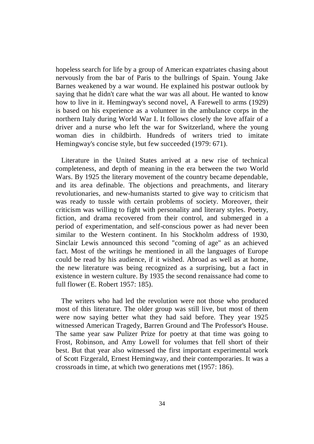hopeless search for life by a group of American expatriates chasing about nervously from the bar of Paris to the bullrings of Spain. Young Jake Barnes weakened by a war wound. He explained his postwar outlook by saying that he didn't care what the war was all about. He wanted to know how to live in it. Hemingway's second novel, A Farewell to arms (1929) is based on his experience as a volunteer in the ambulance corps in the northern Italy during World War I. It follows closely the love affair of a driver and a nurse who left the war for Switzerland, where the young woman dies in childbirth. Hundreds of writers tried to imitate Hemingway's concise style, but few succeeded (1979: 671).

Literature in the United States arrived at a new rise of technical completeness, and depth of meaning in the era between the two World Wars. By 1925 the literary movement of the country became dependable, and its area definable. The objections and preachments, and literary revolutionaries, and new-humanists started to give way to criticism that was ready to tussle with certain problems of society. Moreover, their criticism was willing to fight with personality and literary styles. Poetry, fiction, and drama recovered from their control, and submerged in a period of experimentation, and self-conscious power as had never been similar to the Western continent. In his Stockholm address of 1930, Sinclair Lewis announced this second "coming of age" as an achieved fact. Most of the writings he mentioned in all the languages of Europe could be read by his audience, if it wished. Abroad as well as at home, the new literature was being recognized as a surprising, but a fact in existence in western culture. By 1935 the second renaissance had come to full flower (E. Robert 1957: 185).

 The writers who had led the revolution were not those who produced most of this literature. The older group was still live, but most of them were now saying better what they had said before. They year 1925 witnessed American Tragedy, Barren Ground and The Professor's House. The same year saw Pulizer Prize for poetry at that time was going to Frost, Robinson, and Amy Lowell for volumes that fell short of their best. But that year also witnessed the first important experimental work of Scott Fizgerald, Ernest Hemingway, and their contemporaries. It was a crossroads in time, at which two generations met (1957: 186).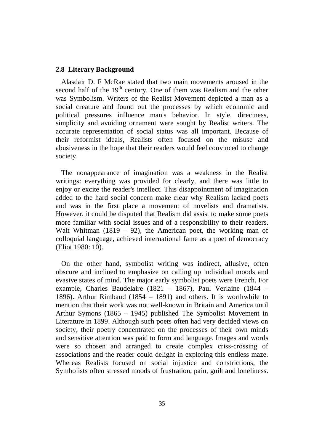### **2.8 Literary Background**

Alasdair D. F McRae stated that two main movements aroused in the second half of the  $19<sup>th</sup>$  century. One of them was Realism and the other was Symbolism. Writers of the Realist Movement depicted a man as a social creature and found out the processes by which economic and political pressures influence man's behavior. In style, directness, simplicity and avoiding ornament were sought by Realist writers. The accurate representation of social status was all important. Because of their reformist ideals, Realists often focused on the misuse and abusiveness in the hope that their readers would feel convinced to change society.

 The nonappearance of imagination was a weakness in the Realist writings: everything was provided for clearly, and there was little to enjoy or excite the reader's intellect. This disappointment of imagination added to the hard social concern make clear why Realism lacked poets and was in the first place a movement of novelists and dramatists. However, it could be disputed that Realism did assist to make some poets more familiar with social issues and of a responsibility to their readers. Walt Whitman  $(1819 - 92)$ , the American poet, the working man of colloquial language, achieved international fame as a poet of democracy (Eliot 1980: 10).

On the other hand, symbolist writing was indirect, allusive, often obscure and inclined to emphasize on calling up individual moods and evasive states of mind. The major early symbolist poets were French. For example, Charles Baudelaire (1821 – 1867), Paul Verlaine (1844 – 1896). Arthur Rimbaud (1854 – 1891) and others. It is worthwhile to mention that their work was not well-known in Britain and America until Arthur Symons (1865 – 1945) published The Symbolist Movement in Literature in 1899. Although such poets often had very decided views on society, their poetry concentrated on the processes of their own minds and sensitive attention was paid to form and language. Images and words were so chosen and arranged to create complex criss-crossing of associations and the reader could delight in exploring this endless maze. Whereas Realists focused on social injustice and constrictions, the Symbolists often stressed moods of frustration, pain, guilt and loneliness.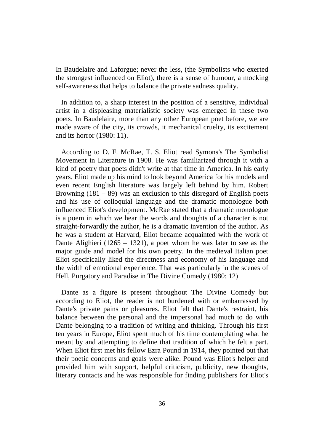In Baudelaire and Laforgue; never the less, (the Symbolists who exerted the strongest influenced on Eliot), there is a sense of humour, a mocking self-awareness that helps to balance the private sadness quality.

 In addition to, a sharp interest in the position of a sensitive, individual artist in a displeasing materialistic society was emerged in these two poets. In Baudelaire, more than any other European poet before, we are made aware of the city, its crowds, it mechanical cruelty, its excitement and its horror (1980: 11).

According to D. F. McRae, T. S. Eliot read Symons's The Symbolist Movement in Literature in 1908. He was familiarized through it with a kind of poetry that poets didn't write at that time in America. In his early years, Eliot made up his mind to look beyond America for his models and even recent English literature was largely left behind by him. Robert Browning  $(181 - 89)$  was an exclusion to this disregard of English poets and his use of colloquial language and the dramatic monologue both influenced Eliot's development. McRae stated that a dramatic monologue is a poem in which we hear the words and thoughts of a character is not straight-forwardly the author, he is a dramatic invention of the author. As he was a student at Harvard, Eliot became acquainted with the work of Dante Alighieri (1265 – 1321), a poet whom he was later to see as the major guide and model for his own poetry. In the medieval Italian poet Eliot specifically liked the directness and economy of his language and the width of emotional experience. That was particularly in the scenes of Hell, Purgatory and Paradise in The Divine Comedy (1980: 12).

Dante as a figure is present throughout The Divine Comedy but according to Eliot, the reader is not burdened with or embarrassed by Dante's private pains or pleasures. Eliot felt that Dante's restraint, his balance between the personal and the impersonal had much to do with Dante belonging to a tradition of writing and thinking. Through his first ten years in Europe, Eliot spent much of his time contemplating what he meant by and attempting to define that tradition of which he felt a part. When Eliot first met his fellow Ezra Pound in 1914, they pointed out that their poetic concerns and goals were alike. Pound was Eliot's helper and provided him with support, helpful criticism, publicity, new thoughts, literary contacts and he was responsible for finding publishers for Eliot's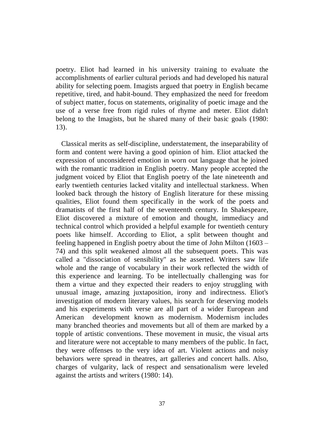poetry. Eliot had learned in his university training to evaluate the accomplishments of earlier cultural periods and had developed his natural ability for selecting poem. Imagists argued that poetry in English became repetitive, tired, and habit-bound. They emphasized the need for freedom of subject matter, focus on statements, originality of poetic image and the use of a verse free from rigid rules of rhyme and meter. Eliot didn't belong to the Imagists, but he shared many of their basic goals (1980: 13).

Classical merits as self-discipline, understatement, the inseparability of form and content were having a good opinion of him. Eliot attacked the expression of unconsidered emotion in worn out language that he joined with the romantic tradition in English poetry. Many people accepted the judgment voiced by Eliot that English poetry of the late nineteenth and early twentieth centuries lacked vitality and intellectual starkness. When looked back through the history of English literature for these missing qualities, Eliot found them specifically in the work of the poets and dramatists of the first half of the seventeenth century. In Shakespeare, Eliot discovered a mixture of emotion and thought, immediacy and technical control which provided a helpful example for twentieth century poets like himself. According to Eliot, a split between thought and feeling happened in English poetry about the time of John Milton (1603 – 74) and this split weakened almost all the subsequent poets. This was called a "dissociation of sensibility" as he asserted. Writers saw life whole and the range of vocabulary in their work reflected the width of this experience and learning. To be intellectually challenging was for them a virtue and they expected their readers to enjoy struggling with unusual image, amazing juxtaposition, irony and indirectness. Eliot's investigation of modern literary values, his search for deserving models and his experiments with verse are all part of a wider European and American development known as modernism. Modernism includes many branched theories and movements but all of them are marked by a topple of artistic conventions. These movement in music, the visual arts and literature were not acceptable to many members of the public. In fact, they were offenses to the very idea of art. Violent actions and noisy behaviors were spread in theatres, art galleries and concert halls. Also, charges of vulgarity, lack of respect and sensationalism were leveled against the artists and writers (1980: 14).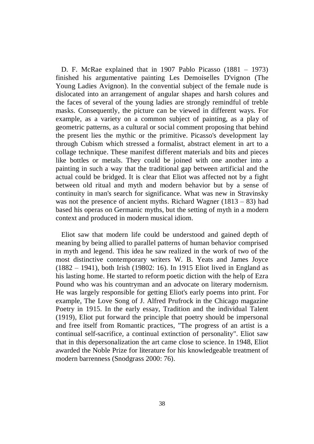D. F. McRae explained that in 1907 Pablo Picasso (1881 – 1973) finished his argumentative painting Les Demoiselles D'vignon (The Young Ladies Avignon). In the convential subject of the female nude is dislocated into an arrangement of angular shapes and harsh colures and the faces of several of the young ladies are strongly remindful of treble masks. Consequently, the picture can be viewed in different ways. For example, as a variety on a common subject of painting, as a play of geometric patterns, as a cultural or social comment proposing that behind the present lies the mythic or the primitive. Picasso's development lay through Cubism which stressed a formalist, abstract element in art to a collage technique. These manifest different materials and bits and pieces like bottles or metals. They could be joined with one another into a painting in such a way that the traditional gap between artificial and the actual could be bridged. It is clear that Eliot was affected not by a fight between old ritual and myth and modern behavior but by a sense of continuity in man's search for significance. What was new in Stravinsky was not the presence of ancient myths. Richard Wagner  $(1813 - 83)$  had based his operas on Germanic myths, but the setting of myth in a modern context and produced in modern musical idiom.

Eliot saw that modern life could be understood and gained depth of meaning by being allied to parallel patterns of human behavior comprised in myth and legend. This idea he saw realized in the work of two of the most distinctive contemporary writers W. B. Yeats and James Joyce (1882 – 1941), both Irish (19802: 16). In 1915 Eliot lived in England as his lasting home. He started to reform poetic diction with the help of Ezra Pound who was his countryman and an advocate on literary modernism. He was largely responsible for getting Eliot's early poems into print. For example, The Love Song of J. Alfred Prufrock in the Chicago magazine Poetry in 1915. In the early essay, Tradition and the individual Talent (1919), Eliot put forward the principle that poetry should be impersonal and free itself from Romantic practices, "The progress of an artist is a continual self-sacrifice, a continual extinction of personality". Eliot saw that in this depersonalization the art came close to science. In 1948, Eliot awarded the Noble Prize for literature for his knowledgeable treatment of modern barrenness (Snodgrass 2000: 76).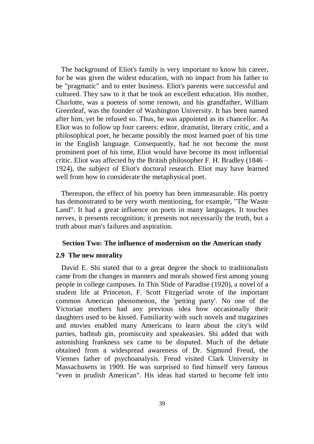The background of Eliot's family is very important to know his career, for he was given the widest education, with no impact from his father to be "pragmatic" and to enter business. Eliot's parents were successful and cultured. They saw to it that be took an excellent education. His mother, Charlotte, was a poetess of some renown, and his grandfather, William Greenleaf, was the founder of Washington University. It has been named after him, yet he refused so. Thus, he was appointed as its chancellor. As Eliot was to follow up four careers: editor, dramatist, literary critic, and a philosophical poet, he became possibly the most learned poet of his time in the English language. Consequently, had he not become the most prominent poet of his time, Eliot would have become its most influential critic. Eliot was affected by the British philosopher F. H. Bradley (1846 – 1924), the subject of Eliot's doctoral research. Eliot may have learned well from how to considerate the metaphysical poet.

 Thereupon, the effect of his poetry has been immeasurable. His poetry has demonstrated to be very worth mentioning, for example, "The Waste Land". It had a great influence on poets in many languages. It touches nerves, it presents recognition; it presents not necessarily the truth, but a truth about man's failures and aspiration.

#### **Section Two: The influence of modernism on the American study**

#### **2.9 The new morality**

David E. Shi stated that to a great degree the shock to traditionalists came from the changes in manners and morals showed first among young people in college campuses. In This Slide of Paradise (1920), a novel of a student life at Princeton, F. Scott Fitzgerlad wrote of the important common American phenomenon, the 'petting party'. No one of the Victorian mothers had any previous idea how occasionally their daughters used to be kissed. Familiarity with such novels and magazines and movies enabled many Americans to learn about the city's wild parties, bathtub gin, promiscuity and speakeasies. Shi added that with astonishing frankness sex came to be disputed. Much of the debate obtained from a widespread awareness of Dr. Sigmund Freud, the Viennes father of psychoanalysis. Freud visited Clark University in Massachusetts in 1909. He was surprised to find himself very famous "even in prudish American". His ideas had started to become felt into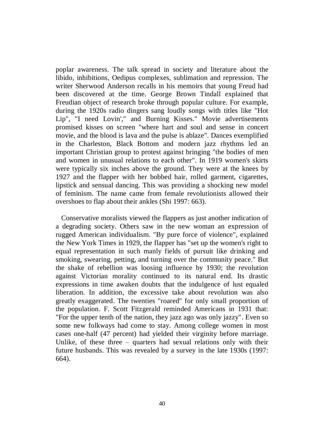poplar awareness. The talk spread in society and literature about the libido, inhibitions, Oedipus complexes, sublimation and repression. The writer Sherwood Anderson recalls in his memoirs that young Freud had been discovered at the time. George Brown Tindall explained that Freudian object of research broke through popular culture. For example, during the 1920s radio dingers sang loudly songs with titles like "Hot Lip", "I need Lovin'," and Burning Kisses." Movie advertisements promised kisses on screen "where hart and soul and sense in concert movie, and the blood is lava and the pulse is ablaze". Dances exemplified in the Charleston, Black Bottom and modern jazz rhythms led an important Christian group to protest against bringing "the bodies of men and women in unusual relations to each other". In 1919 women's skirts were typically six inches above the ground. They were at the knees by 1927 and the flapper with her bobbed hair, rolled garment, cigarettes, lipstick and sensual dancing. This was providing a shocking new model of feminism. The name came from female revolutionists allowed their overshoes to flap about their ankles (Shi 1997: 663).

Conservative moralists viewed the flappers as just another indication of a degrading society. Others saw in the new woman an expression of rugged American individualism. "By pure force of violence", explained the New York Times in 1929, the flapper has "set up the women's right to equal representation in such manly fields of pursuit like drinking and smoking, swearing, petting, and turning over the community peace." But the shake of rebellion was loosing influence by 1930; the revolution against Victorian morality continued to its natural end. Its drastic expressions in time awaken doubts that the indulgence of lust equaled liberation. In addition, the excessive take about revolution was also greatly exaggerated. The twenties "roared" for only small proportion of the population. F. Scott Fitzgerald reminded Americans in 1931 that: "For the upper tenth of the nation, they jazz ago was only jazzy". Even so some new folkways had come to stay. Among college women in most cases one-half (47 percent) had yielded their virginity before marriage. Unlike, of these three  $-$  quarters had sexual relations only with their future husbands. This was revealed by a survey in the late 1930s (1997: 664).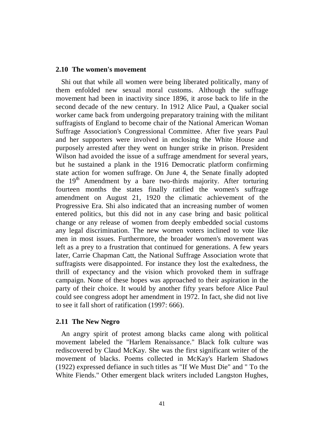#### **2.10 The women's movement**

Shi out that while all women were being liberated politically, many of them enfolded new sexual moral customs. Although the suffrage movement had been in inactivity since 1896, it arose back to life in the second decade of the new century. In 1912 Alice Paul, a Quaker social worker came back from undergoing preparatory training with the militant suffragists of England to become chair of the National American Woman Suffrage Association's Congressional Committee. After five years Paul and her supporters were involved in enclosing the White House and purposely arrested after they went on hunger strike in prison. President Wilson had avoided the issue of a suffrage amendment for several years, but he sustained a plank in the 1916 Democratic platform confirming state action for women suffrage. On June 4, the Senate finally adopted the 19<sup>th</sup> Amendment by a bare two-thirds majority. After torturing fourteen months the states finally ratified the women's suffrage amendment on August 21, 1920 the climatic achievement of the Progressive Era. Shi also indicated that an increasing number of women entered politics, but this did not in any case bring and basic political change or any release of women from deeply embedded social customs any legal discrimination. The new women voters inclined to vote like men in most issues. Furthermore, the broader women's movement was left as a prey to a frustration that continued for generations. A few years later, Carrie Chapman Catt, the National Suffrage Association wrote that suffragists were disappointed. For instance they lost the exaltedness, the thrill of expectancy and the vision which provoked them in suffrage campaign. None of these hopes was approached to their aspiration in the party of their choice. It would by another fifty years before Alice Paul could see congress adopt her amendment in 1972. In fact, she did not live to see it fall short of ratification (1997: 666).

### **2.11 The New Negro**

An angry spirit of protest among blacks came along with political movement labeled the "Harlem Renaissance." Black folk culture was rediscovered by Claud McKay. She was the first significant writer of the movement of blacks. Poems collected in McKay's Harlem Shadows (1922) expressed defiance in such titles as "If We Must Die" and " To the White Fiends." Other emergent black writers included Langston Hughes,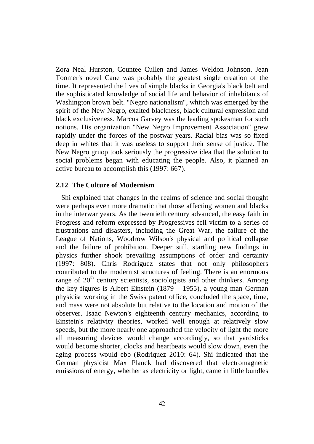Zora Neal Hurston, Countee Cullen and James Weldon Johnson. Jean Toomer's novel Cane was probably the greatest single creation of the time. It represented the lives of simple blacks in Georgia's black belt and the sophisticated knowledge of social life and behavior of inhabitants of Washington brown belt. "Negro nationalism", whitch was emerged by the spirit of the New Negro, exalted blackness, black cultural expression and black exclusiveness. Marcus Garvey was the leading spokesman for such notions. His organization "New Negro Improvement Association" grew rapidly under the forces of the postwar years. Racial bias was so fixed deep in whites that it was useless to support their sense of justice. The New Negro gruop took seriously the progressive idea that the solution to social problems began with educating the people. Also, it planned an active bureau to accomplish this (1997: 667).

### **2.12 The Culture of Modernism**

Shi explained that changes in the realms of science and social thought were perhaps even more dramatic that those affecting women and blacks in the interwar years. As the twentieth century advanced, the easy faith in Progress and reform expressed by Progressives fell victim to a series of frustrations and disasters, including the Great War, the failure of the League of Nations, Woodrow Wilson's physical and political collapse and the failure of prohibition. Deeper still, startling new findings in physics further shook prevailing assumptions of order and certainty (1997: 808). Chris Rodriguez states that not only philosophers contributed to the modernist structures of feeling. There is an enormous range of  $20<sup>th</sup>$  century scientists, sociologists and other thinkers. Among the key figures is Albert Einstein (1879 – 1955), a young man German physicist working in the Swiss patent office, concluded the space, time, and mass were not absolute but relative to the location and motion of the observer. Isaac Newton's eighteenth century mechanics, according to Einstein's relativity theories, worked well enough at relatively slow speeds, but the more nearly one approached the velocity of light the more all measuring devices would change accordingly, so that yardsticks would become shorter, clocks and heartbeats would slow down, even the aging process would ebb (Rodriquez 2010: 64). Shi indicated that the German physicist Max Planck had discovered that electromagnetic emissions of energy, whether as electricity or light, came in little bundles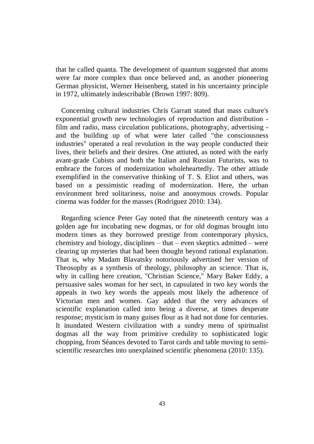that he called quanta. The development of quantum suggested that atoms were far more complex than once believed and, as another pioneering German physicist, Werner Heisenberg, stated in his uncertainty principle in 1972, ultimately indescribable (Brown 1997: 809).

Concerning cultural industries Chris Garratt stated that mass culture's exponential growth new technologies of reproduction and distribution film and radio, mass circulation publications, photography, advertising and the building up of what were later called "the consciousness industries" operated a real revolution in the way people conducted their lives, their beliefs and their desires. One attiuted, as noted with the early avant-grade Cubists and both the Italian and Russian Futurists, was to embrace the forces of modernization wholeheartedly. The other attiude exemplified in the conservative thinking of T. S. Eliot and others, was based on a pessimistic reading of modernization. Here, the urban environment bred solitariness, noise and anonymous crowds. Popular cinema was fodder for the masses (Rodriguez 2010: 134).

Regarding science Peter Gay noted that the nineteenth century was a golden age for incubating new dogmas, or for old dogmas brought into modern times as they borrowed prestige from contemporary physics, chemistry and biology, disciplines – that – even skeptics admitted – were clearing up mysteries that had been thought beyond rational explanation. That is, why Madam Blavatsky notoriously advertised her version of Theosophy as a synthesis of theology, philosophy an science. That is, why in calling here creation, "Christian Science," Mary Baker Eddy, a persuasive sales woman for her sect, in capsulated in two key words the appeals in two key words the appeals most likely the adherence of Victorian men and women. Gay added that the very advances of scientific explanation called into being a diverse, at times desperate response; mysticism in many guises flour as it had not done for centuries. It inundated Western civilization with a sundry menu of spiritualist dogmas all the way from primitive credulity to sophisticated logic chopping, from Séances devoted to Tarot cards and table moving to semiscientific researches into unexplained scientific phenomena (2010: 135).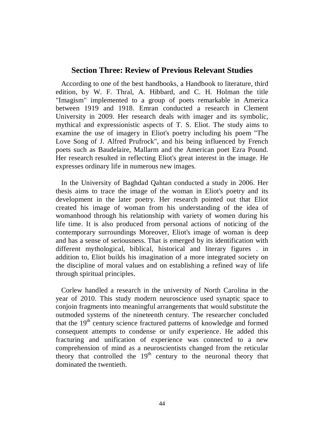# **Section Three: Review of Previous Relevant Studies**

According to one of the best handbooks, a Handbook to literature, third edition, by W. F. Thral, A. Hibbard, and C. H. Holman the title "Imagism" implemented to a group of poets remarkable in America between 1919 and 1918. Emran conducted a research in Clement University in 2009. Her research deals with imager and its symbolic, mythical and expressionistic aspects of T. S. Eliot. The study aims to examine the use of imagery in Eliot's poetry including his poem "The Love Song of J. Alfred Prufrock", and his being influenced by French poets such as Baudelaire, Mallarm and the American poet Ezra Pound. Her research resulted in reflecting Eliot's great interest in the image. He expresses ordinary life in numerous new images.

 In the University of Baghdad Qahtan conducted a study in 2006. Her thesis aims to trace the image of the woman in Eliot's poetry and its development in the later poetry. Her research pointed out that Eliot created his image of woman from his understanding of the idea of womanhood through his relationship with variety of women during his life time. It is also produced from personal actions of noticing of the contemporary surroundings Moreover, Eliot's image of woman is deep and has a sense of seriousness. That is emerged by its identification with different mythological, biblical, historical and literary figures . in addition to, Eliot builds his imagination of a more integrated society on the discipline of moral values and on establishing a refined way of life through spiritual principles.

Corlew handled a research in the university of North Carolina in the year of 2010. This study modern neuroscience used synaptic space to conjoin fragments into meaningful arrangements that would substitute the outmoded systems of the nineteenth century. The researcher concluded that the  $19<sup>th</sup>$  century science fractured patterns of knowledge and formed consequent attempts to condense or unify experience. He added this fracturing and unification of experience was connected to a new comprehension of mind as a neuroscientists changed from the reticular theory that controlled the  $19<sup>th</sup>$  century to the neuronal theory that dominated the twentieth.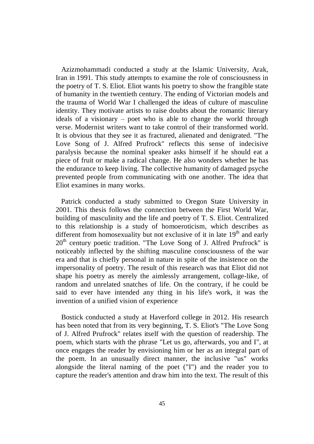Azizmohammadi conducted a study at the Islamic University, Arak, Iran in 1991. This study attempts to examine the role of consciousness in the poetry of T. S. Eliot. Eliot wants his poetry to show the frangible state of humanity in the twentieth century. The ending of Victorian models and the trauma of World War I challenged the ideas of culture of masculine identity. They motivate artists to raise doubts about the romantic literary ideals of a visionary – poet who is able to change the world through verse. Modernist writers want to take control of their transformed world. It is obvious that they see it as fractured, alienated and denigrated. "The Love Song of J. Alfred Prufrock" reflects this sense of indecisive paralysis because the nominal speaker asks himself if he should eat a piece of fruit or make a radical change. He also wonders whether he has the endurance to keep living. The collective humanity of damaged psyche prevented people from communicating with one another. The idea that Eliot examines in many works.

 Patrick conducted a study submitted to Oregon State University in 2001. This thesis follows the connection between the First World War, building of masculinity and the life and poetry of T. S. Eliot. Centralized to this relationship is a study of homoeroticism, which describes as different from homosexuality but not exclusive of it in late  $19<sup>th</sup>$  and early  $20<sup>th</sup>$  century poetic tradition. "The Love Song of J. Alfred Prufrock" is noticeably inflected by the shifting masculine consciousness of the war era and that is chiefly personal in nature in spite of the insistence on the impersonality of poetry. The result of this research was that Eliot did not shape his poetry as merely the aimlessly arrangement, collage-like, of random and unrelated snatches of life. On the contrary, if he could be said to ever have intended any thing in his life's work, it was the invention of a unified vision of experience

Bostick conducted a study at Haverford college in 2012. His research has been noted that from its very beginning, T. S. Eliot's "The Love Song of J. Alfred Prufrock" relates itself with the question of readership. The poem, which starts with the phrase "Let us go, afterwards, you and I", at once engages the reader by envisioning him or her as an integral part of the poem. In an unusually direct manner, the inclusive "us" works alongside the literal naming of the poet ("I") and the reader you to capture the reader's attention and draw him into the text. The result of this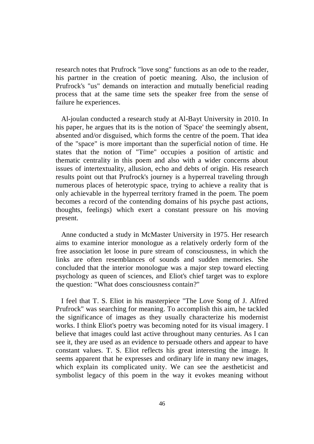research notes that Prufrock "love song" functions as an ode to the reader, his partner in the creation of poetic meaning. Also, the inclusion of Prufrock's "us" demands on interaction and mutually beneficial reading process that at the same time sets the speaker free from the sense of failure he experiences.

Al-joulan conducted a research study at Al-Bayt University in 2010. In his paper, he argues that its is the notion of 'Space' the seemingly absent, absented and/or disguised, which forms the centre of the poem. That idea of the "space" is more important than the superficial notion of time. He states that the notion of "Time" occupies a position of artistic and thematic centrality in this poem and also with a wider concerns about issues of intertextuality, allusion, echo and debts of origin. His research results point out that Prufrock's journey is a hyperreal traveling through numerous places of heterotypic space, trying to achieve a reality that is only achievable in the hyperreal territory framed in the poem. The poem becomes a record of the contending domains of his psyche past actions, thoughts, feelings) which exert a constant pressure on his moving present.

Anne conducted a study in McMaster University in 1975. Her research aims to examine interior monologue as a relatively orderly form of the free association let loose in pure stream of consciousness, in which the links are often resemblances of sounds and sudden memories. She concluded that the interior monologue was a major step toward electing psychology as queen of sciences, and Eliot's chief target was to explore the question: "What does consciousness contain?"

 I feel that T. S. Eliot in his masterpiece "The Love Song of J. Alfred Prufrock" was searching for meaning. To accomplish this aim, he tackled the significance of images as they usually characterize his modernist works. I think Eliot's poetry was becoming noted for its visual imagery. I believe that images could last active throughout many centuries. As I can see it, they are used as an evidence to persuade others and appear to have constant values. T. S. Eliot reflects his great interesting the image. It seems apparent that he expresses and ordinary life in many new images, which explain its complicated unity. We can see the aestheticist and symbolist legacy of this poem in the way it evokes meaning without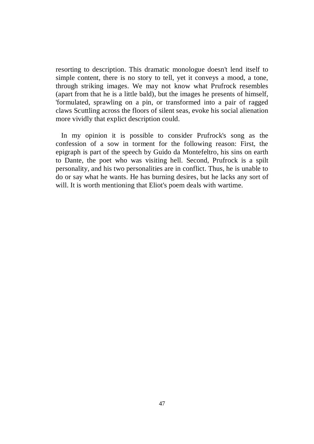resorting to description. This dramatic monologue doesn't lend itself to simple content, there is no story to tell, yet it conveys a mood, a tone, through striking images. We may not know what Prufrock resembles (apart from that he is a little bald), but the images he presents of himself, 'formulated, sprawling on a pin, or transformed into a pair of ragged claws Scuttling across the floors of silent seas, evoke his social alienation more vividly that explict description could.

 In my opinion it is possible to consider Prufrock's song as the confession of a sow in torment for the following reason: First, the epigraph is part of the speech by Guido da Montefeltro, his sins on earth to Dante, the poet who was visiting hell. Second, Prufrock is a spilt personality, and his two personalities are in conflict. Thus, he is unable to do or say what he wants. He has burning desires, but he lacks any sort of will. It is worth mentioning that Eliot's poem deals with wartime.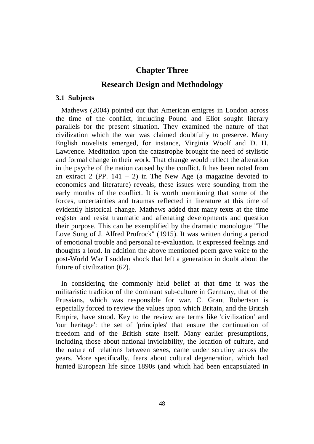# **Chapter Three**

# **Research Design and Methodology**

#### **3.1 Subjects**

Mathews (2004) pointed out that American emigres in London across the time of the conflict, including Pound and Eliot sought literary parallels for the present situation. They examined the nature of that civilization which the war was claimed doubtfully to preserve. Many English novelists emerged, for instance, Virginia Woolf and D. H. Lawrence. Meditation upon the catastrophe brought the need of stylistic and formal change in their work. That change would reflect the alteration in the psyche of the nation caused by the conflict. It has been noted from an extract 2 (PP.  $141 - 2$ ) in The New Age (a magazine devoted to economics and literature) reveals, these issues were sounding from the early months of the conflict. It is worth mentioning that some of the forces, uncertainties and traumas reflected in literature at this time of evidently historical change. Mathews added that many texts at the time register and resist traumatic and alienating developments and question their purpose. This can be exemplified by the dramatic monologue "The Love Song of J. Alfred Prufrock" (1915). It was written during a period of emotional trouble and personal re-evaluation. It expressed feelings and thoughts a loud. In addition the above mentioned poem gave voice to the post-World War I sudden shock that left a generation in doubt about the future of civilization (62).

 In considering the commonly held belief at that time it was the militaristic tradition of the dominant sub-culture in Germany, that of the Prussians, which was responsible for war. C. Grant Robertson is especially forced to review the values upon which Britain, and the British Empire, have stood. Key to the review are terms like 'civilization' and 'our heritage': the set of 'principles' that ensure the continuation of freedom and of the British state itself. Many earlier presumptions, including those about national inviolability, the location of culture, and the nature of relations between sexes, came under scrutiny across the years. More specifically, fears about cultural degeneration, which had hunted European life since 1890s (and which had been encapsulated in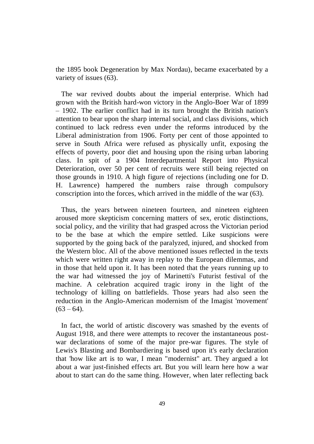the 1895 book Degeneration by Max Nordau), became exacerbated by a variety of issues (63).

 The war revived doubts about the imperial enterprise. Which had grown with the British hard-won victory in the Anglo-Boer War of 1899 – 1902. The earlier conflict had in its turn brought the British nation's attention to bear upon the sharp internal social, and class divisions, which continued to lack redress even under the reforms introduced by the Liberal administration from 1906. Forty per cent of those appointed to serve in South Africa were refused as physically unfit, exposing the effects of poverty, poor diet and housing upon the rising urban laboring class. In spit of a 1904 Interdepartmental Report into Physical Deterioration, over 50 per cent of recruits were still being rejected on those grounds in 1910. A high figure of rejections (including one for D. H. Lawrence) hampered the numbers raise through compulsory conscription into the forces, which arrived in the middle of the war (63).

 Thus, the years between nineteen fourteen, and nineteen eighteen aroused more skepticism concerning matters of sex, erotic distinctions, social policy, and the virility that had grasped across the Victorian period to be the base at which the empire settled. Like suspicions were supported by the going back of the paralyzed, injured, and shocked from the Western bloc. All of the above mentioned issues reflected in the texts which were written right away in replay to the European dilemmas, and in those that held upon it. It has been noted that the years running up to the war had witnessed the joy of Marinetti's Futurist festival of the machine. A celebration acquired tragic irony in the light of the technology of killing on battlefields. Those years had also seen the reduction in the Anglo-American modernism of the Imagist 'movement'  $(63 - 64)$ .

 In fact, the world of artistic discovery was smashed by the events of August 1918, and there were attempts to recover the instantaneous postwar declarations of some of the major pre-war figures. The style of Lewis's Blasting and Bombardiering is based upon it's early declaration that 'how like art is to war, I mean "modernist" art. They argued a lot about a war just-finished effects art. But you will learn here how a war about to start can do the same thing. However, when later reflecting back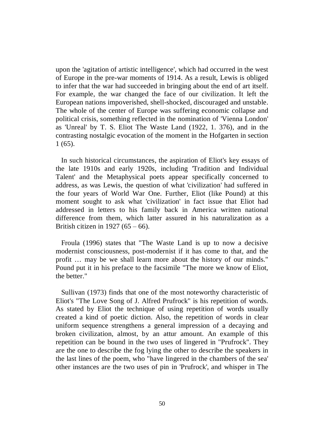upon the 'agitation of artistic intelligence', which had occurred in the west of Europe in the pre-war moments of 1914. As a result, Lewis is obliged to infer that the war had succeeded in bringing about the end of art itself. For example, the war changed the face of our civilization. It left the European nations impoverished, shell-shocked, discouraged and unstable. The whole of the center of Europe was suffering economic collapse and political crisis, something reflected in the nomination of 'Vienna London' as 'Unreal' by T. S. Eliot The Waste Land (1922, 1. 376), and in the contrasting nostalgic evocation of the moment in the Hofgarten in section 1 (65).

 In such historical circumstances, the aspiration of Eliot's key essays of the late 1910s and early 1920s, including 'Tradition and Individual Talent' and the Metaphysical poets appear specifically concerned to address, as was Lewis, the question of what 'civilization' had suffered in the four years of World War One. Further, Eliot (like Pound) at this moment sought to ask what 'civilization' in fact issue that Eliot had addressed in letters to his family back in America written national difference from them, which latter assured in his naturalization as a British citizen in 1927 (65 – 66).

Froula (1996) states that "The Waste Land is up to now a decisive modernist consciousness, post-modernist if it has come to that, and the profit … may be we shall learn more about the history of our minds." Pound put it in his preface to the facsimile "The more we know of Eliot, the better."

Sullivan (1973) finds that one of the most noteworthy characteristic of Eliot's "The Love Song of J. Alfred Prufrock" is his repetition of words. As stated by Eliot the technique of using repetition of words usually created a kind of poetic diction. Also, the repetition of words in clear uniform sequence strengthens a general impression of a decaying and broken civilization, almost, by an attur amount. An example of this repetition can be bound in the two uses of lingered in "Prufrock". They are the one to describe the fog lying the other to describe the speakers in the last lines of the poem, who "have lingered in the chambers of the sea' other instances are the two uses of pin in 'Prufrock', and whisper in The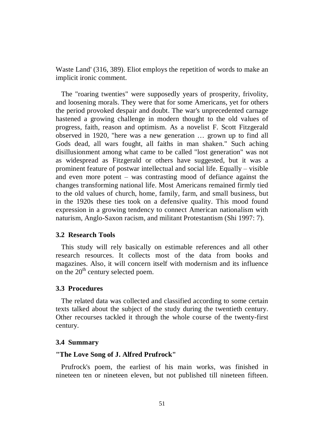Waste Land' (316, 389). Eliot employs the repetition of words to make an implicit ironic comment.

 The "roaring twenties" were supposedly years of prosperity, frivolity, and loosening morals. They were that for some Americans, yet for others the period provoked despair and doubt. The war's unprecedented carnage hastened a growing challenge in modern thought to the old values of progress, faith, reason and optimism. As a novelist F. Scott Fitzgerald observed in 1920, "here was a new generation … grown up to find all Gods dead, all wars fought, all faiths in man shaken." Such aching disillusionment among what came to be called "lost generation" was not as widespread as Fitzgerald or others have suggested, but it was a prominent feature of postwar intellectual and social life. Equally – visible and even more potent – was contrasting mood of defiance against the changes transforming national life. Most Americans remained firmly tied to the old values of church, home, family, farm, and small business, but in the 1920s these ties took on a defensive quality. This mood found expression in a growing tendency to connect American nationalism with naturism, Anglo-Saxon racism, and militant Protestantism (Shi 1997: 7).

### **3.2 Research Tools**

 This study will rely basically on estimable references and all other research resources. It collects most of the data from books and magazines. Also, it will concern itself with modernism and its influence on the  $20<sup>th</sup>$  century selected poem.

#### **3.3 Procedures**

 The related data was collected and classified according to some certain texts talked about the subject of the study during the twentieth century. Other recourses tackled it through the whole course of the twenty-first century.

#### **3.4 Summary**

# **"The Love Song of J. Alfred Prufrock"**

 Prufrock's poem, the earliest of his main works, was finished in nineteen ten or nineteen eleven, but not published till nineteen fifteen.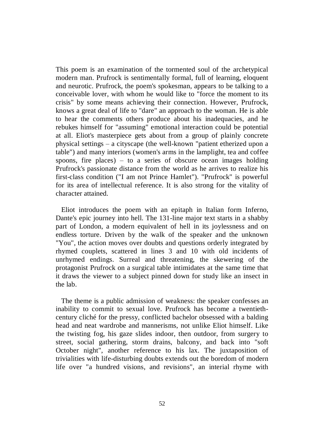This poem is an examination of the tormented soul of the archetypical modern man. Prufrock is sentimentally formal, full of learning, eloquent and neurotic. Prufrock, the poem's spokesman, appears to be talking to a conceivable lover, with whom he would like to "force the moment to its crisis" by some means achieving their connection. However, Prufrock, knows a great deal of life to "dare" an approach to the woman. He is able to hear the comments others produce about his inadequacies, and he rebukes himself for "assuming" emotional interaction could be potential at all. Eliot's masterpiece gets about from a group of plainly concrete physical settings – a cityscape (the well-known "patient etherized upon a table") and many interiors (women's arms in the lamplight, tea and coffee spoons, fire places) – to a series of obscure ocean images holding Prufrock's passionate distance from the world as he arrives to realize his first-class condition ("I am not Prince Hamlet"). "Prufrock" is powerful for its area of intellectual reference. It is also strong for the vitality of character attained.

Eliot introduces the poem with an epitaph in Italian form Inferno, Dante's epic journey into hell. The 131-line major text starts in a shabby part of London, a modern equivalent of hell in its joylessness and on endless torture. Driven by the walk of the speaker and the unknown "You", the action moves over doubts and questions orderly integrated by rhymed couplets, scattered in lines 3 and 10 with old incidents of unrhymed endings. Surreal and threatening, the skewering of the protagonist Prufrock on a surgical table intimidates at the same time that it draws the viewer to a subject pinned down for study like an insect in the lab.

 The theme is a public admission of weakness: the speaker confesses an inability to commit to sexual love. Prufrock has become a twentiethcentury cliché for the pressy, conflicted bachelor obsessed with a balding head and neat wardrobe and mannerisms, not unlike Eliot himself. Like the twisting fog, his gaze slides indoor, then outdoor, from surgery to street, social gathering, storm drains, balcony, and back into "soft October night", another reference to his lax. The juxtaposition of trivialities with life-disturbing doubts extends out the boredom of modern life over "a hundred visions, and revisions", an interial rhyme with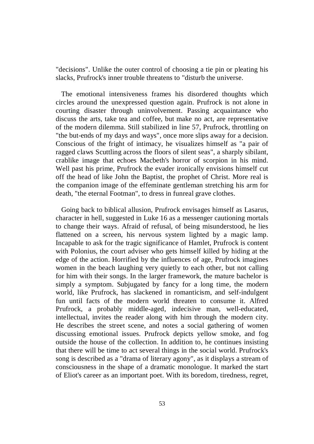"decisions". Unlike the outer control of choosing a tie pin or pleating his slacks, Prufrock's inner trouble threatens to "disturb the universe.

 The emotional intensiveness frames his disordered thoughts which circles around the unexpressed question again. Prufrock is not alone in courting disaster through uninvolvement. Passing acquaintance who discuss the arts, take tea and coffee, but make no act, are representative of the modern dilemma. Still stabilized in line 57, Prufrock, throttling on "the but-ends of my days and ways", once more slips away for a decision. Conscious of the fright of intimacy, he visualizes himself as "a pair of ragged claws Scuttling across the floors of silent seas", a sharply sibilant, crablike image that echoes Macbeth's horror of scorpion in his mind. Well past his prime, Prufrock the evader ironically envisions himself cut off the head of like John the Baptist, the prophet of Christ. More real is the companion image of the effeminate gentleman stretching his arm for death, "the eternal Footman", to dress in funreal grave clothes.

Going back to biblical allusion, Prufrock envisages himself as Lasarus, character in hell, suggested in Luke 16 as a messenger cautioning mortals to change their ways. Afraid of refusal, of being misunderstood, he lies flattened on a screen, his nervous system lighted by a magic lamp. Incapable to ask for the tragic significance of Hamlet, Prufrock is content with Polonius, the court adviser who gets himself killed by hiding at the edge of the action. Horrified by the influences of age, Prufrock imagines women in the beach laughing very quietly to each other, but not calling for him with their songs. In the larger framework, the mature bachelor is simply a symptom. Subjugated by fancy for a long time, the modern world, like Prufrock, has slackened in romanticism, and self-indulgent fun until facts of the modern world threaten to consume it. Alfred Prufrock, a probably middle-aged, indecisive man, well-educated, intellectual, invites the reader along with him through the modern city. He describes the street scene, and notes a social gathering of women discussing emotional issues. Prufrock depicts yellow smoke, and fog outside the house of the collection. In addition to, he continues insisting that there will be time to act several things in the social world. Prufrock's song is described as a "drama of literary agony", as it displays a stream of consciousness in the shape of a dramatic monologue. It marked the start of Eliot's career as an important poet. With its boredom, tiredness, regret,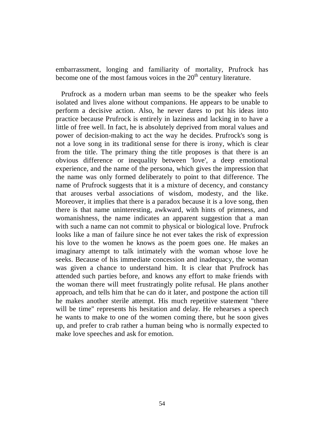embarrassment, longing and familiarity of mortality, Prufrock has become one of the most famous voices in the  $20<sup>th</sup>$  century literature.

 Prufrock as a modern urban man seems to be the speaker who feels isolated and lives alone without companions. He appears to be unable to perform a decisive action. Also, he never dares to put his ideas into practice because Prufrock is entirely in laziness and lacking in to have a little of free well. In fact, he is absolutely deprived from moral values and power of decision-making to act the way he decides. Prufrock's song is not a love song in its traditional sense for there is irony, which is clear from the title. The primary thing the title proposes is that there is an obvious difference or inequality between 'love', a deep emotional experience, and the name of the persona, which gives the impression that the name was only formed deliberately to point to that difference. The name of Prufrock suggests that it is a mixture of decency, and constancy that arouses verbal associations of wisdom, modesty, and the like. Moreover, it implies that there is a paradox because it is a love song, then there is that name uninteresting, awkward, with hints of primness, and womanishness, the name indicates an apparent suggestion that a man with such a name can not commit to physical or biological love. Prufrock looks like a man of failure since he not ever takes the risk of expression his love to the women he knows as the poem goes one. He makes an imaginary attempt to talk intimately with the woman whose love he seeks. Because of his immediate concession and inadequacy, the woman was given a chance to understand him. It is clear that Prufrock has attended such parties before, and knows any effort to make friends with the woman there will meet frustratingly polite refusal. He plans another approach, and tells him that he can do it later, and postpone the action till he makes another sterile attempt. His much repetitive statement "there will be time" represents his hesitation and delay. He rehearses a speech he wants to make to one of the women coming there, but he soon gives up, and prefer to crab rather a human being who is normally expected to make love speeches and ask for emotion.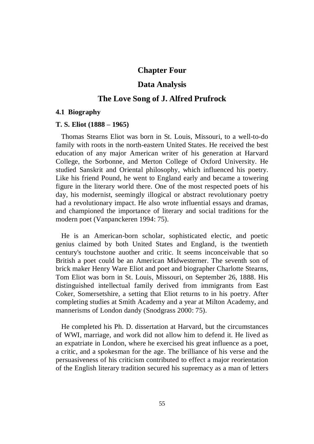# **Chapter Four**

# **Data Analysis**

# **The Love Song of J. Alfred Prufrock**

#### **4.1 Biography**

#### **T. S. Eliot (1888 – 1965)**

 Thomas Stearns Eliot was born in St. Louis, Missouri, to a well-to-do family with roots in the north-eastern United States. He received the best education of any major American writer of his generation at Harvard College, the Sorbonne, and Merton College of Oxford University. He studied Sanskrit and Oriental philosophy, which influenced his poetry. Like his friend Pound, he went to England early and became a towering figure in the literary world there. One of the most respected poets of his day, his modernist, seemingly illogical or abstract revolutionary poetry had a revolutionary impact. He also wrote influential essays and dramas, and championed the importance of literary and social traditions for the modern poet (Vanpanckeren 1994: 75).

He is an American-born scholar, sophisticated electic, and poetic genius claimed by both United States and England, is the twentieth century's touchstone auother and critic. It seems inconceivable that so British a poet could be an American Midwesterner. The seventh son of brick maker Henry Ware Eliot and poet and biographer Charlotte Stearns, Tom Eliot was born in St. Louis, Missouri, on September 26, 1888. His distinguished intellectual family derived from immigrants from East Coker, Somersetshire, a setting that Eliot returns to in his poetry. After completing studies at Smith Academy and a year at Milton Academy, and mannerisms of London dandy (Snodgrass 2000: 75).

He completed his Ph. D. dissertation at Harvard, but the circumstances of WWI, marriage, and work did not allow him to defend it. He lived as an expatriate in London, where he exercised his great influence as a poet, a critic, and a spokesman for the age. The brilliance of his verse and the persuasiveness of his criticism contributed to effect a major reorientation of the English literary tradition secured his supremacy as a man of letters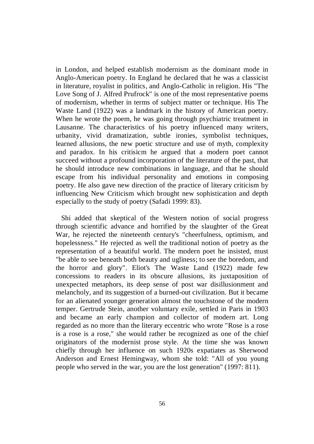in London, and helped establish modernism as the dominant mode in Anglo-American poetry. In England he declared that he was a classicist in literature, royalist in politics, and Anglo-Catholic in religion. His "The Love Song of J. Alfred Prufrock" is one of the most representative poems of modernism, whether in terms of subject matter or technique. His The Waste Land (1922) was a landmark in the history of American poetry. When he wrote the poem, he was going through psychiatric treatment in Lausanne. The characteristics of his poetry influenced many writers, urbanity, vivid dramatization, subtle ironies, symbolist techniques, learned allusions, the new poetic structure and use of myth, complexity and paradox. In his critisicm he argued that a modern poet cannot succeed without a profound incorporation of the literature of the past, that he should introduce new combinations in language, and that he should escape from his individual personality and emotions in composing poetry. He also gave new direction of the practice of literary criticism by influencing New Criticism which brought new sophistication and depth especially to the study of poetry (Safadi 1999: 83).

Shi added that skeptical of the Western notion of social progress through scientific advance and horrified by the slaughter of the Great War, he rejected the nineteenth century's "cheerfulness, optimism, and hopelessness." He rejected as well the traditional notion of poetry as the representation of a beautiful world. The modern poet he insisted, must "be able to see beneath both beauty and ugliness; to see the boredom, and the horror and glory". Eliot's The Waste Land (1922) made few concessions to readers in its obscure allusions, its juxtaposition of unexpected metaphors, its deep sense of post war disillusionment and melancholy, and its suggestion of a burned-out civilization. But it became for an alienated younger generation almost the touchstone of the modern temper. Gertrude Stein, another voluntary exile, settled in Paris in 1903 and became an early champion and collector of modern art. Long regarded as no more than the literary eccentric who wrote "Rose is a rose is a rose is a rose," she would rather be recognized as one of the chief originators of the modernist prose style. At the time she was known chiefly through her influence on such 1920s expatiates as Sherwood Anderson and Ernest Hemingway, whom she told: "All of you young people who served in the war, you are the lost generation" (1997: 811).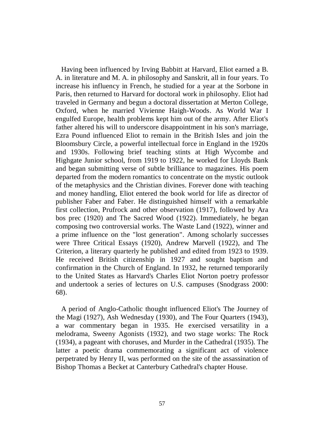Having been influenced by Irving Babbitt at Harvard, Eliot earned a B. A. in literature and M. A. in philosophy and Sanskrit, all in four years. To increase his influency in French, he studied for a year at the Sorbone in Paris, then returned to Harvard for doctoral work in philosophy. Eliot had traveled in Germany and begun a doctoral dissertation at Merton College, Oxford, when he married Vivienne Haigh-Woods. As World War I engulfed Europe, health problems kept him out of the army. After Eliot's father altered his will to underscore disappointment in his son's marriage, Ezra Pound influenced Eliot to remain in the British Isles and join the Bloomsbury Circle, a powerful intellectual force in England in the 1920s and 1930s. Following brief teaching stints at High Wycombe and Highgate Junior school, from 1919 to 1922, he worked for Lloyds Bank and began submitting verse of subtle brilliance to magazines. His poem departed from the modern romantics to concentrate on the mystic outlook of the metaphysics and the Christian divines. Forever done with teaching and money handling, Eliot entered the book world for life as director of publisher Faber and Faber. He distinguished himself with a remarkable first collection, Prufrock and other observation (1917), followed by Ara bos prec (1920) and The Sacred Wood (1922). Immediately, he began composing two controversial works. The Waste Land (1922), winner and a prime influence on the "lost generation". Among scholarly successes were Three Critical Essays (1920), Andrew Marvell (1922), and The Criterion, a literary quarterly he published and edited from 1923 to 1939. He received British citizenship in 1927 and sought baptism and confirmation in the Church of England. In 1932, he returned temporarily to the United States as Harvard's Charles Eliot Norton poetry professor and undertook a series of lectures on U.S. campuses (Snodgrass 2000: 68).

A period of Anglo-Catholic thought influenced Eliot's The Journey of the Magi (1927), Ash Wednesday (1930), and The Four Quarters (1943), a war commentary began in 1935. He exercised versatility in a melodrama, Sweeny Agonists (1932), and two stage works: The Rock (1934), a pageant with choruses, and Murder in the Cathedral (1935). The latter a poetic drama commemorating a significant act of violence perpetrated by Henry II, was performed on the site of the assassination of Bishop Thomas a Becket at Canterbury Cathedral's chapter House.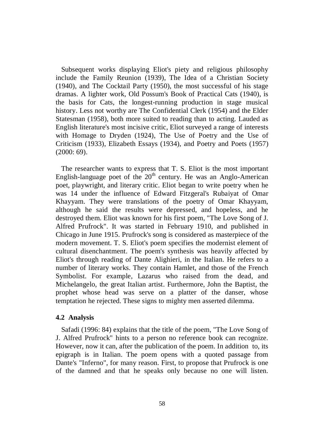Subsequent works displaying Eliot's piety and religious philosophy include the Family Reunion (1939), The Idea of a Christian Society (1940), and The Cocktail Party (1950), the most successful of his stage dramas. A lighter work, Old Possum's Book of Practical Cats (1940), is the basis for Cats, the longest-running production in stage musical history. Less not worthy are The Confidential Clerk (1954) and the Elder Statesman (1958), both more suited to reading than to acting. Lauded as English literature's most incisive critic, Eliot surveyed a range of interests with Homage to Dryden (1924), The Use of Poetry and the Use of Criticism (1933), Elizabeth Essays (1934), and Poetry and Poets (1957) (2000: 69).

 The researcher wants to express that T. S. Eliot is the most important English-language poet of the  $20<sup>th</sup>$  century. He was an Anglo-American poet, playwright, and literary critic. Eliot began to write poetry when he was 14 under the influence of Edward Fitzgeral's Rubaiyat of Omar Khayyam. They were translations of the poetry of Omar Khayyam, although he said the results were depressed, and hopeless, and he destroyed them. Eliot was known for his first poem, "The Love Song of J. Alfred Prufrock". It was started in February 1910, and published in Chicago in June 1915. Prufrock's song is considered as masterpiece of the modern movement. T. S. Eliot's poem specifies the modernist element of cultural disenchantment. The poem's synthesis was heavily affected by Eliot's through reading of Dante Alighieri, in the Italian. He refers to a number of literary works. They contain Hamlet, and those of the French Symbolist. For example, Lazarus who raised from the dead, and Michelangelo, the great Italian artist. Furthermore, John the Baptist, the prophet whose head was serve on a platter of the danser, whose temptation he rejected. These signs to mighty men asserted dilemma.

### **4.2 Analysis**

Safadi (1996: 84) explains that the title of the poem, "The Love Song of J. Alfred Prufrock" hints to a person no reference book can recognize. However, now it can, after the publication of the poem. In addition to, its epigraph is in Italian. The poem opens with a quoted passage from Dante's "Inferno", for many reason. First, to propose that Prufrock is one of the damned and that he speaks only because no one will listen.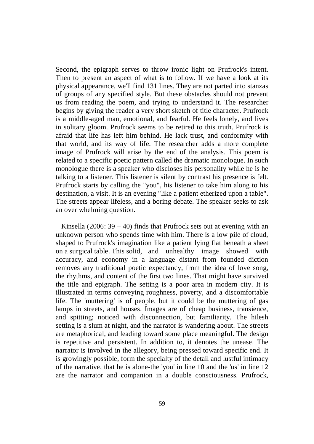Second, the epigraph serves to throw ironic light on Prufrock's intent. Then to present an aspect of what is to follow. If we have a look at its physical appearance, we'll find 131 lines. They are not parted into stanzas of groups of any specified style. But these obstacles should not prevent us from reading the poem, and trying to understand it. The researcher begins by giving the reader a very short sketch of title character. Prufrock is a middle-aged man, emotional, and fearful. He feels lonely, and lives in solitary gloom. Prufrock seems to be retired to this truth. Prufrock is afraid that life has left him behind. He lack trust, and conformity with that world, and its way of life. The researcher adds a more complete image of Prufrock will arise by the end of the analysis. This poem is related to a specific poetic pattern called the dramatic monologue. In such monologue there is a speaker who discloses his personality while he is he talking to a listener. This listener is silent by contrast his presence is felt. Prufrock starts by calling the "you", his listener to take him along to his destination, a visit. It is an evening "like a patient etherized upon a table". The streets appear lifeless, and a boring debate. The speaker seeks to ask an over whelming question.

Kinsella  $(2006: 39 – 40)$  finds that Prufrock sets out at evening with an unknown person who spends time with him. There is a low pile of cloud, shaped to Prufrock's imagination like a patient lying flat beneath a sheet on a surgical table. This solid, and unhealthy image showed with accuracy, and economy in a language distant from founded diction removes any traditional poetic expectancy, from the idea of love song, the rhythms, and content of the first two lines. That might have survived the title and epigraph. The setting is a poor area in modern city. It is illustrated in terms conveying roughness, poverty, and a discomfortable life. The 'muttering' is of people, but it could be the muttering of gas lamps in streets, and houses. Images are of cheap business, transience, and spitting; noticed with disconnection, but familiarity. The hilesh setting is a slum at night, and the narrator is wandering about. The streets are metaphorical, and leading toward some place meaningful. The design is repetitive and persistent. In addition to, it denotes the unease. The narrator is involved in the allegory, being pressed toward specific end. It is growingly possible, form the specialty of the detail and lustful intimacy of the narrative, that he is alone-the 'you' in line 10 and the 'us' in line 12 are the narrator and companion in a double consciousness. Prufrock,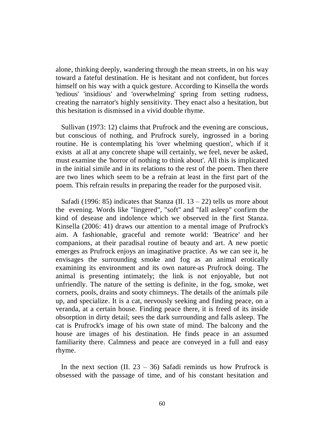alone, thinking deeply, wandering through the mean streets, in on his way toward a fateful destination. He is hesitant and not confident, but forces himself on his way with a quick gesture. According to Kinsella the words 'tedious' 'insidious' and 'overwhelming' spring from setting rudness, creating the narrator's highly sensitivity. They enact also a hesitation, but this hesitation is dismissed in a vivid double rhyme.

Sullivan (1973: 12) claims that Prufrock and the evening are conscious, but conscious of nothing, and Prufrock surely, ingrossed in a boring routine. He is contemplating his 'over whelming question', which if it exists at all at any concrete shape will certainly, we feel, never be asked, must examine the 'horror of nothing to think about'. All this is implicated in the initial simile and in its relations to the rest of the poem. Then there are two lines which seem to be a refrain at least in the first part of the poem. This refrain results in preparing the reader for the purposed visit.

Safadi (1996: 85) indicates that Stanza (II.  $13 - 22$ ) tells us more about the evening. Words like "lingered", "soft" and "fall asleep" confirm the kind of desease and indolence which we observed in the first Stanza. Kinsella (2006: 41) draws our attention to a mental image of Prufrock's aim. A fashionable, graceful and remote world: 'Beatrice' and her companions, at their paradisal routine of beauty and art. A new poetic emerges as Prufrock enjoys an imaginative practice. As we can see it, he envisages the surrounding smoke and fog as an animal erotically examining its environment and its own nature-as Prufrock doing. The animal is presenting intimately; the link is not enjoyable, but not unfriendly. The nature of the setting is definite, in the fog, smoke, wet corners, pools, drains and sooty chimneys. The details of the animals pile up, and specialize. It is a cat, nervously seeking and finding peace, on a veranda, at a certain house. Finding peace there, it is freed of its inside obsorption in dirty detail; sees the dark surrounding and falls asleep. The cat is Prufrock's image of his own state of mind. The balcony and the house are images of his destination. He finds peace in an assumed familiarity there. Calmness and peace are conveyed in a full and easy rhyme.

In the next section (II.  $23 - 36$ ) Safadi reminds us how Prufrock is obsessed with the passage of time, and of his constant hesitation and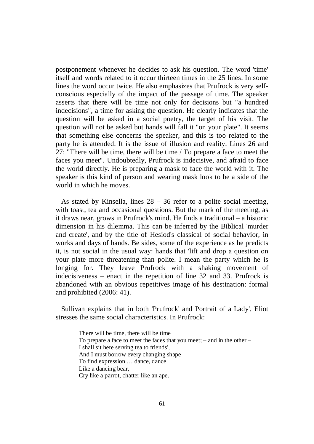postponement whenever he decides to ask his question. The word 'time' itself and words related to it occur thirteen times in the 25 lines. In some lines the word occur twice. He also emphasizes that Prufrock is very selfconscious especially of the impact of the passage of time. The speaker asserts that there will be time not only for decisions but "a hundred indecisions", a time for asking the question. He clearly indicates that the question will be asked in a social poetry, the target of his visit. The question will not be asked but hands will fall it "on your plate". It seems that something else concerns the speaker, and this is too related to the party he is attended. It is the issue of illusion and reality. Lines 26 and 27: "There will be time, there will be time / To prepare a face to meet the faces you meet". Undoubtedly, Prufrock is indecisive, and afraid to face the world directly. He is preparing a mask to face the world with it. The speaker is this kind of person and wearing mask look to be a side of the world in which he moves.

As stated by Kinsella, lines  $28 - 36$  refer to a polite social meeting, with toast, tea and occasional questions. But the mark of the meeting, as it draws near, grows in Prufrock's mind. He finds a traditional – a historic dimension in his dilemma. This can be inferred by the Biblical 'murder and create', and by the title of Hesiod's classical of social behavior, in works and days of hands. Be sides, some of the experience as he predicts it, is not social in the usual way: hands that 'lift and drop a question on your plate more threatening than polite. I mean the party which he is longing for. They leave Prufrock with a shaking movement of indecisiveness – enact in the repetition of line 32 and 33. Prufrock is abandoned with an obvious repetitives image of his destination: formal and prohibited (2006: 41).

Sullivan explains that in both 'Prufrock' and Portrait of a Lady', Eliot stresses the same social characteristics. In Prufrock:

> There will be time, there will be time To prepare a face to meet the faces that you meet; – and in the other – I shall sit here serving tea to friends', And I must borrow every changing shape To find expression … dance, dance Like a dancing bear, Cry like a parrot, chatter like an ape.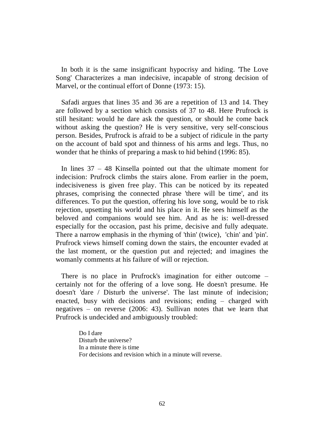In both it is the same insignificant hypocrisy and hiding. 'The Love Song' Characterizes a man indecisive, incapable of strong decision of Marvel, or the continual effort of Donne (1973: 15).

Safadi argues that lines 35 and 36 are a repetition of 13 and 14. They are followed by a section which consists of 37 to 48. Here Prufrock is still hesitant: would he dare ask the question, or should he come back without asking the question? He is very sensitive, very self-conscious person. Besides, Prufrock is afraid to be a subject of ridicule in the party on the account of bald spot and thinness of his arms and legs. Thus, no wonder that he thinks of preparing a mask to hid behind (1996: 85).

 In lines 37 – 48 Kinsella pointed out that the ultimate moment for indecision: Prufrock climbs the stairs alone. From earlier in the poem, indecisiveness is given free play. This can be noticed by its repeated phrases, comprising the connected phrase 'there will be time', and its differences. To put the question, offering his love song, would be to risk rejection, upsetting his world and his place in it. He sees himself as the beloved and companions would see him. And as he is: well-dressed especially for the occasion, past his prime, decisive and fully adequate. There a narrow emphasis in the rhyming of 'thin' (twice), 'chin' and 'pin'. Prufrock views himself coming down the stairs, the encounter evaded at the last moment, or the question put and rejected; and imagines the womanly comments at his failure of will or rejection.

 There is no place in Prufrock's imagination for either outcome – certainly not for the offering of a love song. He doesn't presume. He doesn't 'dare / Disturb the universe'. The last minute of indecision; enacted, busy with decisions and revisions; ending – charged with negatives – on reverse (2006: 43). Sullivan notes that we learn that Prufrock is undecided and ambiguously troubled:

> Do I dare Disturb the universe? In a minute there is time For decisions and revision which in a minute will reverse.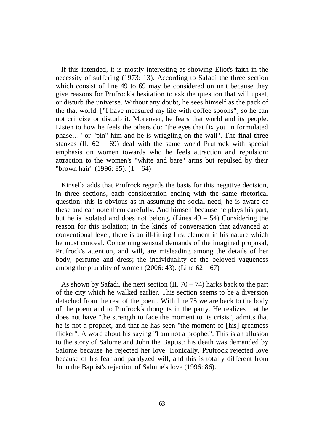If this intended, it is mostly interesting as showing Eliot's faith in the necessity of suffering (1973: 13). According to Safadi the three section which consist of line 49 to 69 may be considered on unit because they give reasons for Prufrock's hesitation to ask the question that will upset, or disturb the universe. Without any doubt, he sees himself as the pack of the that world. ["I have measured my life with coffee spoons"] so he can not criticize or disturb it. Moreover, he fears that world and its people. Listen to how he feels the others do: "the eyes that fix you in formulated phase…" or "pin" him and he is wriggling on the wall". The final three stanzas (II.  $62 - 69$ ) deal with the same world Prufrock with special emphasis on women towards who he feels attraction and repulsion: attraction to the women's "white and bare" arms but repulsed by their "brown hair" (1996: 85).  $(1 - 64)$ 

Kinsella adds that Prufrock regards the basis for this negative decision, in three sections, each consideration ending with the same rhetorical question: this is obvious as in assuming the social need; he is aware of these and can note them carefully. And himself because he plays his part, but he is isolated and does not belong. (Lines  $49 - 54$ ) Considering the reason for this isolation; in the kinds of conversation that advanced at conventional level, there is an ill-fitting first element in his nature which he must conceal. Concerning sensual demands of the imagined proposal, Prufrock's attention, and will, are misleading among the details of her body, perfume and dress; the individuality of the beloved vagueness among the plurality of women  $(2006: 43)$ . (Line  $62 - 67$ )

As shown by Safadi, the next section (II.  $70 - 74$ ) harks back to the part of the city which he walked earlier. This section seems to be a diversion detached from the rest of the poem. With line 75 we are back to the body of the poem and to Prufrock's thoughts in the party. He realizes that he does not have "the strength to face the moment to its crisis", admits that he is not a prophet, and that he has seen "the moment of [his] greatness flicker". A word about his saying "I am not a prophet". This is an allusion to the story of Salome and John the Baptist: his death was demanded by Salome because he rejected her love. Ironically, Prufrock rejected love because of his fear and paralyzed will, and this is totally different from John the Baptist's rejection of Salome's love (1996: 86).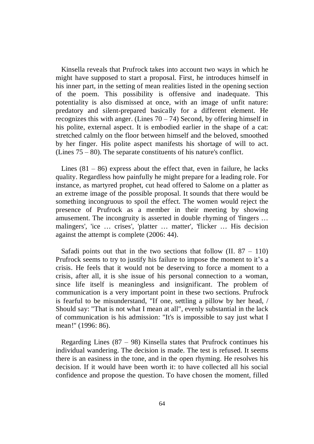Kinsella reveals that Prufrock takes into account two ways in which he might have supposed to start a proposal. First, he introduces himself in his inner part, in the setting of mean realities listed in the opening section of the poem. This possibility is offensive and inadequate. This potentiality is also dismissed at once, with an image of unfit nature: predatory and silent-prepared basically for a different element. He recognizes this with anger. (Lines  $70 - 74$ ) Second, by offering himself in his polite, external aspect. It is embodied earlier in the shape of a cat: stretched calmly on the floor between himself and the beloved, smoothed by her finger. His polite aspect manifests his shortage of will to act. (Lines 75 – 80). The separate constituents of his nature's conflict.

Lines  $(81 – 86)$  express about the effect that, even in failure, he lacks quality. Regardless how painfully he might prepare for a leading role. For instance, as martyred prophet, cut head offered to Salome on a platter as an extreme image of the possible proposal. It sounds that there would be something incongruous to spoil the effect. The women would reject the presence of Prufrock as a member in their meeting by showing amusement. The incongruity is asserted in double rhyming of 'fingers … malingers', 'ice ... crises', 'platter ... matter', 'flicker ... His decision against the attempt is complete (2006: 44).

Safadi points out that in the two sections that follow  $(II, 87 - 110)$ Prufrock seems to try to justify his failure to impose the moment to it's a crisis. He feels that it would not be deserving to force a moment to a crisis, after all, it is she issue of his personal connection to a woman, since life itself is meaningless and insignificant. The problem of communication is a very important point in these two sections. Prufrock is fearful to be misunderstand, "If one, settling a pillow by her head, / Should say: "That is not what I mean at all", evenly substantial in the lack of communication is his admission: "It's is impossible to say just what I mean!" (1996: 86).

Regarding Lines  $(87 - 98)$  Kinsella states that Prufrock continues his individual wandering. The decision is made. The test is refused. It seems there is an easiness in the tone, and in the open rhyming. He resolves his decision. If it would have been worth it: to have collected all his social confidence and propose the question. To have chosen the moment, filled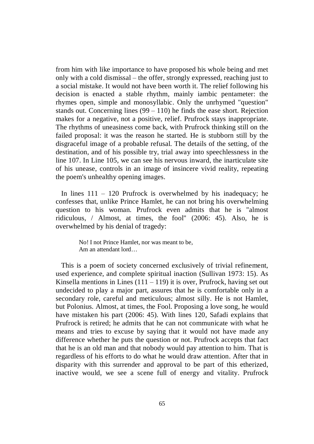from him with like importance to have proposed his whole being and met only with a cold dismissal – the offer, strongly expressed, reaching just to a social mistake. It would not have been worth it. The relief following his decision is enacted a stable rhythm, mainly iambic pentameter: the rhymes open, simple and monosyllabic. Only the unrhymed "question" stands out. Concerning lines  $(99 - 110)$  he finds the ease short. Rejection makes for a negative, not a positive, relief. Prufrock stays inappropriate. The rhythms of uneasiness come back, with Prufrock thinking still on the failed proposal: it was the reason he started. He is stubborn still by the disgraceful image of a probable refusal. The details of the setting, of the destination, and of his possible try, trial away into speechlessness in the line 107. In Line 105, we can see his nervous inward, the inarticulate site of his unease, controls in an image of insincere vivid reality, repeating the poem's unhealthy opening images.

 In lines 111 – 120 Prufrock is overwhelmed by his inadequacy; he confesses that, unlike Prince Hamlet, he can not bring his overwhelming question to his woman. Prufrock even admits that he is "almost ridiculous, / Almost, at times, the fool" (2006: 45). Also, he is overwhelmed by his denial of tragedy:

> No! I not Prince Hamlet, nor was meant to be, Am an attendant lord…

 This is a poem of society concerned exclusively of trivial refinement, used experience, and complete spiritual inaction (Sullivan 1973: 15). As Kinsella mentions in Lines  $(111 - 119)$  it is over, Prufrock, having set out undecided to play a major part, assures that he is comfortable only in a secondary role, careful and meticulous; almost silly. He is not Hamlet, but Polonius. Almost, at times, the Fool. Proposing a love song, he would have mistaken his part (2006: 45). With lines 120, Safadi explains that Prufrock is retired; he admits that he can not communicate with what he means and tries to excuse by saying that it would not have made any difference whether he puts the question or not. Prufrock accepts that fact that he is an old man and that nobody would pay attention to him. That is regardless of his efforts to do what he would draw attention. After that in disparity with this surrender and approval to be part of this etherized, inactive would, we see a scene full of energy and vitality. Prufrock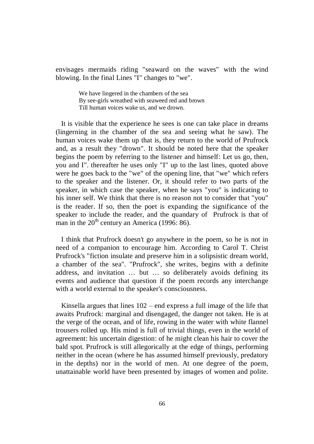envisages mermaids riding "seaward on the waves" with the wind blowing. In the final Lines "I" changes to "we".

> We have lingered in the chambers of the sea By see-girls wreathed with seaweed red and brown Till human voices wake us, and we drown.

 It is visible that the experience he sees is one can take place in dreams (lingerning in the chamber of the sea and seeing what he saw). The human voices wake them up that is, they return to the world of Prufrock and, as a result they "drown". It should be noted here that the speaker begins the poem by referring to the listener and himself: Let us go, then, you and I". thereafter he uses only "I" up to the last lines, quoted above were he goes back to the "we" of the opening line, that "we" which refers to the speaker and the listener. Or, it should refer to two parts of the speaker, in which case the speaker, when he says "you" is indicating to his inner self. We think that there is no reason not to consider that "you" is the reader. If so, then the poet is expanding the significance of the speaker to include the reader, and the quandary of Prufrock is that of man in the  $20<sup>th</sup>$  century an America (1996: 86).

 I think that Prufrock doesn't go anywhere in the poem, so he is not in need of a companion to encourage him. According to Carol T. Christ Prufrock's "fiction insulate and preserve him in a solipsistic dream world, a chamber of the sea". "Prufrock", she writes, begins with a definite address, and invitation … but … so deliberately avoids defining its events and audience that question if the poem records any interchange with a world external to the speaker's consciousness.

Kinsella argues that lines 102 – end express a full image of the life that awaits Prufrock: marginal and disengaged, the danger not taken. He is at the verge of the ocean, and of life, rowing in the water with white flannel trousers rolled up. His mind is full of trivial things, even in the world of agreement: his uncertain digestion: of he might clean his hair to cover the bald spot. Prufrock is still allegorically at the edge of things, performing neither in the ocean (where he has assumed himself previously, predatory in the depths) nor in the world of men. At one degree of the poem, unattainable world have been presented by images of women and polite.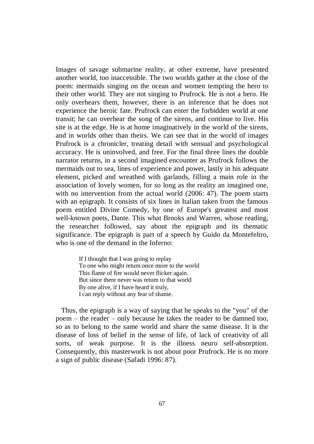Images of savage submarine reality, at other extreme, have presented another world, too inaccessible. The two worlds gather at the close of the poem: mermaids singing on the ocean and women tempting the hero to their other world. They are not singing to Prufrock. He is not a hero. He only overhears them, however, there is an inference that he does not experience the heroic fate. Prufrock can enter the forbidden world at one transit; he can overhear the song of the sirens, and continue to live. His site is at the edge. He is at home imaginatively in the world of the sirens, and in worlds other than theirs. We can see that in the world of images Prufrock is a chronicler, treating detail with sensual and psychological accuracy. He is uninvolved, and free. For the final three lines the double narrator returns, in a second imagined encounter as Prufrock follows the mermaids out to sea, lines of experience and power, lastly in his adequate element, picked and wreathed with garlands, filling a main role in the association of lovely women, for so long as the reality an imagined one, with no intervention from the actual world (2006: 47). The poem starts with an epigraph. It consists of six lines in Italian taken from the famous poem entitled Divine Comedy, by one of Europe's greatest and most well-known poets, Dante. This what Brooks and Warren, whose reading, the researcher followed, say about the epigraph and its thematic significance. The epigraph is part of a speech by Guido da Montefeltro, who is one of the demand in the Inferno:

> If I thought that I was going to replay To one who might return once more to the world This flame of fire would never flicker again. But since there never was return to that world By one alive, if I have heard it truly, I can reply without any fear of shame.

 Thus, the epigraph is a way of saying that he speaks to the "you" of the poem – the reader – only because he takes the reader to be damned too, so as to belong to the same world and share the same disease. It is the disease of loss of belief in the sense of life, of lack of creativity of all sorts, of weak purpose. It is the illness neuro self-absorption. Consequently, this masterwork is not about poor Prufrock. He is no more a sign of public disease (Safadi 1996: 87).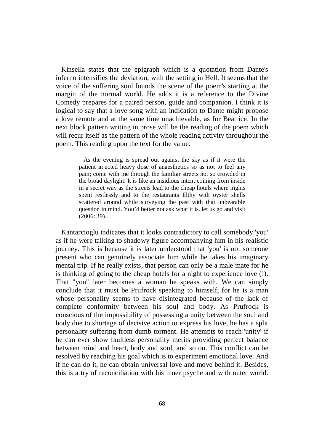Kinsella states that the epigraph which is a quotation from Dante's inferno intensifies the deviation, with the setting in Hell. It seems that the voice of the suffering soul founds the scene of the poem's starting at the margin of the normal world. He adds it is a reference to the Divine Comedy prepares for a paired person, guide and companion. I think it is logical to say that a love song with an indication to Dante might propose a love remote and at the same time unachievable, as for Beatrice. In the next block pattern writing in prose will be the reading of the poem which will recur itself as the pattern of the whole reading activity throughout the poem. This reading upon the text for the value.

> As the evening is spread out against the sky as if it were the patient injected heavy dose of anaesthetics so as not to feel any pain; come with me through the familiar streets not so crowded in the broad daylight. It is like an insidious intent coining from inside in a secret way as the streets lead to the cheap hotels where nights spent restlessly and to the restaurants filthy with oyster shells scattered around while surveying the past with that unbearable question in mind. You'd better not ask what it is. let us go and visit (2006: 39).

Kantarcioglu indicates that it looks contradictory to call somebody 'you' as if he were talking to shadowy figure accompanying him in his realistic journey. This is because it is later understood that 'you' is not someone present who can genuinely associate him while he takes his imaginary mental trip. If he really exists, that person can only be a male mate for he is thinking of going to the cheap hotels for a night to experience love (!). That "you" later becomes a woman he speaks with. We can simply conclude that it must be Prufrock speaking to himself, for he is a man whose personality seems to have disintegrated because of the lack of complete conformity between his soul and body. As Prufrock is conscious of the impossibility of possessing a unity between the soul and body due to shortage of decisive action to express his love, he has a split personality suffering from dumb torment. He attempts to reach 'unity' if he can ever show faultless personality merits providing perfect balance between mind and heart, body and soul, and so on. This conflict can be resolved by reaching his goal which is to experiment emotional love. And if he can do it, he can obtain universal love and move behind it. Besides, this is a try of reconciliation with his inner psyche and with outer world.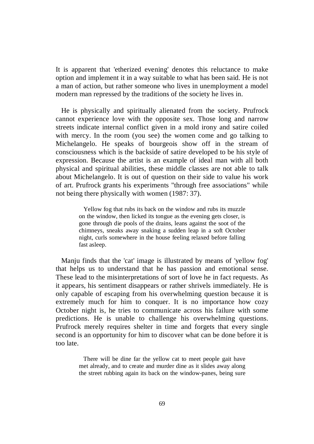It is apparent that 'etherized evening' denotes this reluctance to make option and implement it in a way suitable to what has been said. He is not a man of action, but rather someone who lives in unemployment a model modern man repressed by the traditions of the society he lives in.

He is physically and spiritually alienated from the society. Prufrock cannot experience love with the opposite sex. Those long and narrow streets indicate internal conflict given in a mold irony and satire coiled with mercy. In the room (you see) the women come and go talking to Michelangelo. He speaks of bourgeois show off in the stream of consciousness which is the backside of satire developed to be his style of expression. Because the artist is an example of ideal man with all both physical and spiritual abilities, these middle classes are not able to talk about Michelangelo. It is out of question on their side to value his work of art. Prufrock grants his experiments "through free associations" while not being there physically with women (1987: 37).

> Yellow fog that rubs its back on the window and rubs its muzzle on the window, then licked its tongue as the evening gets closer, is gone through die pools of the drains, leans against the soot of the chimneys, sneaks away snaking a sudden leap in a soft October night, curls somewhere in the house feeling relaxed before falling fast asleep.

Manju finds that the 'cat' image is illustrated by means of 'yellow fog' that helps us to understand that he has passion and emotional sense. These lead to the misinterpretations of sort of love he in fact requests. As it appears, his sentiment disappears or rather shrivels immediately. He is only capable of escaping from his overwhelming question because it is extremely much for him to conquer. It is no importance how cozy October night is, he tries to communicate across his failure with some predictions. He is unable to challenge his overwhelming questions. Prufrock merely requires shelter in time and forgets that every single second is an opportunity for him to discover what can be done before it is too late.

> There will be dine far the yellow cat to meet people gait have met already, and to create and murder dine as it slides away along the street rubbing again its back on the window-panes, being sure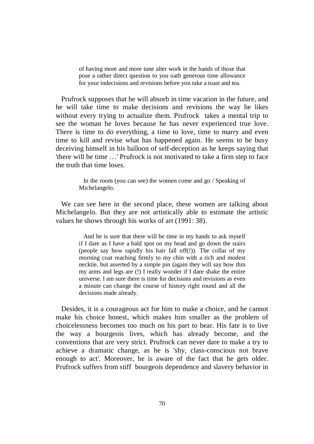of having more and more tune alter work in the hands of those that pose a rather direct question to you oath generous time allowance for your indecisions and revisions before yon take a toast and tea.

 Prufrock supposes that he will absorb in time vacation in the future, and he will take time to make decisions and revisions the way he likes without every trying to actualize them. Prufrock takes a mental trip to see the woman he loves because he has never experienced true love. There is time to do everything, a time to love, time to marry and even time to kill and revise what has happened again. He seems to be busy deceiving himself in his balloon of self-deception as he keeps saying that 'there will be time …' Prufrock is not motivated to take a firm step to face the truth that time loses.

> In the room (you can see) the women come and go / Speaking of Michelangelo.

We can see here in the second place, these women are talking about Michelangelo. But they are not artistically able to estimate the artistic values he shows through his works of art (1991: 38).

> And he is sure that there will be time in my hands to ask myself if I dare as I have a bald spot on my head and go down the stairs (people say how rapidly his hair fall off(!)). The collar of my morning coat reaching firmly to my chin with a rich and modest necktie, but asserted by a simple pin (again they will say how thin my arms and legs are (!) I really wonder if I dare shake the entire universe. l am sure there is time for decisions and revisions as even a minute can change the course of history right round and all the decisions made already.

Desides, it is a courageous act for him to make a choice, and he cannot make his choice honest, which makes him smaller as the problem of choicelessness becomes too much on his part to bear. His fate is to live the way a bourgeois lives, which has already become, and the conventions that are very strict. Prufrock can never dare to make a try to achieve a dramatic change, as he is 'shy, class-conscious not brave enough to act'. Moreover, he is aware of the fact that he gets older. Prufrock suffers from stiff bourgeois dependence and slavery behavior in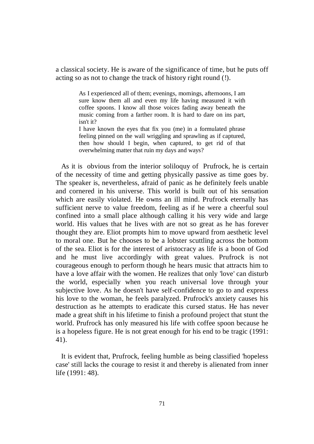a classical society. He is aware of the significance of time, but he puts off acting so as not to change the track of history right round (!).

> As I experienced all of them; evenings, mornings, afternoons, I am sure know them all and even my life having measured it with coffee spoons. I know all those voices fading away beneath the music coming from a farther room. It is hard to dare on ins part, isn't it?

> I have known the eyes that fix you (me) in a formulated phrase feeling pinned on the wall wriggling and sprawling as if captured, then how should I begin, when captured, to get rid of that overwhelming matter that ruin my days and ways?

As it is obvious from the interior soliloquy of Prufrock, he is certain of the necessity of time and getting physically passive as time goes by. The speaker is, nevertheless, afraid of panic as he definitely feels unable and cornered in his universe. This world is built out of his sensation which are easily violated. He owns an ill mind. Prufrock eternally has sufficient nerve to value freedom, feeling as if he were a cheerful soul confined into a small place although calling it his very wide and large world. His values that he lives with are not so great as he has forever thought they are. Eliot prompts him to move upward from aesthetic level to moral one. But he chooses to be a lobster scuttling across the bottom of the sea. Eliot is for the interest of aristocracy as life is a boon of God and he must live accordingly with great values. Prufrock is not courageous enough to perform though he hears music that attracts him to have a love affair with the women. He realizes that only 'love' can disturb the world, especially when you reach universal love through your subjective love. As he doesn't have self-confidence to go to and express his love to the woman, he feels paralyzed. Prufrock's anxiety causes his destruction as he attempts to eradicate this cursed status. He has never made a great shift in his lifetime to finish a profound project that stunt the world. Prufrock has only measured his life with coffee spoon because he is a hopeless figure. He is not great enough for his end to be tragic (1991: 41).

 It is evident that, Prufrock, feeling humble as being classified 'hopeless case' still lacks the courage to resist it and thereby is alienated from inner life (1991: 48).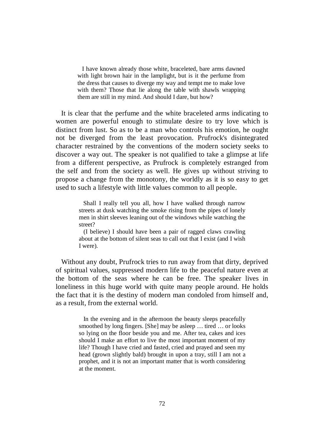I have known already those white, braceleted, bare arms dawned with light brown hair in the lamplight, but is it the perfume from the dress that causes to diverge my way and tempt me to make love with them? Those that lie along the table with shawls wrapping them are still in my mind. And should I dare, but how?

 It is clear that the perfume and the white braceleted arms indicating to women are powerful enough to stimulate desire to try love which is distinct from lust. So as to be a man who controls his emotion, he ought not be diverged from the least provocation. Prufrock's disintegrated character restrained by the conventions of the modern society seeks to discover a way out. The speaker is not qualified to take a glimpse at life from a different perspective, as Prufrock is completely estranged from the self and from the society as well. He gives up without striving to propose a change from the monotony, the worldly as it is so easy to get used to such a lifestyle with little values common to all people.

> Shall I really tell you all, how I have walked through narrow streets at dusk watching the smoke rising from the pipes of lonely men in shirt sleeves leaning out of the windows while watching the street?

> (I believe) I should have been a pair of ragged claws crawling about at the bottom of silent seas to call out that I exist (and I wish I were).

Without any doubt, Prufrock tries to run away from that dirty, deprived of spiritual values, suppressed modern life to the peaceful nature even at the bottom of the seas where he can be free. The speaker lives in loneliness in this huge world with quite many people around. He holds the fact that it is the destiny of modern man condoled from himself and, as a result, from the external world.

> In the evening and in the afternoon the beauty sleeps peacefully smoothed by long fingers. [She] may be asleep ... tired ... or looks so lying on the floor beside you and me. After tea, cakes and ices should I make an effort to live the most important moment of my life? Though I have cried and fasted, cried and prayed and seen my head (grown slightly bald) brought in upon a tray, still I am not a prophet, and it is not an important matter that is worth considering at the moment.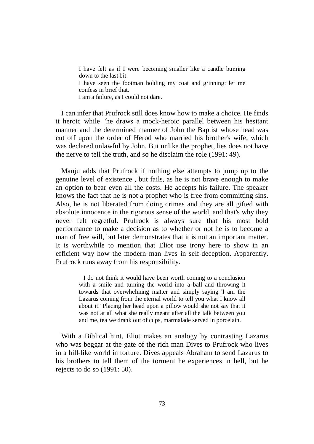I have felt as if I were becoming smaller like a candle burning down to the last bit. I have seen the footman holding my coat and grinning: let me confess in brief that. I am a failure, as I could not dare.

 I can infer that Prufrock still does know how to make a choice. He finds it heroic while "he draws a mock-heroic parallel between his hesitant manner and the determined manner of John the Baptist whose head was cut off upon the order of Herod who married his brother's wife, which was declared unlawful by John. But unlike the prophet, lies does not have the nerve to tell the truth, and so he disclaim the role (1991: 49).

Manju adds that Prufrock if nothing else attempts to jump up to the genuine level of existence , but fails, as he is not brave enough to make an option to bear even all the costs. He accepts his failure. The speaker knows the fact that he is not a prophet who is free from committing sins. Also, he is not liberated from doing crimes and they are all gifted with absolute innocence in the rigorous sense of the world, and that's why they never felt regretful. Prufrock is always sure that his most bold performance to make a decision as to whether or not he is to become a man of free will, but later demonstrates that it is not an important matter. It is worthwhile to mention that Eliot use irony here to show in an efficient way how the modern man lives in self-deception. Apparently. Prufrock runs away from his responsibility.

> I do not think it would have been worth coming to a conclusion with a smile and turning the world into a ball and throwing it towards that overwhelming matter and simply saying 'I am the Lazarus coming from the eternal world to tell you what I know all about it.' Placing her head upon a pillow would she not say that it was not at all what she really meant after all the talk between you and me, tea we drank out of cups, marmalade served in porcelain.

With a Biblical hint, Eliot makes an analogy by contrasting Lazarus who was beggar at the gate of the rich man Dives to Prufrock who lives in a hill-like world in torture. Dives appeals Abraham to send Lazarus to his brothers to tell them of the torment he experiences in hell, but he rejects to do so (1991: 50).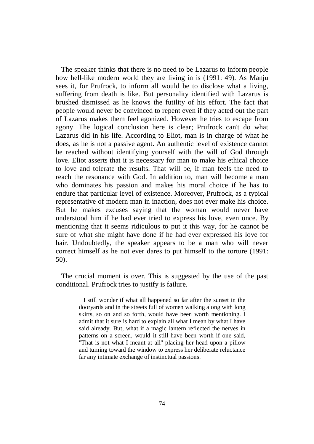The speaker thinks that there is no need to be Lazarus to inform people how hell-like modern world they are living in is (1991: 49). As Manju sees it, for Prufrock, to inform all would be to disclose what a living, suffering from death is like. But personality identified with Lazarus is brushed dismissed as he knows the futility of his effort. The fact that people would never be convinced to repent even if they acted out the part of Lazarus makes them feel agonized. However he tries to escape from agony. The logical conclusion here is clear; Prufrock can't do what Lazarus did in his life. According to Eliot, man is in charge of what he does, as he is not a passive agent. An authentic level of existence cannot be reached without identifying yourself with the will of God through love. Eliot asserts that it is necessary for man to make his ethical choice to love and tolerate the results. That will be, if man feels the need to reach the resonance with God. In addition to, man will become a man who dominates his passion and makes his moral choice if he has to endure that particular level of existence. Moreover, Prufrock, as a typical representative of modern man in inaction, does not ever make his choice. But he makes excuses saying that the woman would never have understood him if he had ever tried to express his love, even once. By mentioning that it seems ridiculous to put it this way, for he cannot be sure of what she might have done if he had ever expressed his love for hair. Undoubtedly, the speaker appears to be a man who will never correct himself as he not ever dares to put himself to the torture (1991: 50).

 The crucial moment is over. This is suggested by the use of the past conditional. Prufrock tries to justify is failure.

> I still wonder if what all happened so far after the sunset in the dooryards and in the streets full of women walking along with long skirts, so on and so forth, would have been worth mentioning. I admit that it sure is hard to explain all what I mean by what I have said already. But, what if a magic lantern reflected the nerves in patterns on a screen, would it still have been worth if one said, "That is not what I meant at all" placing her head upon a pillow and turning toward the window to express her deliberate reluctance far any intimate exchange of instinctual passions.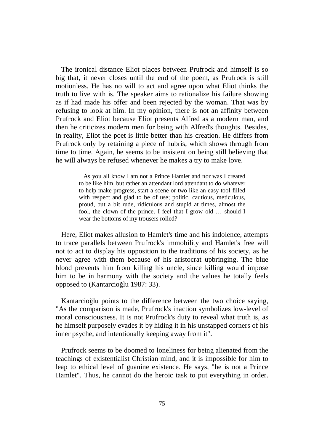The ironical distance Eliot places between Prufrock and himself is so big that, it never closes until the end of the poem, as Prufrock is still motionless. He has no will to act and agree upon what Eliot thinks the truth to live with is. The speaker aims to rationalize his failure showing as if had made his offer and been rejected by the woman. That was by refusing to look at him. In my opinion, there is not an affinity between Prufrock and Eliot because Eliot presents Alfred as a modern man, and then he criticizes modern men for being with Alfred's thoughts. Besides, in reality, Eliot the poet is little better than his creation. He differs from Prufrock only by retaining a piece of hubris, which shows through from time to time. Again, he seems to be insistent on being still believing that he will always be refused whenever he makes a try to make love.

> As you all know I am not a Prince Hamlet and nor was I created to be like him, but rather an attendant lord attendant to do whatever to help make progress, start a scene or two like an easy tool filled with respect and glad to be of use; politic, cautious, meticulous, proud, but a bit rude, ridiculous and stupid at times, almost the fool, the clown of the prince. I feel that I grow old … should I wear the bottoms of my trousers rolled?

Here, Eliot makes allusion to Hamlet's time and his indolence, attempts to trace parallels between Prufrock's immobility and Hamlet's free will not to act to display his opposition to the traditions of his society, as he never agree with them because of his aristocrat upbringing. The blue blood prevents him from killing his uncle, since killing would impose him to be in harmony with the society and the values he totally feels opposed to (Kantarcioğlu 1987: 33).

Kantarcioğlu points to the difference between the two choice saying, "As the comparison is made, Prufrock's inaction symbolizes low-level of moral consciousness. It is not Prufrock's duty to reveal what truth is, as he himself purposely evades it by hiding it in his unstapped corners of his inner psyche, and intentionally keeping away from it".

 Prufrock seems to be doomed to loneliness for being alienated from the teachings of existentialist Christian mind, and it is impossible for him to leap to ethical level of guanine existence. He says, "he is not a Prince Hamlet". Thus, he cannot do the heroic task to put everything in order.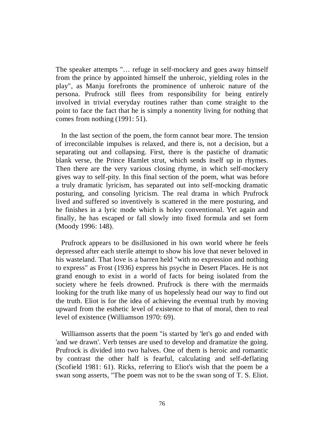The speaker attempts "… refuge in self-mockery and goes away himself from the prince by appointed himself the unheroic, yielding roles in the play", as Manju forefronts the prominence of unheroic nature of the persona. Prufrock still flees from responsibility for being entirely involved in trivial everyday routines rather than come straight to the point to face the fact that he is simply a nonentity living for nothing that comes from nothing (1991: 51).

 In the last section of the poem, the form cannot bear more. The tension of irreconcilable impulses is relaxed, and there is, not a decision, but a separating out and collapsing. First, there is the pastiche of dramatic blank verse, the Prince Hamlet strut, which sends itself up in rhymes. Then there are the very various closing rhyme, in which self-mockery gives way to self-pity. In this final section of the poem, what was before a truly dramatic lyricism, has separated out into self-mocking dramatic posturing, and consoling lyricism. The real drama in which Prufrock lived and suffered so inventively is scattered in the mere posturing, and he finishes in a lyric mode which is holey conventional. Yet again and finally, he has escaped or fall slowly into fixed formula and set form (Moody 1996: 148).

 Prufrock appears to be disillusioned in his own world where he feels depressed after each sterile attempt to show his love that never beloved in his wasteland. That love is a barren held "with no expression and nothing to express" as Frost (1936) express his psyche in Desert Places. He is not grand enough to exist in a world of facts for being isolated from the society where he feels drowned. Prufrock is there with the mermaids looking for the truth like many of us hopelessly head our way to find out the truth. Eliot is for the idea of achieving the eventual truth by moving upward from the esthetic level of existence to that of moral, then to real level of existence (Williamson 1970: 69).

Williamson asserts that the poem "is started by 'let's go and ended with 'and we drawn'. Verb tenses are used to develop and dramatize the going. Prufrock is divided into two halves. One of them is heroic and romantic by contrast the other half is fearful, calculating and self-deflating (Scofield 1981: 61). Ricks, referring to Eliot's wish that the poem be a swan song asserts, "The poem was not to be the swan song of T. S. Eliot.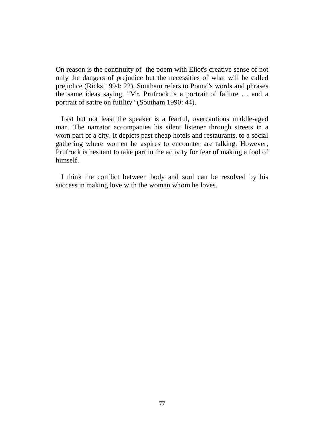On reason is the continuity of the poem with Eliot's creative sense of not only the dangers of prejudice but the necessities of what will be called prejudice (Ricks 1994: 22). Southam refers to Pound's words and phrases the same ideas saying, "Mr. Prufrock is a portrait of failure … and a portrait of satire on futility" (Southam 1990: 44).

Last but not least the speaker is a fearful, overcautious middle-aged man. The narrator accompanies his silent listener through streets in a worn part of a city. It depicts past cheap hotels and restaurants, to a social gathering where women he aspires to encounter are talking. However, Prufrock is hesitant to take part in the activity for fear of making a fool of himself.

 I think the conflict between body and soul can be resolved by his success in making love with the woman whom he loves.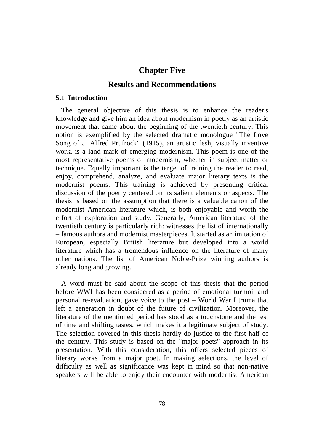# **Chapter Five**

# **Results and Recommendations**

#### **5.1 Introduction**

 The general objective of this thesis is to enhance the reader's knowledge and give him an idea about modernism in poetry as an artistic movement that came about the beginning of the twentieth century. This notion is exemplified by the selected dramatic monologue "The Love Song of J. Alfred Prufrock" (1915), an artistic fesh, visually inventive work, is a land mark of emerging modernism. This poem is one of the most representative poems of modernism, whether in subject matter or technique. Equally important is the target of training the reader to read, enjoy, comprehend, analyze, and evaluate major literary texts is the modernist poems. This training is achieved by presenting critical discussion of the poetry centered on its salient elements or aspects. The thesis is based on the assumption that there is a valuable canon of the modernist American literature which, is both enjoyable and worth the effort of exploration and study. Generally, American literature of the twentieth century is particularly rich: witnesses the list of internationally – famous authors and modernist masterpieces. It started as an imitation of European, especially British literature but developed into a world literature which has a tremendous influence on the literature of many other nations. The list of American Noble-Prize winning authors is already long and growing.

A word must be said about the scope of this thesis that the period before WWI has been considered as a period of emotional turmoil and personal re-evaluation, gave voice to the post – World War I truma that left a generation in doubt of the future of civilization. Moreover, the literature of the mentioned period has stood as a touchstone and the test of time and shifting tastes, which makes it a legitimate subject of study. The selection covered in this thesis hardly do justice to the first half of the century. This study is based on the "major poets" approach in its presentation. With this consideration, this offers selected pieces of literary works from a major poet. In making selections, the level of difficulty as well as significance was kept in mind so that non-native speakers will be able to enjoy their encounter with modernist American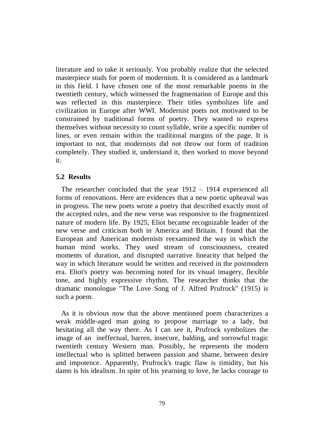literature and to take it seriously. You probably realize that the selected masterpiece studs for poem of modernism. It is considered as a landmark in this field. I have chosen one of the most remarkable poems in the twentieth century, which witnessed the fragmentation of Europe and this was reflected in this masterpiece. Their titles symbolizes life and civilization in Europe after WWI. Modernist poets not motivated to be constrained by traditional forms of poetry. They wanted to express themselves without necessity to count syllable, write a specific number of lines, or even remain within the traditional margins of the page. It is important to not, that modernists did not throw out form of tradition completely. They studied it, understand it, then worked to move beyond it.

## **5.2 Results**

 The researcher concluded that the year 1912 – 1914 experienced all forms of renovations. Here are evidences that a new poetic upheaval was in progress. The new poets wrote a poetry that described exactly most of the accepted rules, and the new verse was responsive to the fragmentized nature of modern life. By 1925, Eliot became recognizable leader of the new verse and criticism both in America and Britain. I found that the European and American modernists reexamined the way in which the human mind works. They used stream of consciousness, created moments of duration, and disrupted narrative linearity that helped the way in which literature would be written and received in the postmodern era. Eliot's poetry was becoming noted for its visual imagery, flexible tone, and highly expressive rhythm. The researcher thinks that the dramatic monologue "The Love Song of J. Alfred Prufrock" (1915) is such a poem.

As it is obvious now that the above mentioned poem characterizes a weak middle-aged man going to propose marriage to a lady, but hesitating all the way there. As I can see it, Prufrock symbolizes the image of an ineffectual, barren, insecure, balding, and sorrowful tragic twentieth century Western man. Possibly, he represents the modern intellectual who is splitted between passion and shame, between desire and impotence. Apparently, Prufrock's tragic flaw is timidity, but his damn is his idealism. In spite of his yearning to love, he lacks courage to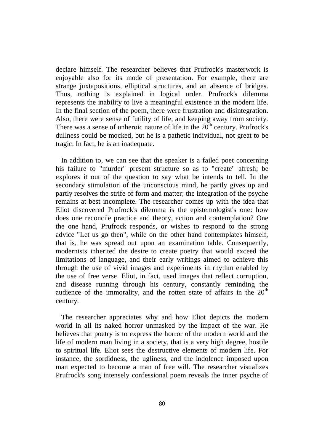declare himself. The researcher believes that Prufrock's masterwork is enjoyable also for its mode of presentation. For example, there are strange juxtapositions, elliptical structures, and an absence of bridges. Thus, nothing is explained in logical order. Prufrock's dilemma represents the inability to live a meaningful existence in the modern life. In the final section of the poem, there were frustration and disintegration. Also, there were sense of futility of life, and keeping away from society. There was a sense of unheroic nature of life in the  $20<sup>th</sup>$  century. Prufrock's dullness could be mocked, but he is a pathetic individual, not great to be tragic. In fact, he is an inadequate.

 In addition to, we can see that the speaker is a failed poet concerning his failure to "murder" present structure so as to "create" afresh; be explores it out of the question to say what be intends to tell. In the secondary stimulation of the unconscious mind, he partly gives up and partly resolves the strife of form and matter; the integration of the psyche remains at best incomplete. The researcher comes up with the idea that Eliot discovered Prufrock's dilemma is the epistemologist's one: how does one reconcile practice and theory, action and contemplation? One the one hand, Prufrock responds, or wishes to respond to the strong advice "Let us go then", while on the other hand contemplates himself, that is, he was spread out upon an examination table. Consequently, modernists inherited the desire to create poetry that would exceed the limitations of language, and their early writings aimed to achieve this through the use of vivid images and experiments in rhythm enabled by the use of free verse. Eliot, in fact, used images that reflect corruption, and disease running through his century, constantly reminding the audience of the immorality, and the rotten state of affairs in the  $20<sup>th</sup>$ century.

 The researcher appreciates why and how Eliot depicts the modern world in all its naked horror unmasked by the impact of the war. He believes that poetry is to express the horror of the modern world and the life of modern man living in a society, that is a very high degree, hostile to spiritual life. Eliot sees the destructive elements of modern life. For instance, the sordidness, the ugliness, and the indolence imposed upon man expected to become a man of free will. The researcher visualizes Prufrock's song intensely confessional poem reveals the inner psyche of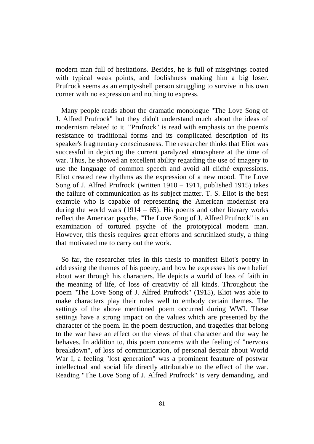modern man full of hesitations. Besides, he is full of misgivings coated with typical weak points, and foolishness making him a big loser. Prufrock seems as an empty-shell person struggling to survive in his own corner with no expression and nothing to express.

Many people reads about the dramatic monologue "The Love Song of J. Alfred Prufrock" but they didn't understand much about the ideas of modernism related to it. "Prufrock" is read with emphasis on the poem's resistance to traditional forms and its complicated description of its speaker's fragmentary consciousness. The researcher thinks that Eliot was successful in depicting the current paralyzed atmosphere at the time of war. Thus, he showed an excellent ability regarding the use of imagery to use the language of common speech and avoid all cliché expressions. Eliot created new rhythms as the expression of a new mood. 'The Love Song of J. Alfred Prufrock' (written 1910 – 1911, published 1915) takes the failure of communication as its subject matter. T. S. Eliot is the best example who is capable of representing the American modernist era during the world wars  $(1914 - 65)$ . His poems and other literary works reflect the American psyche. "The Love Song of J. Alfred Prufrock" is an examination of tortured psyche of the prototypical modern man. However, this thesis requires great efforts and scrutinized study, a thing that motivated me to carry out the work.

So far, the researcher tries in this thesis to manifest Eliot's poetry in addressing the themes of his poetry, and how he expresses his own belief about war through his characters. He depicts a world of loss of faith in the meaning of life, of loss of creativity of all kinds. Throughout the poem "The Love Song of J. Alfred Prufrock" (1915), Eliot was able to make characters play their roles well to embody certain themes. The settings of the above mentioned poem occurred during WWI. These settings have a strong impact on the values which are presented by the character of the poem. In the poem destruction, and tragedies that belong to the war have an effect on the views of that character and the way he behaves. In addition to, this poem concerns with the feeling of "nervous breakdown", of loss of communication, of personal despair about World War I, a feeling "lost generation" was a prominent feauture of postwar intellectual and social life directly attributable to the effect of the war. Reading "The Love Song of J. Alfred Prufrock" is very demanding, and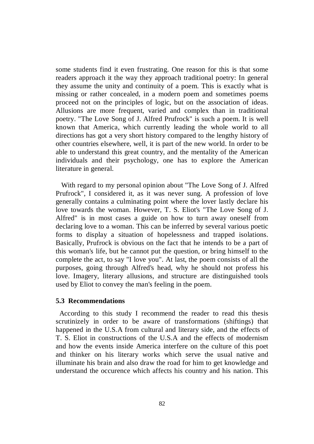some students find it even frustrating. One reason for this is that some readers approach it the way they approach traditional poetry: In general they assume the unity and continuity of a poem. This is exactly what is missing or rather concealed, in a modern poem and sometimes poems proceed not on the principles of logic, but on the association of ideas. Allusions are more frequent, varied and complex than in traditional poetry. "The Love Song of J. Alfred Prufrock" is such a poem. It is well known that America, which currently leading the whole world to all directions has got a very short history compared to the lengthy history of other countries elsewhere, well, it is part of the new world. In order to be able to understand this great country, and the mentality of the American individuals and their psychology, one has to explore the American literature in general.

With regard to my personal opinion about "The Love Song of J. Alfred Prufrock", I considered it, as it was never sung. A profession of love generally contains a culminating point where the lover lastly declare his love towards the woman. However, T. S. Eliot's "The Love Song of J. Alfred" is in most cases a guide on how to turn away oneself from declaring love to a woman. This can be inferred by several various poetic forms to display a situation of hopelessness and trapped isolations. Basically, Prufrock is obvious on the fact that he intends to be a part of this woman's life, but he cannot put the question, or bring himself to the complete the act, to say "I love you". At last, the poem consists of all the purposes, going through Alfred's head, why he should not profess his love. Imagery, literary allusions, and structure are distinguished tools used by Eliot to convey the man's feeling in the poem.

#### **5.3 Recommendations**

According to this study I recommend the reader to read this thesis scrutinizely in order to be aware of transformations (shiftings) that happened in the U.S.A from cultural and literary side, and the effects of T. S. Eliot in constructions of the U.S.A and the effects of modernism and how the events inside America interfere on the culture of this poet and thinker on his literary works which serve the usual native and illuminate his brain and also draw the road for him to get knowledge and understand the occurence which affects his country and his nation. This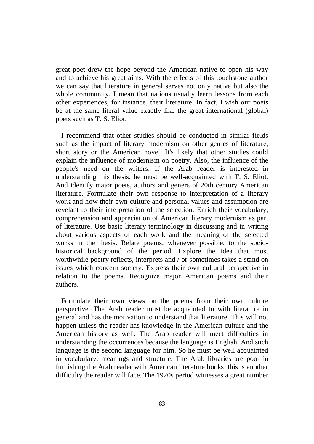great poet drew the hope beyond the American native to open his way and to achieve his great aims. With the effects of this touchstone author we can say that literature in general serves not only native but also the whole community. I mean that nations usually learn lessons from each other experiences, for instance, their literature. In fact, I wish our poets be at the same literal value exactly like the great international (global) poets such as T. S. Eliot.

 I recommend that other studies should be conducted in similar fields such as the impact of literary modernism on other genres of literature, short story or the American novel. It's likely that other studies could explain the influence of modernism on poetry. Also, the influence of the people's need on the writers. If the Arab reader is interested in understanding this thesis, he must be well-acquainted with T. S. Eliot. And identify major poets, authors and geners of 20th century American literature. Formulate their own response to interpretation of a literary work and how their own culture and personal values and assumption are revelant to their interpretation of the selection. Enrich their vocabulary, comprehension and appreciation of American literary modernism as part of literature. Use basic literary terminology in discussing and in writing about various aspects of each work and the meaning of the selected works in the thesis. Relate poems, whenever possible, to the sociohistorical background of the period. Explore the idea that most worthwhile poetry reflects, interprets and / or sometimes takes a stand on issues which concern society. Express their own cultural perspective in relation to the poems. Recognize major American poems and their authors.

Formulate their own views on the poems from their own culture perspective. The Arab reader must be acquainted to with literature in general and has the motivation to understand that literature. This will not happen unless the reader has knowledge in the American culture and the American history as well. The Arab reader will meet difficulties in understanding the occurrences because the language is English. And such language is the second language for him. So he must be well acquainted in vocabulary, meanings and structure. The Arab libraries are poor in furnishing the Arab reader with American literature books, this is another difficulty the reader will face. The 1920s period witnesses a great number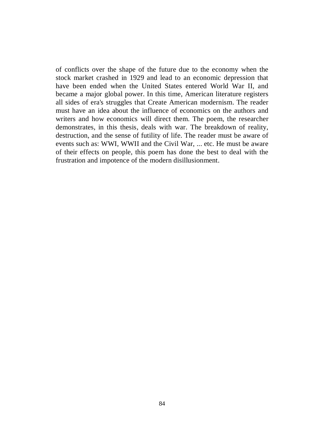of conflicts over the shape of the future due to the economy when the stock market crashed in 1929 and lead to an economic depression that have been ended when the United States entered World War II, and became a major global power. In this time, American literature registers all sides of era's struggles that Create American modernism. The reader must have an idea about the influence of economics on the authors and writers and how economics will direct them. The poem, the researcher demonstrates, in this thesis, deals with war. The breakdown of reality, destruction, and the sense of futility of life. The reader must be aware of events such as: WWI, WWII and the Civil War, ... etc. He must be aware of their effects on people, this poem has done the best to deal with the frustration and impotence of the modern disillusionment.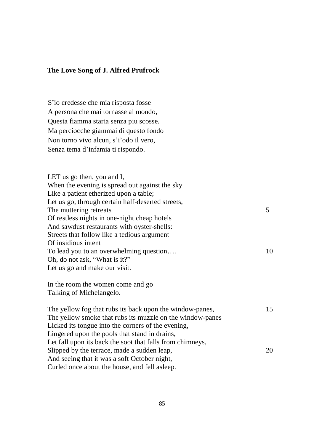#### **The Love Song of J. Alfred Prufrock**

S'io credesse che mia risposta fosse A persona che mai tornasse al mondo, Questa fiamma staria senza piu scosse. Ma perciocche giammai di questo fondo Non torno vivo alcun, s'i'odo il vero, Senza tema d'infamia ti rispondo.

LET us go then, you and I, When the evening is spread out against the sky Like a patient etherized upon a table; Let us go, through certain half-deserted streets, The muttering retreats 5 Of restless nights in one-night cheap hotels And sawdust restaurants with oyster-shells: Streets that follow like a tedious argument Of insidious intent To lead you to an overwhelming question.... 10 Oh, do not ask, "What is it?" Let us go and make our visit. In the room the women come and go Talking of Michelangelo. The yellow fog that rubs its back upon the window-panes, 15 The yellow smoke that rubs its muzzle on the window-panes Licked its tongue into the corners of the evening, Lingered upon the pools that stand in drains, Let fall upon its back the soot that falls from chimneys, Slipped by the terrace, made a sudden leap, 20

And seeing that it was a soft October night, Curled once about the house, and fell asleep.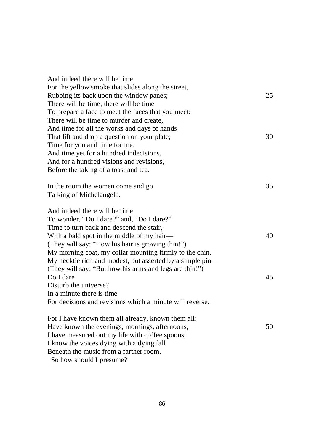| And indeed there will be time                             |    |
|-----------------------------------------------------------|----|
| For the yellow smoke that slides along the street,        |    |
| Rubbing its back upon the window panes;                   | 25 |
| There will be time, there will be time                    |    |
| To prepare a face to meet the faces that you meet;        |    |
| There will be time to murder and create,                  |    |
| And time for all the works and days of hands              |    |
| That lift and drop a question on your plate;              | 30 |
| Time for you and time for me,                             |    |
| And time yet for a hundred indecisions,                   |    |
| And for a hundred visions and revisions,                  |    |
| Before the taking of a toast and tea.                     |    |
| In the room the women come and go                         | 35 |
| Talking of Michelangelo.                                  |    |
| And indeed there will be time                             |    |
| To wonder, "Do I dare?" and, "Do I dare?"                 |    |
| Time to turn back and descend the stair,                  |    |
| With a bald spot in the middle of my hair—                | 40 |
| (They will say: "How his hair is growing thin!")          |    |
| My morning coat, my collar mounting firmly to the chin,   |    |
| My necktie rich and modest, but asserted by a simple pin- |    |
| (They will say: "But how his arms and legs are thin!")    |    |
| Do I dare                                                 | 45 |
| Disturb the universe?                                     |    |
| In a minute there is time.                                |    |
| For decisions and revisions which a minute will reverse.  |    |
| For I have known them all already, known them all:        |    |
| Have known the evenings, mornings, afternoons,            | 50 |
| I have measured out my life with coffee spoons;           |    |
| I know the voices dying with a dying fall                 |    |
| Beneath the music from a farther room.                    |    |
| So how should I presume?                                  |    |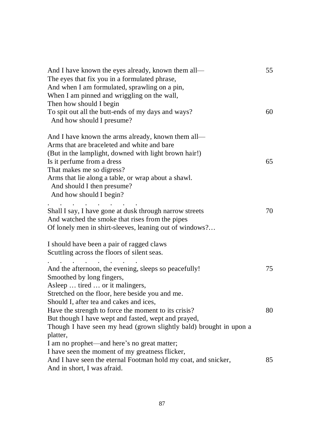| And I have known the eyes already, known them all-<br>The eyes that fix you in a formulated phrase,<br>And when I am formulated, sprawling on a pin,<br>When I am pinned and wriggling on the wall,<br>Then how should I begin               | 55 |
|----------------------------------------------------------------------------------------------------------------------------------------------------------------------------------------------------------------------------------------------|----|
| To spit out all the butt-ends of my days and ways?<br>And how should I presume?                                                                                                                                                              | 60 |
| And I have known the arms already, known them all—<br>Arms that are braceleted and white and bare<br>(But in the lamplight, downed with light brown hair!)                                                                                   |    |
| Is it perfume from a dress<br>That makes me so digress?                                                                                                                                                                                      | 65 |
| Arms that lie along a table, or wrap about a shawl.<br>And should I then presume?<br>And how should I begin?<br>and the contract of the                                                                                                      |    |
| Shall I say, I have gone at dusk through narrow streets<br>And watched the smoke that rises from the pipes<br>Of lonely men in shirt-sleeves, leaning out of windows?                                                                        | 70 |
| I should have been a pair of ragged claws<br>Scuttling across the floors of silent seas.                                                                                                                                                     |    |
| And the afternoon, the evening, sleeps so peacefully!<br>Smoothed by long fingers,<br>Asleep  tired  or it malingers,<br>Stretched on the floor, here beside you and me.<br>Should I, after tea and cakes and ices                           | 75 |
| Have the strength to force the moment to its crisis?<br>But though I have wept and fasted, wept and prayed,<br>Though I have seen my head (grown slightly bald) brought in upon a<br>platter,<br>I am no prophet—and here's no great matter; | 80 |
| I have seen the moment of my greatness flicker,<br>And I have seen the eternal Footman hold my coat, and snicker,<br>And in short, I was afraid.                                                                                             | 85 |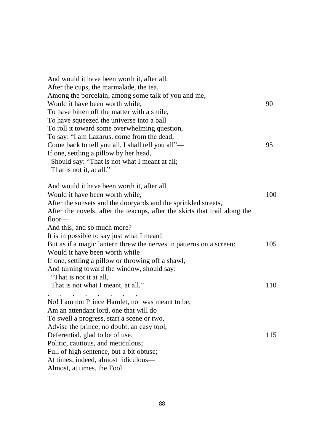| And would it have been worth it, after all,                                |     |
|----------------------------------------------------------------------------|-----|
| After the cups, the marmalade, the tea,                                    |     |
| Among the porcelain, among some talk of you and me,                        |     |
| Would it have been worth while,                                            | 90  |
| To have bitten off the matter with a smile,                                |     |
| To have squeezed the universe into a ball                                  |     |
| To roll it toward some overwhelming question,                              |     |
| To say: "I am Lazarus, come from the dead,                                 |     |
| Come back to tell you all, I shall tell you all"-                          | 95  |
| If one, settling a pillow by her head,                                     |     |
| Should say: "That is not what I meant at all;                              |     |
| That is not it, at all."                                                   |     |
|                                                                            |     |
| And would it have been worth it, after all,                                |     |
| Would it have been worth while,                                            | 100 |
| After the sunsets and the dooryards and the sprinkled streets,             |     |
| After the novels, after the teacups, after the skirts that trail along the |     |
| $floor-$                                                                   |     |
| And this, and so much more?—                                               |     |
| It is impossible to say just what I mean!                                  |     |
| But as if a magic lantern threw the nerves in patterns on a screen:        | 105 |
| Would it have been worth while                                             |     |
| If one, settling a pillow or throwing off a shawl,                         |     |
| And turning toward the window, should say:                                 |     |
| "That is not it at all,                                                    |     |
| That is not what I meant, at all."                                         | 110 |
|                                                                            |     |
| No! I am not Prince Hamlet, nor was meant to be;                           |     |
| Am an attendant lord, one that will do                                     |     |
| To swell a progress, start a scene or two,                                 |     |
| Advise the prince; no doubt, an easy tool,                                 |     |
| Deferential, glad to be of use,                                            | 115 |
| Politic, cautious, and meticulous;                                         |     |
| Full of high sentence, but a bit obtuse;                                   |     |
| At times, indeed, almost ridiculous—                                       |     |
| Almost, at times, the Fool.                                                |     |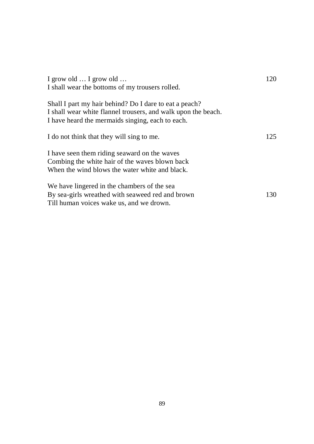| I grow old $\ldots$ I grow old $\ldots$                                                                                                                                                                                        | 120 |
|--------------------------------------------------------------------------------------------------------------------------------------------------------------------------------------------------------------------------------|-----|
| I shall wear the bottoms of my trousers rolled.<br>Shall I part my hair behind? Do I dare to eat a peach?<br>I shall wear white flannel trousers, and walk upon the beach.<br>I have heard the mermaids singing, each to each. |     |
|                                                                                                                                                                                                                                |     |
| I do not think that they will sing to me.                                                                                                                                                                                      | 125 |
| I have seen them riding seaward on the waves<br>Combing the white hair of the waves blown back<br>When the wind blows the water white and black.                                                                               |     |
| We have lingered in the chambers of the sea<br>By sea-girls wreathed with seaweed red and brown<br>Till human voices wake us, and we drown.                                                                                    | 130 |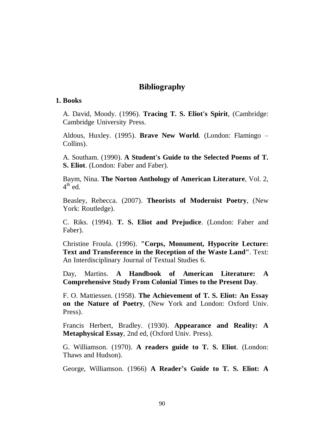# **Bibliography**

## **1. Books**

A. David, Moody. (1996). **Tracing T. S. Eliot's Spirit**, (Cambridge: Cambridge University Press.

Aldous, Huxley. (1995). **Brave New World**. (London: Flamingo – Collins).

A. Southam. (1990). **A Student's Guide to the Selected Poems of T. S. Eliot**. (London: Faber and Faber).

Baym, Nina. **The Norton Anthology of American Literature**, Vol. 2,  $4^{\text{th}}$  ed.

Beasley, Rebecca. (2007). **Theorists of Modernist Poetry**, (New York: Routledge).

C. Riks. (1994). **T. S. Eliot and Prejudice**. (London: Faber and Faber).

Christine Froula. (1996). **"Corps, Monument, Hypocrite Lecture: Text and Transference in the Reception of the Waste Land"**. Text: An Interdisciplinary Journal of Textual Studies 6.

Day, Martins. **A Handbook of American Literature: A Comprehensive Study From Colonial Times to the Present Day**.

F. O. Mattiessen. (1958). **The Achievement of T. S. Eliot: An Essay on the Nature of Poetry**, (New York and London: Oxford Univ. Press).

Francis Herbert, Bradley. (1930). **Appearance and Reality: A Metaphysical Essay**, 2nd ed, (Oxford Univ. Press).

G. Williamson. (1970). **A readers guide to T. S. Eliot**. (London: Thaws and Hudson).

George, Williamson. (1966) **A Reader's Guide to T. S. Eliot: A**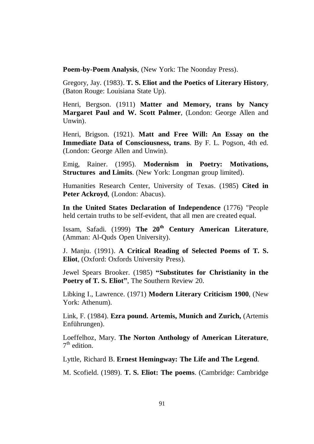**Poem-by-Poem Analysis**, (New York: The Noonday Press).

Gregory, Jay. (1983). **T. S. Eliot and the Poetics of Literary History**, (Baton Rouge: Louisiana State Up).

Henri, Bergson. (1911) **Matter and Memory, trans by Nancy Margaret Paul and W. Scott Palmer**, (London: George Allen and Unwin).

Henri, Brigson. (1921). **Matt and Free Will: An Essay on the Immediate Data of Consciousness, trans**. By F. L. Pogson, 4th ed. (London: George Allen and Unwin).

Emig, Rainer. (1995). **Modernism in Poetry: Motivations, Structures and Limits**. (New York: Longman group limited).

Humanities Research Center, University of Texas. (1985) **Cited in Peter Ackroyd**, (London: Abacus).

**In the United States Declaration of Independence** (1776) "People held certain truths to be self-evident, that all men are created equal.

Issam, Safadi. (1999) **The 20th Century American Literature**, (Amman: Al-Quds Open University).

J. Manju. (1991). **A Critical Reading of Selected Poems of T. S. Eliot**, (Oxford: Oxfords University Press).

Jewel Spears Brooker. (1985) **"Substitutes for Christianity in the Poetry of T. S. Eliot"**, The Southern Review 20.

Libking I., Lawrence. (1971) **Modern Literary Criticism 1900**, (New York: Athenum).

Link, F. (1984). **Ezra pound. Artemis, Munich and Zurich,** (Artemis Enführungen).

Loeffelhoz, Mary. **The Norton Anthology of American Literature**,  $7<sup>th</sup>$  edition.

Lyttle, Richard B. **Ernest Hemingway: The Life and The Legend**.

M. Scofield. (1989). **T. S. Eliot: The poems**. (Cambridge: Cambridge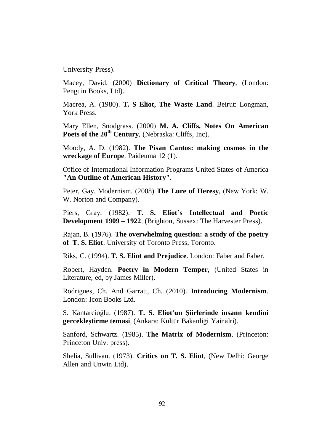University Press).

Macey, David. (2000) **Dictionary of Critical Theory**, (London: Penguin Books, Ltd).

Macrea, A. (1980). **T. S Eliot, The Waste Land**. Beirut: Longman, York Press.

Mary Ellen, Snodgrass. (2000) **M. A. Cliffs, Notes On American Poets of the 20th Century**, (Nebraska: Cliffs, Inc).

Moody, A. D. (1982). **The Pisan Cantos: making cosmos in the wreckage of Europe**. Paideuma 12 (1).

Office of International Information Programs United States of America **"An Outline of American History"**.

Peter, Gay. Modernism. (2008) **The Lure of Heresy**, (New York: W. W. Norton and Company).

Piers, Gray. (1982). **T. S. Eliot's Intellectual and Poetic Development 1909 – 1922**, (Brighton, Sussex: The Harvester Press).

Rajan, B. (1976). **The overwhelming question: a study of the poetry of T. S. Eliot**. University of Toronto Press, Toronto.

Riks, C. (1994). **T. S. Eliot and Prejudice**. London: Faber and Faber.

Robert, Hayden. **Poetry in Modern Temper**, (United States in Literature, ed, by James Miller).

Rodrigues, Ch. And Garratt, Ch. (2010). **Introducing Modernism**. London: Icon Books Ltd.

S. Kantarcioğlu. (1987). **T. S. Eliot'un Şiirlerinde insann kendini gercekleştirme temasi**, (Ankara: Kültür Bakanliği Yainalri).

Sanford, Schwartz. (1985). **The Matrix of Modernism**, (Princeton: Princeton Univ. press).

Shelia, Sullivan. (1973). **Critics on T. S. Eliot**, (New Delhi: George Allen and Unwin Ltd).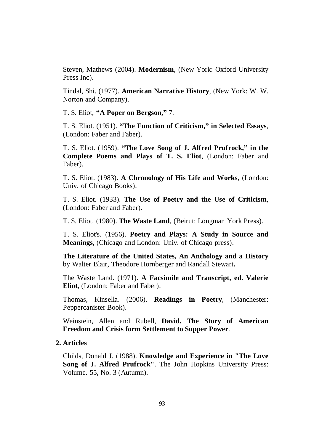Steven, Mathews (2004). **Modernism**, (New York: Oxford University Press Inc).

Tindal, Shi. (1977). **American Narrative History**, (New York: W. W. Norton and Company).

T. S. Eliot, **"A Poper on Bergson,"** 7.

T. S. Eliot. (1951). **"The Function of Criticism," in Selected Essays**, (London: Faber and Faber).

T. S. Eliot. (1959). **"The Love Song of J. Alfred Prufrock," in the Complete Poems and Plays of T. S. Eliot**, (London: Faber and Faber).

T. S. Eliot. (1983). **A Chronology of His Life and Works**, (London: Univ. of Chicago Books).

T. S. Eliot. (1933). **The Use of Poetry and the Use of Criticism**, (London: Faber and Faber).

T. S. Eliot. (1980). **The Waste Land**, (Beirut: Longman York Press).

T. S. Eliot's. (1956). **Poetry and Plays: A Study in Source and Meanings**, (Chicago and London: Univ. of Chicago press).

**The Literature of the United States, An Anthology and a History** by Walter Blair, Theodore Hornberger and Randall Stewart**.** 

The Waste Land. (1971). **A Facsimile and Transcript, ed. Valerie Eliot**, (London: Faber and Faber).

Thomas, Kinsella. (2006). **Readings in Poetry**, (Manchester: Peppercanister Book).

Weinstein, Allen and Rubell, **David. The Story of American Freedom and Crisis form Settlement to Supper Power**.

### **2. Articles**

Childs, Donald J. (1988). **Knowledge and Experience in "The Love Song of J. Alfred Prufrock"**. The John Hopkins University Press: Volume. 55, No. 3 (Autumn).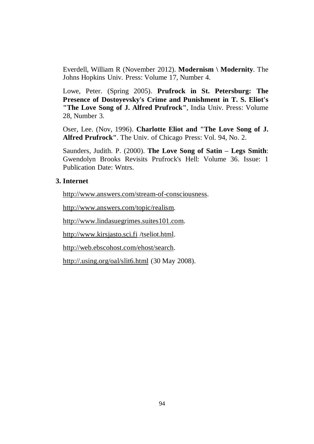Everdell, William R (November 2012). **Modernism \ Modernity**. The Johns Hopkins Univ. Press: Volume 17, Number 4.

Lowe, Peter. (Spring 2005). **Prufrock in St. Petersburg: The Presence of Dostoyevsky's Crime and Punishment in T. S. Eliot's "The Love Song of J. Alfred Prufrock"**, India Univ. Press: Volume 28, Number 3.

Oser, Lee. (Nov, 1996). **Charlotte Eliot and "The Love Song of J. Alfred Prufrock"**. The Univ. of Chicago Press: Vol. 94, No. 2.

Saunders, Judith. P. (2000). **The Love Song of Satin – Legs Smith**: Gwendolyn Brooks Revisits Prufrock's Hell: Volume 36. Issue: 1 Publication Date: Wntrs.

## **3. Internet**

<http://www.answers.com/stream-of-consciousness>.

<http://www.answers.com/topic/realism>.

<http://www.lindasuegrimes.suites101.com>.

<http://www.kirsjasto.sci.fi> /tseliot.html.

<http://web.ebscohost.com/ehost/search>.

<http://.using.org/oal/slit6.html> (30 May 2008).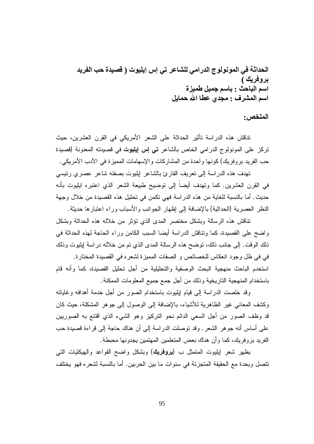**الحداثة في المونولوج الدرامي للشاعر تي إس إیلیوت ( قصیدة حب الفرید بروفریك ) اسم الباحث : باسم جمیل طمیزة اسم المشرف : مجدي عطا االله حمایل**

**الملخص:**

تناقش هذه الدراسة تأثير الحداثة على الشعر الأمريكي في القرن العشرين، حيث تركز على المونولوج الدرامي الخاص بالشاعر **تي إس إيليوت** في قصيدته المعنونة (قصيدة حب الفريد بروفريك) كونها واحدة من المشاركات والإسهامات المميزة في الأدب الأمريكي.

تهدف هذه الدراسة إلى تعريف القارئ بالشاعر إيليوت بصفته شاعر عصري رئيسي في القرن العشرين. كما وتهدف أيضاً إلى توضيح طبيعة الشعر الذي اعتبره ايليوت بأنه حديث. أما بالنسبة للغاية من هذه الدراسة فهي تكمن في تحليل هذه القصيدة من خلال وجهة النظر العصرية (الحداثية) بالإضافة إلى إظهار الجوانب والأسباب وراء اعتبارها حديثة.

تناقش هذه الرسالة وبشكل مختصر المدى الذي تؤثر من خلاله هذه الحداثة وبشكل واضح على القصيدة، كما وتناقش الدراسة أيضا السبب الكامن وراء الحاجة لهذه الحداثة في ذلك الوقت. إلى جانب ذلك، توضح هذه الرسالة المدى الذي تم من خلاله دراسة إيليوت وذلك في في ظل وجود انعكاس للخصائص و الصفات المميزة لشعره في القصيدة المختارة. استخدم الباحث منهجية البحث الوصفية والتحليلية من أجل تحليل القصيدة، كما وأنه قام باستخدام المنهجية التاريخية وذلك من أجل جمع جميع المعلومات الممكنة.

وقد خلصت الدراسة إلى قيام إيليوت باستخدام الصور من أجل خدمة أهدافه وغاياته وكشف المعاني غير الظاهرية للأشياء، بالإضافة إلى الوصول إلى جوهر المشكلة، حيث كان قد وظف الصور من أجل السعي الدائم نحو التركيز وهو الشيء الذي اقتنع به الصوريين على أساس أنه جوهر الشعر. وقد توصلت الدراسة إلى أن هناك حاجة إلى قراءة قصيدة حب الفريد بروفريك، كما وأن هناك بعض المتعلمين المهتمين يجدونها محبطة.

يظهر شعر إيليوت المتمثل ب (**بروفريك**) وبشكل واضح القواعد والهيكليات التي تتصل وبحدة مع الحقيقة المتجزئة في سنوات ما بين الحربين. أما بالنسبة لشعره فهو يختلف